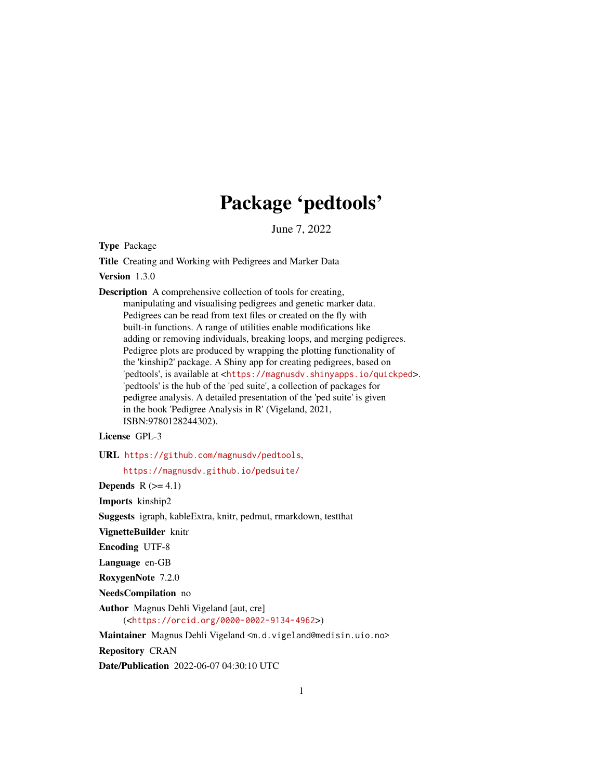# Package 'pedtools'

June 7, 2022

<span id="page-0-0"></span>Type Package

Title Creating and Working with Pedigrees and Marker Data

Version 1.3.0

Description A comprehensive collection of tools for creating, manipulating and visualising pedigrees and genetic marker data. Pedigrees can be read from text files or created on the fly with built-in functions. A range of utilities enable modifications like adding or removing individuals, breaking loops, and merging pedigrees. Pedigree plots are produced by wrapping the plotting functionality of the 'kinship2' package. A Shiny app for creating pedigrees, based on 'pedtools', is available at <<https://magnusdv.shinyapps.io/quickped>>. 'pedtools' is the hub of the 'ped suite', a collection of packages for pedigree analysis. A detailed presentation of the 'ped suite' is given in the book 'Pedigree Analysis in R' (Vigeland, 2021, ISBN:9780128244302).

License GPL-3

URL <https://github.com/magnusdv/pedtools>,

<https://magnusdv.github.io/pedsuite/>

Depends  $R$  ( $>= 4.1$ )

Imports kinship2

Suggests igraph, kableExtra, knitr, pedmut, rmarkdown, testthat

VignetteBuilder knitr

Encoding UTF-8

Language en-GB

RoxygenNote 7.2.0

NeedsCompilation no

Author Magnus Dehli Vigeland [aut, cre] (<<https://orcid.org/0000-0002-9134-4962>>)

Maintainer Magnus Dehli Vigeland <m.d.vigeland@medisin.uio.no>

Repository CRAN

Date/Publication 2022-06-07 04:30:10 UTC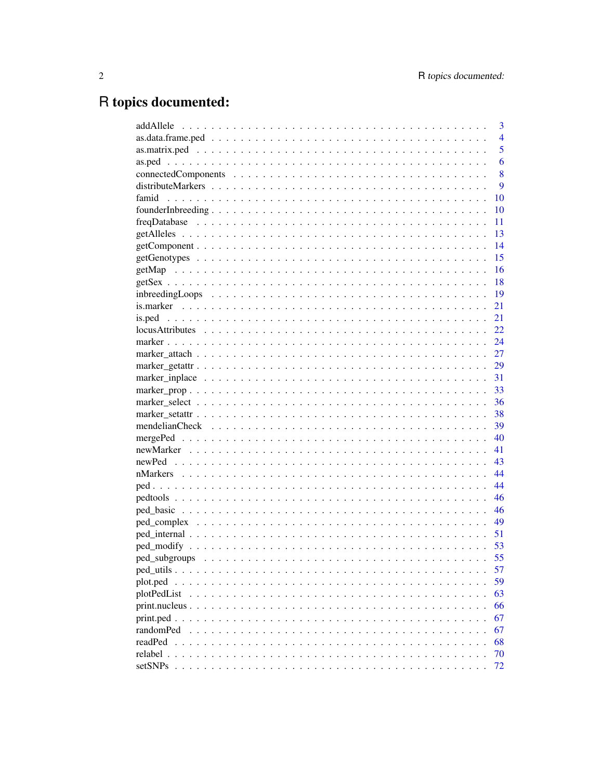# R topics documented:

|                                                          | 3              |
|----------------------------------------------------------|----------------|
|                                                          | $\overline{4}$ |
|                                                          | 5              |
|                                                          | 6              |
|                                                          | 8              |
|                                                          | 9              |
| famid                                                    | 10             |
|                                                          | 10             |
|                                                          | 11             |
|                                                          | 13             |
|                                                          | 14             |
|                                                          | 15             |
|                                                          | 16             |
|                                                          | 18             |
| -19                                                      |                |
|                                                          | 21             |
|                                                          | 21             |
|                                                          |                |
|                                                          | 24             |
|                                                          |                |
|                                                          |                |
|                                                          |                |
|                                                          | 33             |
|                                                          | 36             |
|                                                          |                |
|                                                          |                |
|                                                          | 40             |
|                                                          | 41             |
|                                                          |                |
|                                                          |                |
|                                                          | 44             |
| - 46                                                     |                |
|                                                          |                |
|                                                          | 49             |
|                                                          | 51             |
| - 53                                                     |                |
| 55                                                       |                |
|                                                          | 57             |
| plot.ped<br>$\ddot{\phantom{0}}$<br>$\ddot{\phantom{0}}$ | 59             |
| plotPedList                                              | 63             |
| print.nucleus                                            | 66             |
| print.ped.                                               | 67             |
| randomPed                                                | 67             |
| readPed                                                  | 68             |
| relabel.                                                 | 70             |
| setSNPs                                                  | 72             |
|                                                          |                |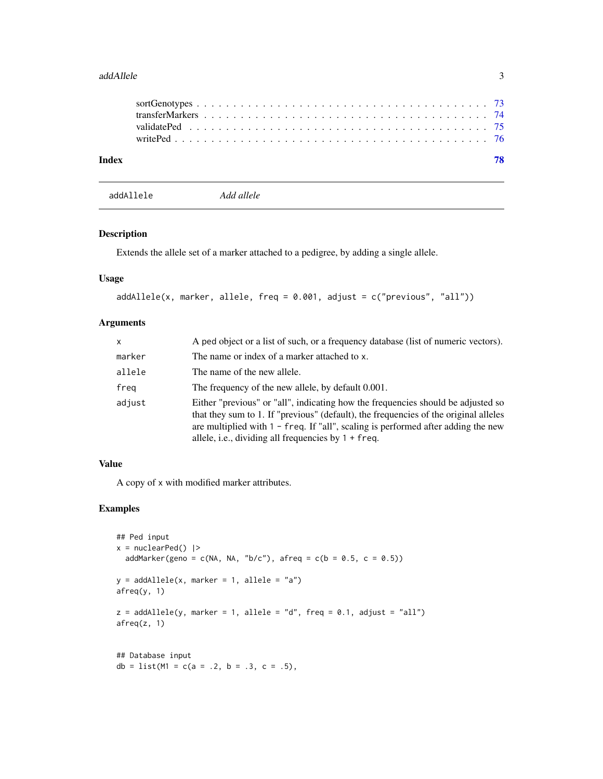#### <span id="page-2-0"></span>addAllele 3

| Index |  |  |  |  |  |  |  |  |  |  |  |  |  |  |  |  |  | 78 |
|-------|--|--|--|--|--|--|--|--|--|--|--|--|--|--|--|--|--|----|
|       |  |  |  |  |  |  |  |  |  |  |  |  |  |  |  |  |  |    |
|       |  |  |  |  |  |  |  |  |  |  |  |  |  |  |  |  |  |    |
|       |  |  |  |  |  |  |  |  |  |  |  |  |  |  |  |  |  |    |

addAllele *Add allele*

# Description

Extends the allele set of a marker attached to a pedigree, by adding a single allele.

# Usage

```
addAllele(x, marker, allele, freq = 0.001, adjust = c("previous", "all"))
```
# Arguments

| x      | A ped object or a list of such, or a frequency database (list of numeric vectors).                                                                                                                                                                                                                                         |
|--------|----------------------------------------------------------------------------------------------------------------------------------------------------------------------------------------------------------------------------------------------------------------------------------------------------------------------------|
| marker | The name or index of a marker attached to x.                                                                                                                                                                                                                                                                               |
| allele | The name of the new allele.                                                                                                                                                                                                                                                                                                |
| freg   | The frequency of the new allele, by default 0.001.                                                                                                                                                                                                                                                                         |
| adjust | Either "previous" or "all", indicating how the frequencies should be adjusted so<br>that they sum to 1. If "previous" (default), the frequencies of the original alleles<br>are multiplied with $1 - freq$ . If "all", scaling is performed after adding the new<br>allele, i.e., dividing all frequencies by $1 + freq$ . |

# Value

A copy of x with modified marker attributes.

```
## Ped input
x = nuclearPed() |>
  addMarker(geno = c(NA, NA, "b/c"), afreq = c(b = 0.5, c = 0.5))
y = addAllele(x, marker = 1, allele = "a")afreq(y, 1)
z = addAllele(y, marker = 1, allele = "d", freq = 0.1, adjust = "all")afreq(z, 1)
## Database input
db = list(M1 = c(a = .2, b = .3, c = .5),
```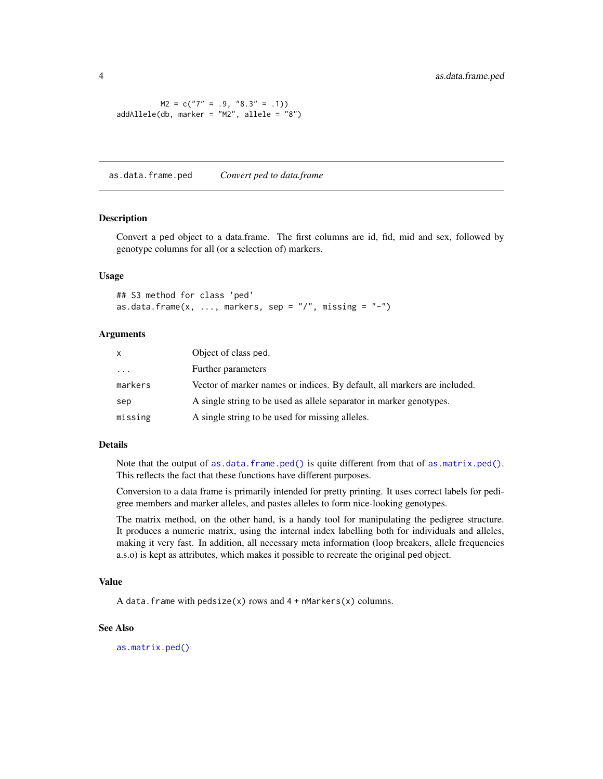<span id="page-3-0"></span> $M2 = c("7" = .9, "8.3" = .1)$ addAllele(db, marker = "M2", allele = "8")

<span id="page-3-1"></span>as.data.frame.ped *Convert ped to data.frame*

#### Description

Convert a ped object to a data.frame. The first columns are id, fid, mid and sex, followed by genotype columns for all (or a selection of) markers.

#### Usage

```
## S3 method for class 'ped'
as.data.frame(x, \ldots, markers, sep = ''/, missing = "-")
```
#### Arguments

| x        | Object of class ped.                                                     |
|----------|--------------------------------------------------------------------------|
| $\cdots$ | Further parameters                                                       |
| markers  | Vector of marker names or indices. By default, all markers are included. |
| sep      | A single string to be used as allele separator in marker genotypes.      |
| missing  | A single string to be used for missing alleles.                          |

#### Details

Note that the output of [as.data.frame.ped\(\)](#page-3-1) is quite different from that of [as.matrix.ped\(\)](#page-4-1). This reflects the fact that these functions have different purposes.

Conversion to a data frame is primarily intended for pretty printing. It uses correct labels for pedigree members and marker alleles, and pastes alleles to form nice-looking genotypes.

The matrix method, on the other hand, is a handy tool for manipulating the pedigree structure. It produces a numeric matrix, using the internal index labelling both for individuals and alleles, making it very fast. In addition, all necessary meta information (loop breakers, allele frequencies a.s.o) is kept as attributes, which makes it possible to recreate the original ped object.

#### Value

A data. frame with  $pedsize(x)$  rows and  $4 + n$ Markers(x) columns.

#### See Also

[as.matrix.ped\(\)](#page-4-1)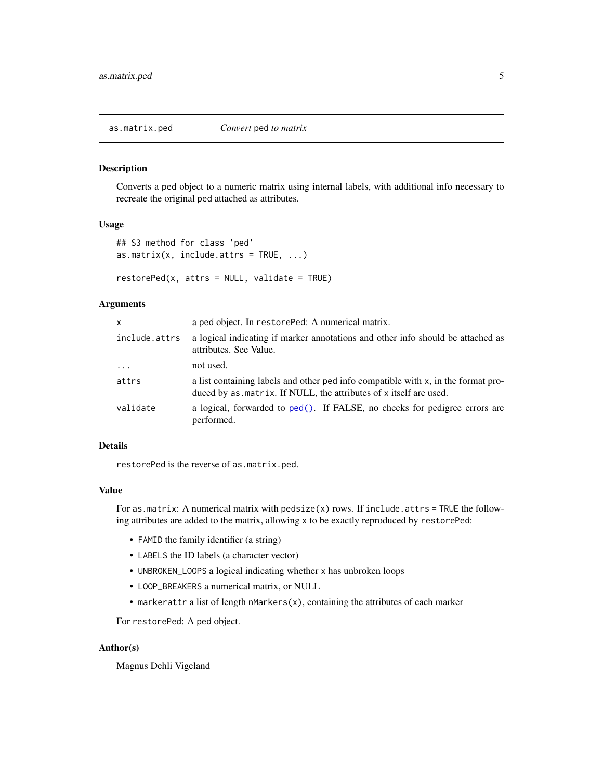# <span id="page-4-1"></span><span id="page-4-0"></span>Description

Converts a ped object to a numeric matrix using internal labels, with additional info necessary to recreate the original ped attached as attributes.

#### Usage

```
## S3 method for class 'ped'
as.matrix(x, include.attrs = TRUE, ...)
```
 $restorePed(x, attrs = NULL, validate = TRUE)$ 

# Arguments

| a ped object. In restore Ped: A numerical matrix.                                                                                                        |
|----------------------------------------------------------------------------------------------------------------------------------------------------------|
| a logical indicating if marker annotations and other info should be attached as<br>attributes. See Value.                                                |
| not used.                                                                                                                                                |
| a list containing labels and other ped info compatible with x, in the format pro-<br>duced by as . matrix. If NULL, the attributes of x itself are used. |
| a logical, forwarded to ped(). If FALSE, no checks for pedigree errors are<br>performed.                                                                 |
|                                                                                                                                                          |

# Details

restorePed is the reverse of as.matrix.ped.

#### Value

For as.matrix: A numerical matrix with pedsize(x) rows. If include.attrs = TRUE the following attributes are added to the matrix, allowing x to be exactly reproduced by restorePed:

- FAMID the family identifier (a string)
- LABELS the ID labels (a character vector)
- UNBROKEN\_LOOPS a logical indicating whether x has unbroken loops
- LOOP\_BREAKERS a numerical matrix, or NULL
- markerattr a list of length nMarkers(x), containing the attributes of each marker

For restorePed: A ped object.

#### Author(s)

Magnus Dehli Vigeland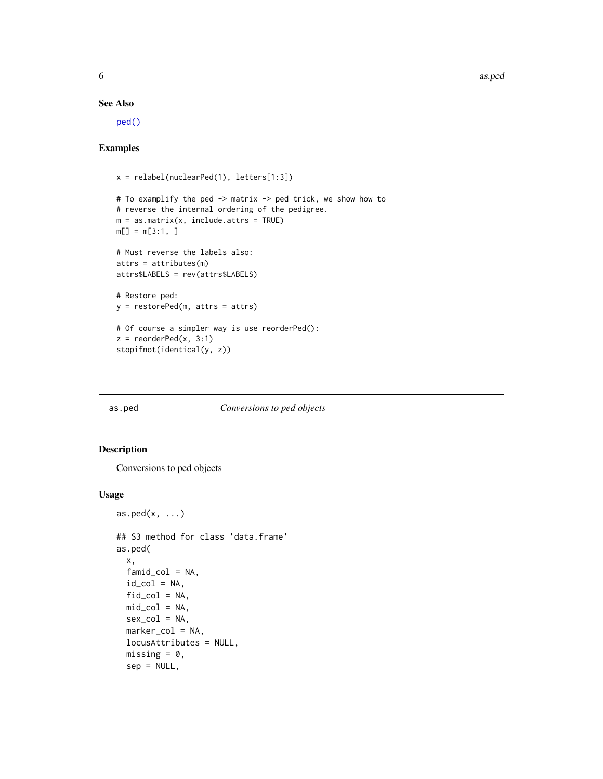6 as. pediatrix and the contract of the contract of the contract of the contract of the contract of the contract of the contract of the contract of the contract of the contract of the contract of the contract of the contra

#### See Also

[ped\(\)](#page-43-1)

# Examples

```
x = relabel(nuclearPed(1), letters[1:3])
# To examplify the ped -> matrix -> ped trick, we show how to
# reverse the internal ordering of the pedigree.
m = as_matrix(x, include.atters = TRUE)m[\ ] = m[3:1, ]# Must reverse the labels also:
attrs = attributes(m)
attrs$LABELS = rev(attrs$LABELS)
# Restore ped:
y = restorePed(m, attrs = attrs)
# Of course a simpler way is use reorderPed():
z = reorderPed(x, 3:1)stopifnot(identical(y, z))
```
#### as.ped *Conversions to ped objects*

#### Description

Conversions to ped objects

```
as.ped(x, \ldots)## S3 method for class 'data.frame'
as.ped(
  x,
 famid_col = NA,
  id\_col = NA,
  fid_col = NA,
 mid\_col = NA,
  sex_col = NA,
 marker_col = NA,
  locusAttributes = NULL,
  missing = 0,
  sep = NULL,
```
<span id="page-5-0"></span>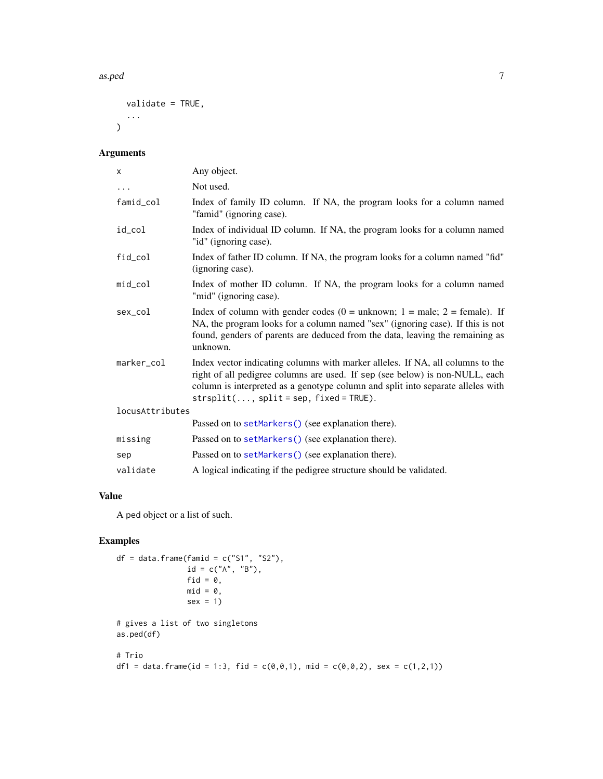#### as.ped 7 assessment of the contract of the contract of the contract of the contract of the contract of the contract of the contract of the contract of the contract of the contract of the contract of the contract of the con

```
validate = TRUE,
   ...
\mathcal{L}
```
# Arguments

| X               | Any object.                                                                                                                                                                                                                                                                                   |
|-----------------|-----------------------------------------------------------------------------------------------------------------------------------------------------------------------------------------------------------------------------------------------------------------------------------------------|
| $\cdots$        | Not used.                                                                                                                                                                                                                                                                                     |
| famid_col       | Index of family ID column. If NA, the program looks for a column named<br>"famid" (ignoring case).                                                                                                                                                                                            |
| id_col          | Index of individual ID column. If NA, the program looks for a column named<br>"id" (ignoring case).                                                                                                                                                                                           |
| fid col         | Index of father ID column. If NA, the program looks for a column named "fid"<br>(ignoring case).                                                                                                                                                                                              |
| $mid\_col$      | Index of mother ID column. If NA, the program looks for a column named<br>"mid" (ignoring case).                                                                                                                                                                                              |
| sex_col         | Index of column with gender codes ( $0 =$ unknown; $1 =$ male; $2 =$ female). If<br>NA, the program looks for a column named "sex" (ignoring case). If this is not<br>found, genders of parents are deduced from the data, leaving the remaining as<br>unknown.                               |
| marker_col      | Index vector indicating columns with marker alleles. If NA, all columns to the<br>right of all pedigree columns are used. If sep (see below) is non-NULL, each<br>column is interpreted as a genotype column and split into separate alleles with<br>$strsplit(, split = sep, fixed = TRUE).$ |
| locusAttributes |                                                                                                                                                                                                                                                                                               |
|                 | Passed on to setMarkers() (see explanation there).                                                                                                                                                                                                                                            |
| missing         | Passed on to setMarkers () (see explanation there).                                                                                                                                                                                                                                           |
| sep             | Passed on to setMarkers() (see explanation there).                                                                                                                                                                                                                                            |
| validate        | A logical indicating if the pedigree structure should be validated.                                                                                                                                                                                                                           |

# Value

A ped object or a list of such.

```
df = data.frame(famid = c("S1", "S2"),id = c("A", "B"),fid = 0,
                  mid = 0,sex = 1)
# gives a list of two singletons
as.ped(df)
# Trio
df1 = data.frame(id = 1:3, fid = c(\emptyset, \emptyset, 1), mid = c(\emptyset, \emptyset, 2), sex = c(1,2,1))
```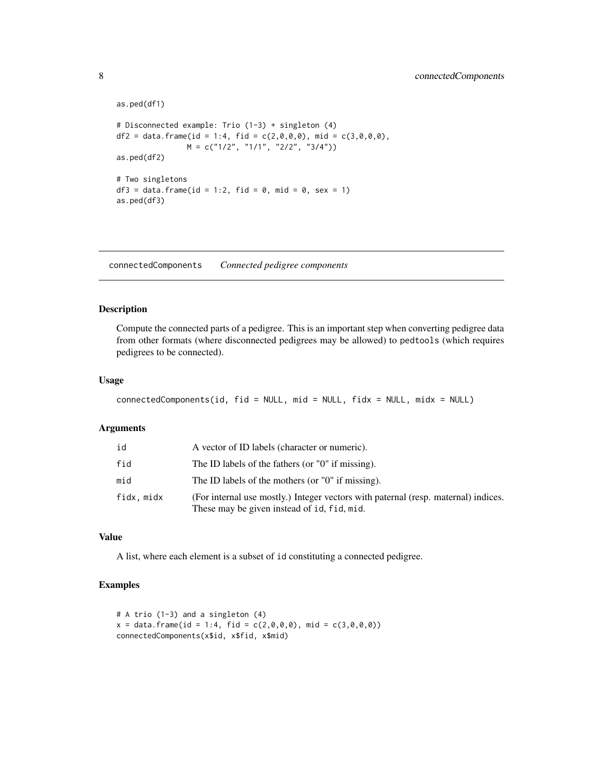```
as.ped(df1)
# Disconnected example: Trio (1-3) + singleton (4)
df2 = data. frame(id = 1:4, fid = c(2,0,0,0), mid = c(3,0,0,0),
                M = c("1/2", "1/1", "2/2", "3/4")as.ped(df2)
# Two singletons
df3 = data.frame(id = 1:2, fid = \theta, mid = \theta, sex = 1)
as.ped(df3)
```
connectedComponents *Connected pedigree components*

# Description

Compute the connected parts of a pedigree. This is an important step when converting pedigree data from other formats (where disconnected pedigrees may be allowed) to pedtools (which requires pedigrees to be connected).

# Usage

```
connectedComponents(id, fid = NULL, mid = NULL, fidx = NULL, midx = NULL)
```
#### Arguments

| id        | A vector of ID labels (character or numeric).                                                                                     |
|-----------|-----------------------------------------------------------------------------------------------------------------------------------|
| fid       | The ID labels of the fathers (or "0" if missing).                                                                                 |
| mid       | The ID labels of the mothers (or "0" if missing).                                                                                 |
| fidx.midx | (For internal use mostly.) Integer vectors with paternal (resp. maternal) indices.<br>These may be given instead of id, fid, mid. |

#### Value

A list, where each element is a subset of id constituting a connected pedigree.

```
# A trio (1-3) and a singleton (4)
x = data. frame(id = 1:4, fid = c(2,0,0,0), mid = c(3,0,0,0))
connectedComponents(x$id, x$fid, x$mid)
```
<span id="page-7-0"></span>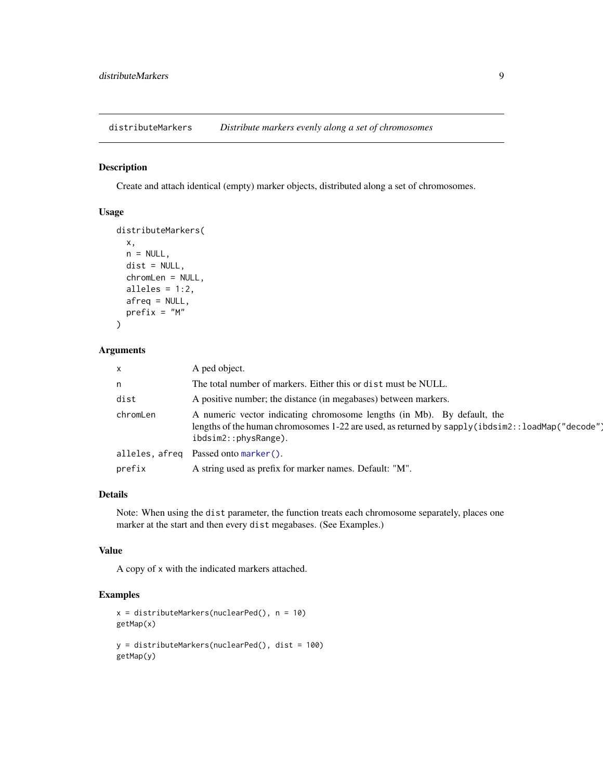<span id="page-8-0"></span>distributeMarkers *Distribute markers evenly along a set of chromosomes*

# Description

Create and attach identical (empty) marker objects, distributed along a set of chromosomes.

#### Usage

```
distributeMarkers(
  x,
  n = NULL,dist = NULL,
  chromLen = NULL,
  alleles = 1:2,
  afreq = NULL,
  prefix = "M"
\mathcal{L}
```
#### Arguments

| X              | A ped object.                                                                                                                                                                                        |
|----------------|------------------------------------------------------------------------------------------------------------------------------------------------------------------------------------------------------|
| n              | The total number of markers. Either this or dist must be NULL.                                                                                                                                       |
| dist           | A positive number; the distance (in megabases) between markers.                                                                                                                                      |
| chromLen       | A numeric vector indicating chromosome lengths (in Mb). By default, the<br>lengths of the human chromosomes 1-22 are used, as returned by sapply (ibdsim2::loadMap("decode")<br>ibdsim2::physRange). |
| alleles, afreq | Passed onto marker().                                                                                                                                                                                |
| prefix         | A string used as prefix for marker names. Default: "M".                                                                                                                                              |

# Details

Note: When using the dist parameter, the function treats each chromosome separately, places one marker at the start and then every dist megabases. (See Examples.)

# Value

A copy of x with the indicated markers attached.

```
x = distributeMarkers(nuclearPed(), n = 10)
getMap(x)
y = distributeMarkers(nuclearPed(), dist = 100)
getMap(y)
```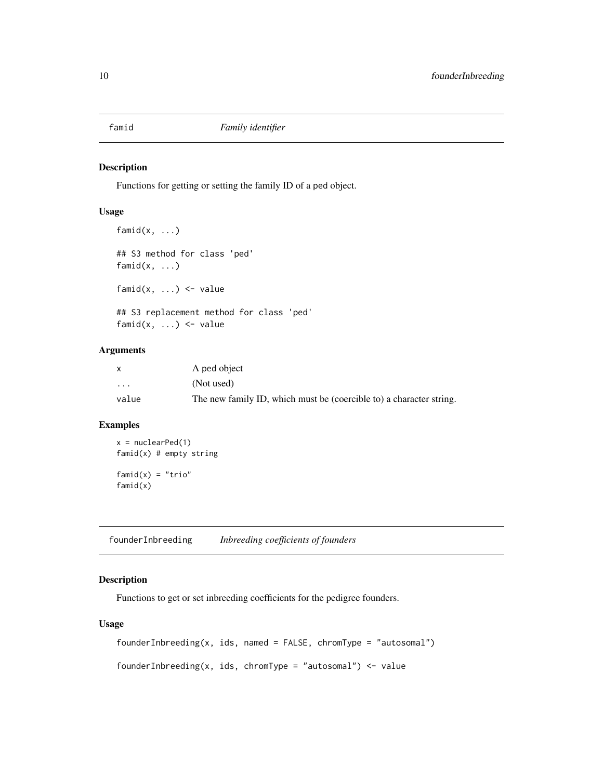<span id="page-9-0"></span>

# Description

famid $(x, \ldots)$ 

Functions for getting or setting the family ID of a ped object.

# Usage

## S3 method for class 'ped' famid $(x, \ldots)$ famid $(x, \ldots)$  <- value

## S3 replacement method for class 'ped' famid $(x, \ldots)$  <- value

#### Arguments

|                         | A ped object                                                        |
|-------------------------|---------------------------------------------------------------------|
| $\cdot$ $\cdot$ $\cdot$ | (Not used)                                                          |
| value                   | The new family ID, which must be (coercible to) a character string. |

#### Examples

```
x = nuclearPed(1)famid(x) # empty string
fami(d(x) = "trio"famid(x)
```
founderInbreeding *Inbreeding coefficients of founders*

# Description

Functions to get or set inbreeding coefficients for the pedigree founders.

# Usage

 $founderInbreeding(x,ids, named = FALSE, chromType = "autosomal")$ 

founderInbreeding(x, ids, chromType = "autosomal") <- value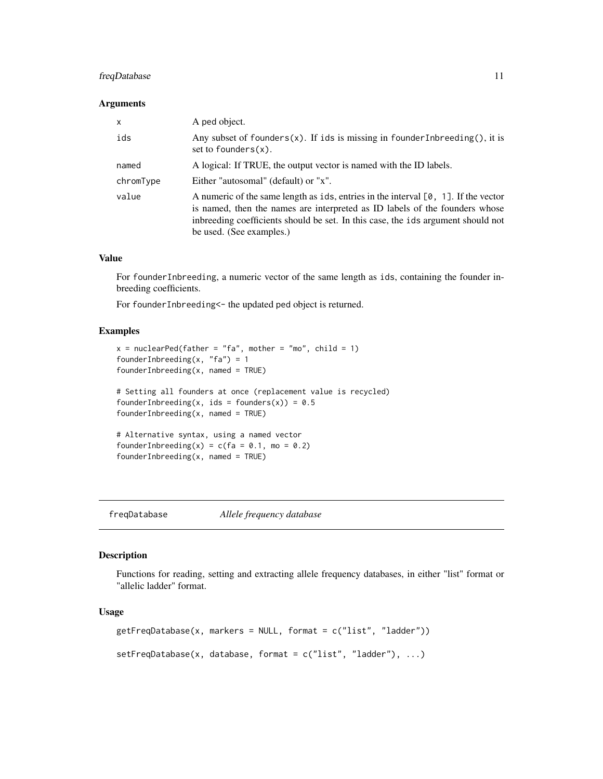# <span id="page-10-0"></span>freqDatabase 11

# Arguments

| X         | A ped object.                                                                                                                                                                                                                                                                        |
|-----------|--------------------------------------------------------------------------------------------------------------------------------------------------------------------------------------------------------------------------------------------------------------------------------------|
| ids       | Any subset of founders $(x)$ . If ids is missing in founder Inbreeding $($ ), it is<br>set to founders $(x)$ .                                                                                                                                                                       |
| named     | A logical: If TRUE, the output vector is named with the ID labels.                                                                                                                                                                                                                   |
| chromType | Either "autosomal" (default) or "x".                                                                                                                                                                                                                                                 |
| value     | A numeric of the same length as ids, entries in the interval $[0, 1]$ . If the vector<br>is named, then the names are interpreted as ID labels of the founders whose<br>inbreeding coefficients should be set. In this case, the ids argument should not<br>be used. (See examples.) |

# Value

For founderInbreeding, a numeric vector of the same length as ids, containing the founder inbreeding coefficients.

For founderInbreeding<- the updated ped object is returned.

#### Examples

```
x = nuclearPed(father = "fa", mother = "mo", child = 1)founderInbreeding(x, "fa") = 1
founderInbreeding(x, named = TRUE)# Setting all founders at once (replacement value is recycled)
founderInbreeding(x, ids = founders(x)) = 0.5founderInbreeding(x, named = TRUE)# Alternative syntax, using a named vector
founderInbreeding(x) = c(fa = 0.1, mo = 0.2)founderInbreeding(x, named = TRUE)
```
freqDatabase *Allele frequency database*

#### Description

Functions for reading, setting and extracting allele frequency databases, in either "list" format or "allelic ladder" format.

```
getFreqDatabase(x, markers = NULL, format = c("list", "ladder"))setFreqDatabase(x, database, format = c("list", "ladder"), ...)
```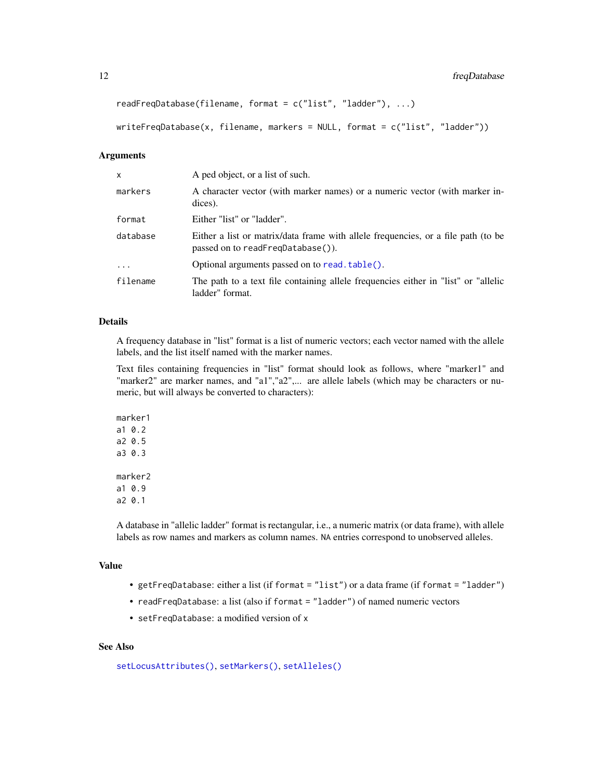readFreqDatabase(filename, format = c("list", "ladder"), ...)

writeFreqDatabase(x, filename, markers = NULL, format = c("list", "ladder"))

#### Arguments

| x        | A ped object, or a list of such.                                                                                       |
|----------|------------------------------------------------------------------------------------------------------------------------|
| markers  | A character vector (with marker names) or a numeric vector (with marker in-<br>dices).                                 |
| format   | Either "list" or "ladder".                                                                                             |
| database | Either a list or matrix/data frame with allele frequencies, or a file path (to be<br>passed on to readFreqDatabase()). |
| $\ddots$ | Optional arguments passed on to read. table().                                                                         |
| filename | The path to a text file containing allele frequencies either in "list" or "allelic"<br>ladder" format.                 |

#### Details

A frequency database in "list" format is a list of numeric vectors; each vector named with the allele labels, and the list itself named with the marker names.

Text files containing frequencies in "list" format should look as follows, where "marker1" and "marker2" are marker names, and "a1", "a2",... are allele labels (which may be characters or numeric, but will always be converted to characters):

marker1 a1 0.2 a2 0.5 a3 0.3 marker2 a1 0.9 a2 0.1

A database in "allelic ladder" format is rectangular, i.e., a numeric matrix (or data frame), with allele labels as row names and markers as column names. NA entries correspond to unobserved alleles.

#### Value

- getFreqDatabase: either a list (if format = "list") or a data frame (if format = "ladder")
- readFreqDatabase: a list (also if format = "ladder") of named numeric vectors
- setFreqDatabase: a modified version of x

## See Also

```
setLocusAttributes(), setMarkers(), setAlleles()
```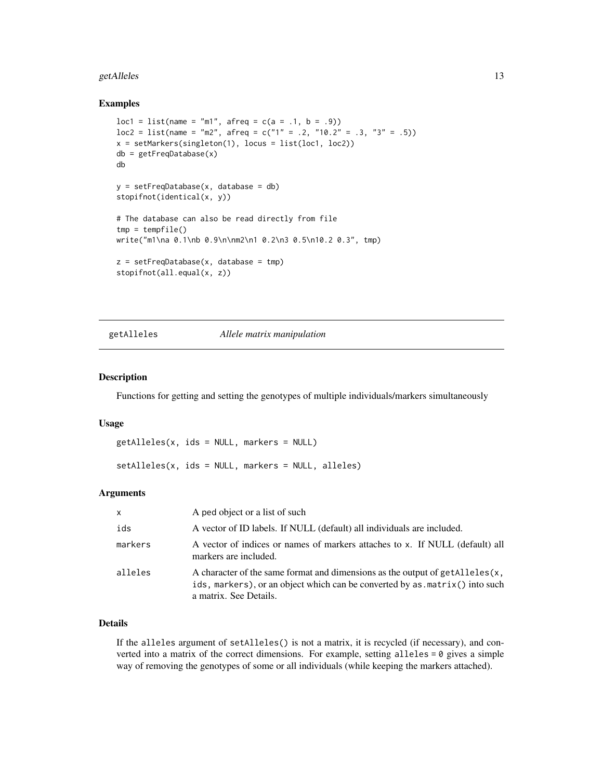#### <span id="page-12-0"></span>getAlleles and the set of the set of the set of the set of the set of the set of the set of the set of the set of the set of the set of the set of the set of the set of the set of the set of the set of the set of the set o

#### Examples

```
loc1 = list(name = "m1", afreq = c(a = .1, b = .9))loc2 = list(name = "m2", afterq = c("1" = .2, "10.2" = .3, "3" = .5))x = setMarkers(singleton(1), locus = list(loc1, loc2))db = getFreqDatabase(x)
db
y = setFreqDatabase(x, database = db)stopifnot(identical(x, y))
# The database can also be read directly from file
tmp = tempfile()write("m1\na 0.1\nb 0.9\n\nm2\n1 0.2\n3 0.5\n10.2 0.3", tmp)
z = setFreqDatabase(x, database = tmp)stopifnot(all.equal(x, z))
```
<span id="page-12-2"></span>

#### getAlleles *Allele matrix manipulation*

#### <span id="page-12-1"></span>Description

Functions for getting and setting the genotypes of multiple individuals/markers simultaneously

#### Usage

```
getAlleles(x, ids = NULL, markers = NULL)
setAlleles(x, ids = NULL, markers = NULL, alleles)
```
#### Arguments

| $\mathsf{x}$ | A ped object or a list of such                                                                                                                                                        |
|--------------|---------------------------------------------------------------------------------------------------------------------------------------------------------------------------------------|
| ids          | A vector of ID labels. If NULL (default) all individuals are included.                                                                                                                |
| markers      | A vector of indices or names of markers attaches to x. If NULL (default) all<br>markers are included.                                                                                 |
| alleles      | A character of the same format and dimensions as the output of getAlleles(x,<br>ids, markers), or an object which can be converted by as matrix() into such<br>a matrix. See Details. |

# Details

If the alleles argument of setAlleles() is not a matrix, it is recycled (if necessary), and converted into a matrix of the correct dimensions. For example, setting alleles = 0 gives a simple way of removing the genotypes of some or all individuals (while keeping the markers attached).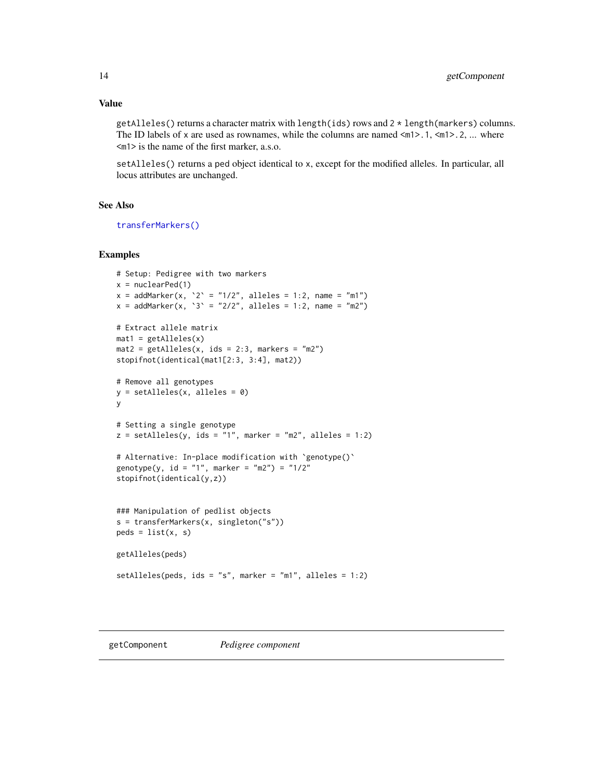<span id="page-13-0"></span>getAlleles() returns a character matrix with length(ids) rows and 2 \* length(markers) columns. The ID labels of x are used as rownames, while the columns are named  $\langle m1 \rangle$ .1,  $\langle m1 \rangle$ .2, ... where <m1> is the name of the first marker, a.s.o.

setAlleles() returns a ped object identical to x, except for the modified alleles. In particular, all locus attributes are unchanged.

# See Also

[transferMarkers\(\)](#page-73-1)

```
# Setup: Pedigree with two markers
x = nuclearPed(1)x = addMarket(x, '2' = "1/2", alleles = 1:2, name = "m1")x = \text{addMarket}(x, '3') = "2/2", \text{ alleles} = 1:2, \text{ name} = "m2")# Extract allele matrix
mat1 = getAlleles(x)
mat2 = getAlleles(x, ids = 2:3, markers = "m2")stopifnot(identical(mat1[2:3, 3:4], mat2))
# Remove all genotypes
y = setAlleles(x, alleles = 0)
y
# Setting a single genotype
z = setAlleles(y, ids = "1", marker = "m2", alleles = 1:2)
# Alternative: In-place modification with `genotype()`
genotype(y, id = "1", marker = "m2") = "1/2"
stopifnot(identical(y,z))
### Manipulation of pedlist objects
s = transferMarkers(x, singleton("s"))
peds = list(x, s)getAlleles(peds)
setAlleles(peds, ids = "s", marker = "m1", alleles = 1:2)
```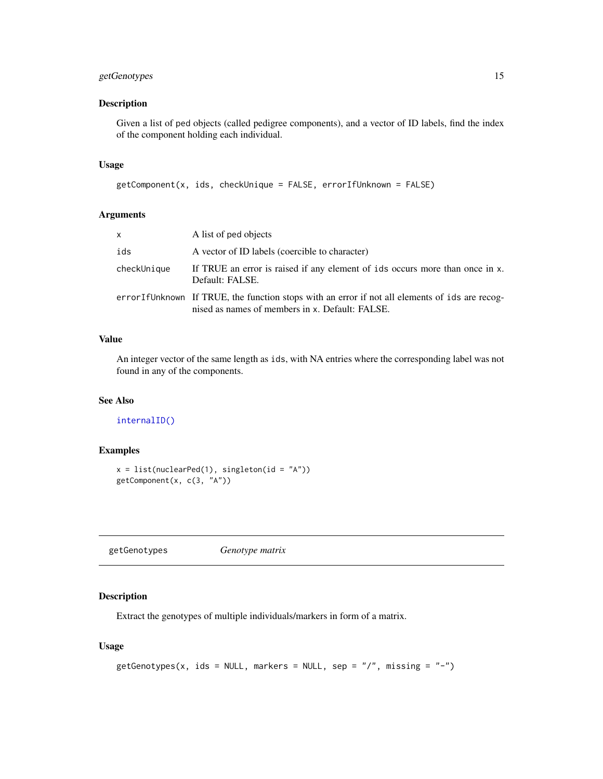# <span id="page-14-0"></span>getGenotypes 15

# Description

Given a list of ped objects (called pedigree components), and a vector of ID labels, find the index of the component holding each individual.

# Usage

```
getComponent(x, ids, checkUnique = FALSE, errorIfUnknown = FALSE)
```
# Arguments

| x           | A list of ped objects                                                                                                                             |
|-------------|---------------------------------------------------------------------------------------------------------------------------------------------------|
| ids         | A vector of ID labels (coercible to character)                                                                                                    |
| checkUnique | If TRUE an error is raised if any element of ids occurs more than once in x.<br>Default: FALSE.                                                   |
|             | errorIfUnknown If TRUE, the function stops with an error if not all elements of ids are recog-<br>nised as names of members in x. Default: FALSE. |

# Value

An integer vector of the same length as ids, with NA entries where the corresponding label was not found in any of the components.

# See Also

#### [internalID\(\)](#page-50-1)

#### Examples

```
x = list(nuclearPed(1), singleton(id = "A"))getComponent(x, c(3, "A"))
```
getGenotypes *Genotype matrix*

# Description

Extract the genotypes of multiple individuals/markers in form of a matrix.

```
getGenotypes(x, ids = NULL, markers = NULL, sep = ''/, missing = "-")
```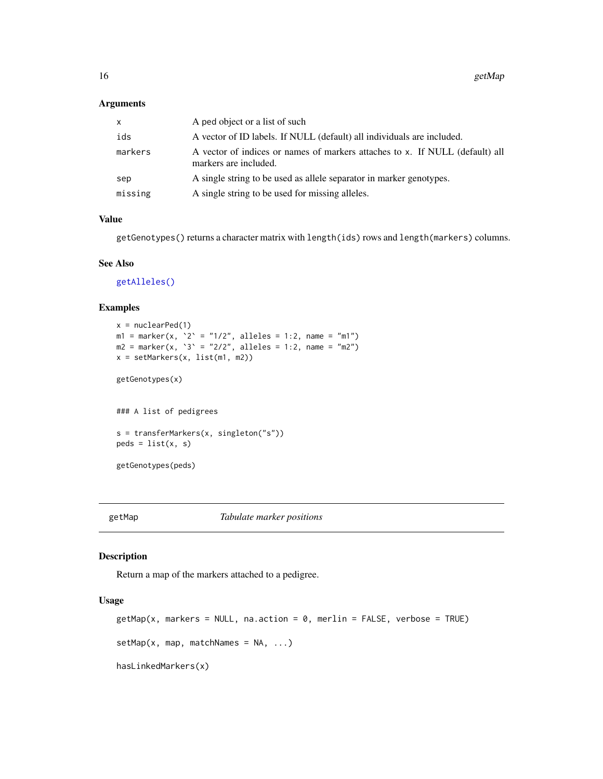#### <span id="page-15-0"></span>Arguments

| $\times$ | A ped object or a list of such                                                                        |
|----------|-------------------------------------------------------------------------------------------------------|
| ids      | A vector of ID labels. If NULL (default) all individuals are included.                                |
| markers  | A vector of indices or names of markers attaches to x. If NULL (default) all<br>markers are included. |
| sep      | A single string to be used as allele separator in marker genotypes.                                   |
| missing  | A single string to be used for missing alleles.                                                       |

#### Value

getGenotypes() returns a character matrix with length(ids) rows and length(markers) columns.

### See Also

[getAlleles\(\)](#page-12-2)

# Examples

```
x = nuclearPed(1)m1 = marker(x, '2' = "1/2", alleles = 1:2, name = "m1")m2 = marker(x, '3' = "2/2", alleles = 1:2, name = "m2")x = setMarkers(x, list(m1, m2))
getGenotypes(x)
### A list of pedigrees
s = transferMarkers(x, singleton("s"))
peds = list(x, s)getGenotypes(peds)
```
getMap *Tabulate marker positions*

# Description

Return a map of the markers attached to a pedigree.

```
getMap(x, marks = NULL, na.action = 0, merlin = FALSE, verbose = TRUE)setMap(x, map, matchNames = NA, ...)hasLinkedMarkers(x)
```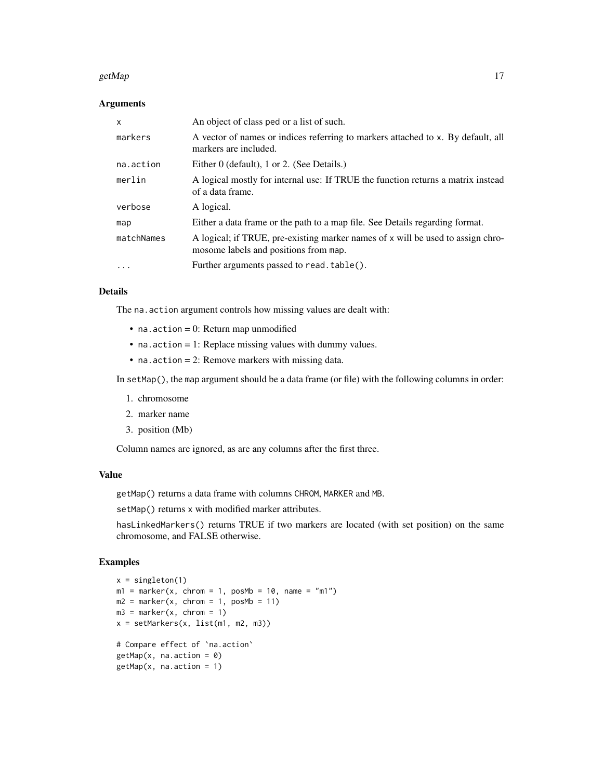#### getMap  $17$

# Arguments

| $\mathsf{x}$ | An object of class ped or a list of such.                                                                                |
|--------------|--------------------------------------------------------------------------------------------------------------------------|
| markers      | A vector of names or indices referring to markers attached to x. By default, all<br>markers are included.                |
| na.action    | Either 0 (default), 1 or 2. (See Details.)                                                                               |
| merlin       | A logical mostly for internal use: If TRUE the function returns a matrix instead<br>of a data frame.                     |
| verbose      | A logical.                                                                                                               |
| map          | Either a data frame or the path to a map file. See Details regarding format.                                             |
| matchNames   | A logical; if TRUE, pre-existing marker names of x will be used to assign chro-<br>mosome labels and positions from map. |
| $\ddotsc$    | Further arguments passed to read. table().                                                                               |

#### Details

The na.action argument controls how missing values are dealt with:

- $\bullet$  na. action = 0: Return map unmodified
- na.action = 1: Replace missing values with dummy values.
- na.action = 2: Remove markers with missing data.

In setMap(), the map argument should be a data frame (or file) with the following columns in order:

- 1. chromosome
- 2. marker name
- 3. position (Mb)

Column names are ignored, as are any columns after the first three.

#### Value

getMap() returns a data frame with columns CHROM, MARKER and MB.

setMap() returns x with modified marker attributes.

hasLinkedMarkers() returns TRUE if two markers are located (with set position) on the same chromosome, and FALSE otherwise.

```
x = singleton(1)
m1 = marker(x, chrom = 1, posMb = 10, name = "m1")m2 = marker(x, chrom = 1, posMb = 11)m3 = marker(x, chrom = 1)x = setMarkers(x, list(m1, m2, m3))# Compare effect of `na.action`
getMap(x, na.action = 0)getMap(x, na.action = 1)
```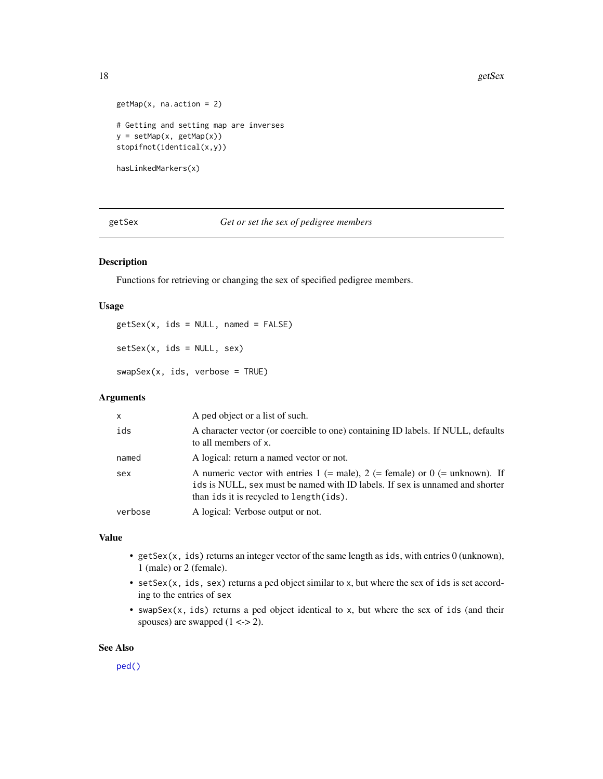```
getMap(x, na.action = 2)
# Getting and setting map are inverses
y = setMap(x, getMap(x))
stopifnot(identical(x,y))
```
hasLinkedMarkers(x)

getSex *Get or set the sex of pedigree members*

#### Description

Functions for retrieving or changing the sex of specified pedigree members.

#### Usage

 $gets(x, ids = NULL, named = FALSE)$  $setsex(x, ids = NULL, sex)$ swapSex(x, ids, verbose = TRUE)

#### Arguments

| $\mathsf{x}$ | A ped object or a list of such.                                                                                                                                                                               |
|--------------|---------------------------------------------------------------------------------------------------------------------------------------------------------------------------------------------------------------|
| ids          | A character vector (or coercible to one) containing ID labels. If NULL, defaults<br>to all members of x.                                                                                                      |
| named        | A logical: return a named vector or not.                                                                                                                                                                      |
| sex          | A numeric vector with entries $1$ (= male), $2$ (= female) or $0$ (= unknown). If<br>ids is NULL, sex must be named with ID labels. If sex is unnamed and shorter<br>than ids it is recycled to length (ids). |
| verbose      | A logical: Verbose output or not.                                                                                                                                                                             |

## Value

- getSex(x, ids) returns an integer vector of the same length as ids, with entries 0 (unknown), 1 (male) or 2 (female).
- setSex(x, ids, sex) returns a ped object similar to x, but where the sex of ids is set according to the entries of sex
- swapSex(x, ids) returns a ped object identical to x, but where the sex of ids (and their spouses) are swapped  $(1 \leq z \leq 2)$ .

#### See Also

[ped\(\)](#page-43-1)

<span id="page-17-0"></span>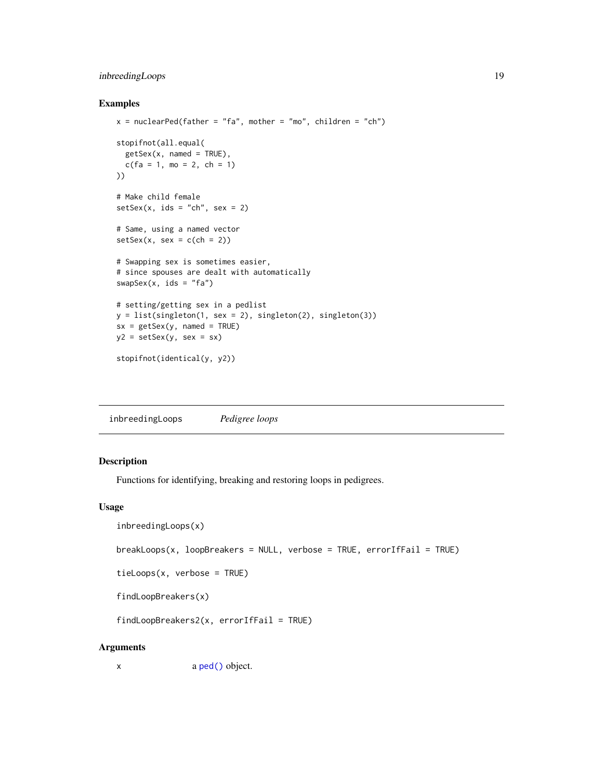# <span id="page-18-0"></span>inbreedingLoops 19

#### Examples

```
x = nuclearPed(father = "fa", mother = "mo", children = "ch")stopifnot(all.equal(
  getSex(x, named = TRUE),c(fa = 1, mo = 2, ch = 1)))
# Make child female
setsex(x, ids = "ch", sex = 2)# Same, using a named vector
setsex(x, sex = c(ch = 2))# Swapping sex is sometimes easier,
# since spouses are dealt with automatically
swapSex(x, ids = "fa")# setting/getting sex in a pedlist
y = list(singleton(1, sex = 2), singleton(2), singleton(3))sx = getSex(y, named = TRUE)y2 = setSex(y, sex = sx)stopifnot(identical(y, y2))
```
inbreedingLoops *Pedigree loops*

#### Description

Functions for identifying, breaking and restoring loops in pedigrees.

#### Usage

```
inbreedingLoops(x)
```

```
breakLoops(x, loopBreakers = NULL, verbose = TRUE, errorIf Fair = TRUE)
```

```
tieLoops(x, verbose = TRUE)
```
findLoopBreakers(x)

 $findLoopBreakers2(x, errorIf Fair = TRUE)$ 

#### Arguments

x a [ped\(\)](#page-43-1) object.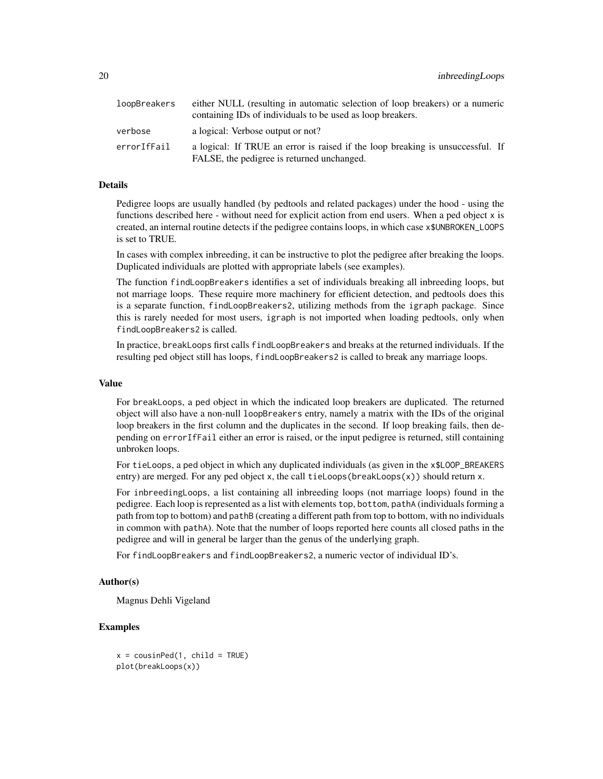| loopBreakers | either NULL (resulting in automatic selection of loop breakers) or a numeric<br>containing IDs of individuals to be used as loop breakers. |
|--------------|--------------------------------------------------------------------------------------------------------------------------------------------|
| verbose      | a logical: Verbose output or not?                                                                                                          |
| errorIfFail  | a logical: If TRUE an error is raised if the loop breaking is unsuccessful. If<br>FALSE, the pedigree is returned unchanged.               |

# Details

Pedigree loops are usually handled (by pedtools and related packages) under the hood - using the functions described here - without need for explicit action from end users. When a ped object x is created, an internal routine detects if the pedigree contains loops, in which case x\$UNBROKEN\_LOOPS is set to TRUE.

In cases with complex inbreeding, it can be instructive to plot the pedigree after breaking the loops. Duplicated individuals are plotted with appropriate labels (see examples).

The function findLoopBreakers identifies a set of individuals breaking all inbreeding loops, but not marriage loops. These require more machinery for efficient detection, and pedtools does this is a separate function, findLoopBreakers2, utilizing methods from the igraph package. Since this is rarely needed for most users, igraph is not imported when loading pedtools, only when findLoopBreakers2 is called.

In practice, breakLoops first calls findLoopBreakers and breaks at the returned individuals. If the resulting ped object still has loops, findLoopBreakers2 is called to break any marriage loops.

#### Value

For breakLoops, a ped object in which the indicated loop breakers are duplicated. The returned object will also have a non-null loopBreakers entry, namely a matrix with the IDs of the original loop breakers in the first column and the duplicates in the second. If loop breaking fails, then depending on errorIfFail either an error is raised, or the input pedigree is returned, still containing unbroken loops.

For tieLoops, a ped object in which any duplicated individuals (as given in the x\$LOOP\_BREAKERS entry) are merged. For any ped object x, the call tieLoops(breakLoops(x)) should return x.

For inbreedingLoops, a list containing all inbreeding loops (not marriage loops) found in the pedigree. Each loop is represented as a list with elements top, bottom, pathA (individuals forming a path from top to bottom) and pathB (creating a different path from top to bottom, with no individuals in common with pathA). Note that the number of loops reported here counts all closed paths in the pedigree and will in general be larger than the genus of the underlying graph.

For findLoopBreakers and findLoopBreakers2, a numeric vector of individual ID's.

# Author(s)

Magnus Dehli Vigeland

```
x = \text{cousinPed}(1, \text{ child} = \text{TRUE})plot(breakLoops(x))
```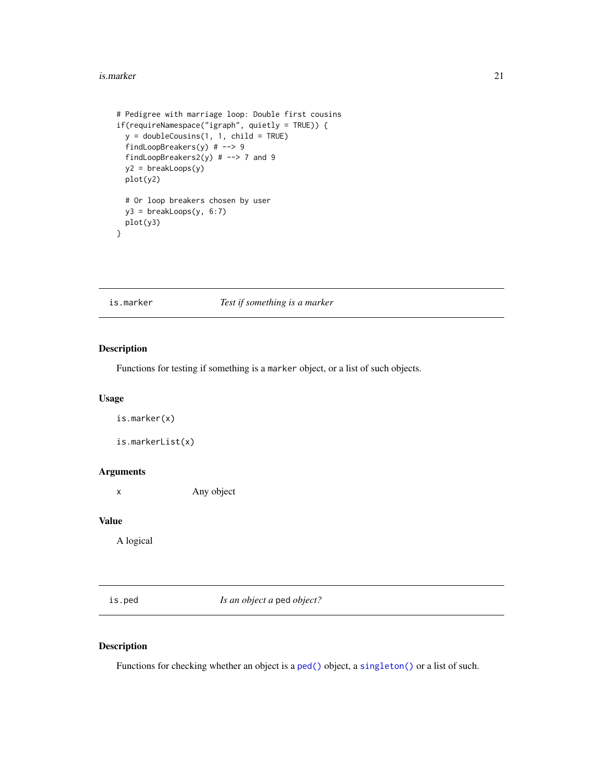#### <span id="page-20-0"></span>is.marker 21

```
# Pedigree with marriage loop: Double first cousins
if(requireNamespace("igraph", quietly = TRUE)) {
 y = doubleCousins(1, 1, child = TRUE)findLoopBreakers(y) # --> 9
 findLoopBreakers2(y) # --> 7 and 9
 y2 = breakLoops(y)
 plot(y2)
 # Or loop breakers chosen by user
 y3 = breakLoops(y, 6:7)plot(y3)
}
```
# is.marker *Test if something is a marker*

# Description

Functions for testing if something is a marker object, or a list of such objects.

#### Usage

is.marker(x)

is.markerList(x)

#### Arguments

x Any object

#### Value

A logical

is.ped *Is an object a* ped *object?*

# Description

Functions for checking whether an object is a [ped\(\)](#page-43-1) object, a [singleton\(\)](#page-43-2) or a list of such.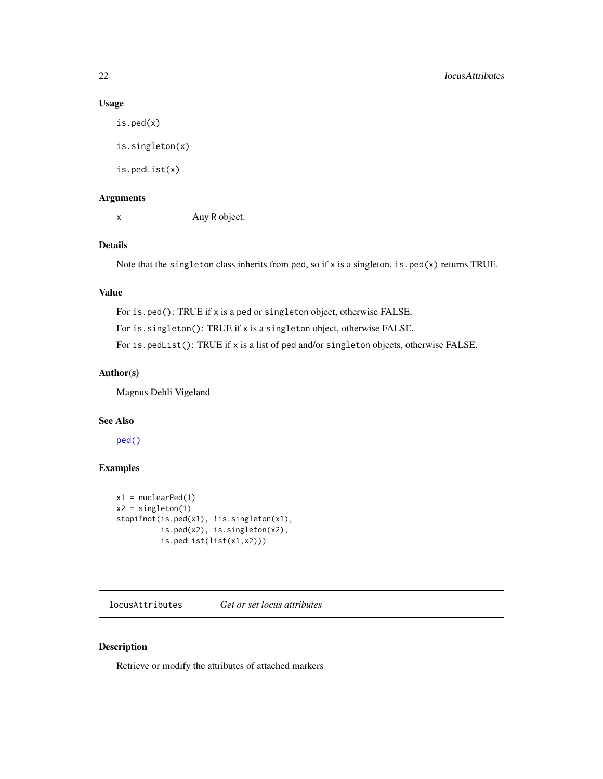# Usage

is.ped(x) is.singleton(x) is.pedList(x)

# Arguments

x Any R object.

# Details

Note that the singleton class inherits from ped, so if x is a singleton, is.ped(x) returns TRUE.

#### Value

For is.ped(): TRUE if x is a ped or singleton object, otherwise FALSE. For is.singleton(): TRUE if x is a singleton object, otherwise FALSE. For is.pedList(): TRUE if x is a list of ped and/or singleton objects, otherwise FALSE.

#### Author(s)

Magnus Dehli Vigeland

# See Also

[ped\(\)](#page-43-1)

# Examples

```
x1 = nuclearPed(1)x2 = singleton(1)
stopifnot(is.ped(x1), !is.singleton(x1),
         is.ped(x2), is.singleton(x2),
         is.pedList(list(x1,x2)))
```
locusAttributes *Get or set locus attributes*

## <span id="page-21-1"></span>Description

Retrieve or modify the attributes of attached markers

<span id="page-21-0"></span>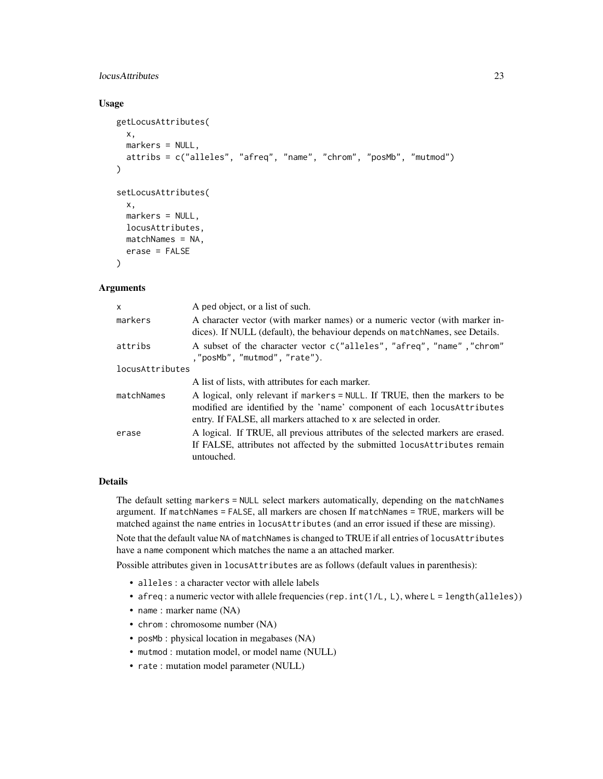# locusAttributes 23

#### Usage

```
getLocusAttributes(
 x,
  markers = NULL,
  attribs = c("alleles", "afreq", "name", "chrom", "posMb", "mutmod")
\lambdasetLocusAttributes(
  x,
  markers = NULL,
  locusAttributes,
 matchNames = NA,
  erase = FALSE
)
```
# Arguments

| $\mathsf{x}$    | A ped object, or a list of such.                                                                                                                                                                                             |  |
|-----------------|------------------------------------------------------------------------------------------------------------------------------------------------------------------------------------------------------------------------------|--|
| markers         | A character vector (with marker names) or a numeric vector (with marker in-<br>dices). If NULL (default), the behaviour depends on match Names, see Details.                                                                 |  |
| attribs         | A subset of the character vector c("alleles", "afreq", "name", "chrom"<br>,"posMb","mutmod","rate").                                                                                                                         |  |
| locusAttributes |                                                                                                                                                                                                                              |  |
|                 | A list of lists, with attributes for each marker.                                                                                                                                                                            |  |
| matchNames      | A logical, only relevant if markers = NULL. If TRUE, then the markers to be<br>modified are identified by the 'name' component of each locus Attributes<br>entry. If FALSE, all markers attached to x are selected in order. |  |
| erase           | A logical. If TRUE, all previous attributes of the selected markers are erased.<br>If FALSE, attributes not affected by the submitted locus Attributes remain<br>untouched.                                                  |  |

# Details

The default setting markers = NULL select markers automatically, depending on the matchNames argument. If matchNames = FALSE, all markers are chosen If matchNames = TRUE, markers will be matched against the name entries in locusAttributes (and an error issued if these are missing).

Note that the default value NA of matchNames is changed to TRUE if all entries of locusAttributes have a name component which matches the name a an attached marker.

Possible attributes given in locusAttributes are as follows (default values in parenthesis):

- alleles : a character vector with allele labels
- afreq: a numeric vector with allele frequencies (rep. int(1/L, L), where L = length(alleles))
- name : marker name (NA)
- chrom : chromosome number (NA)
- posMb : physical location in megabases (NA)
- mutmod : mutation model, or model name (NULL)
- rate : mutation model parameter (NULL)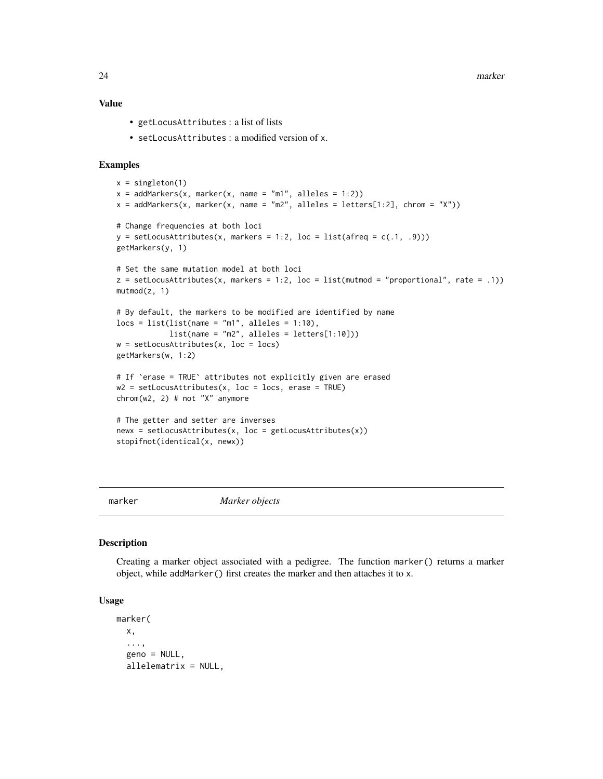<span id="page-23-0"></span>24 marker

# Value

- getLocusAttributes : a list of lists
- setLocusAttributes : a modified version of x.

#### Examples

```
x = singleton(1)
x = addMarkers(x, marker(x, name = "m1", alleles = 1:2))x = addMarkers(x, marker(x, name = "m2", alleles = letters[1:2], chrom = "X"))# Change frequencies at both loci
y = setLocusAttributes(x, markers = 1:2, loc = list(after = c(.1, .9)))getMarkers(y, 1)
# Set the same mutation model at both loci
z = setLocusAttributes(x, markers = 1:2, loc = list(mutmod = "proportional", rate = .1))mutmod(z, 1)# By default, the markers to be modified are identified by name
locs = list(list(name = "m1", alleles = 1:10),
            list(name = "m2", alleles = letters[1:10]))
w = setLocusAttributes(x, loc = locus)getMarkers(w, 1:2)
# If `erase = TRUE` attributes not explicitly given are erased
w2 = setLocusAttributes(x, loc = locs, erase = TRUE)
chrom(w2, 2) # not "X" anymore
# The getter and setter are inverses
newx = setLocusAttributes(x, loc = getLocusAttributes(x))
stopifnot(identical(x, newx))
```
<span id="page-23-1"></span>

marker *Marker objects*

#### <span id="page-23-2"></span>Description

Creating a marker object associated with a pedigree. The function marker() returns a marker object, while addMarker() first creates the marker and then attaches it to x.

```
marker(
  x,
  ...,
  geno = NULL,
  allelematrix = NULL,
```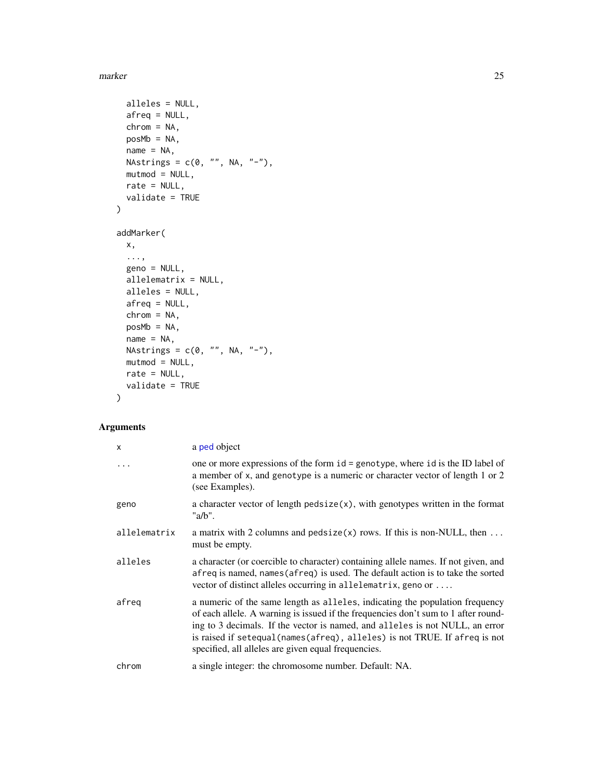#### marker 25

```
alleles = NULL,
 afreq = NULL,
 chrom = NA,
 posMb = NA,name = NA,NAstrings = c(\emptyset, "", NA, "-"),mutmod = NULL,rate = NULL,
 validate = TRUE
)
addMarker(
 x,
 ...,
 geno = NULL,
 allelematrix = NULL,
 alleles = NULL,
 afreq = NULL,
 chrom = NA,
 posMb = NA,name = NA,NAstrings = c(\emptyset, "", NA, "-"),mutmod = NULL,
 rate = NULL,
 validate = TRUE
)
```
# Arguments

| X            | a ped object                                                                                                                                                                                                                                                                                                                                                                             |
|--------------|------------------------------------------------------------------------------------------------------------------------------------------------------------------------------------------------------------------------------------------------------------------------------------------------------------------------------------------------------------------------------------------|
| $\ddots$     | one or more expressions of the form id = genotype, where id is the ID label of<br>a member of x, and genotype is a numeric or character vector of length 1 or 2<br>(see Examples).                                                                                                                                                                                                       |
| geno         | a character vector of length pedsize $(x)$ , with genotypes written in the format<br>"a/b".                                                                                                                                                                                                                                                                                              |
| allelematrix | a matrix with 2 columns and pedsize $(x)$ rows. If this is non-NULL, then<br>must be empty.                                                                                                                                                                                                                                                                                              |
| alleles      | a character (or coercible to character) containing allele names. If not given, and<br>afreq is named, names (afreq) is used. The default action is to take the sorted<br>vector of distinct alleles occurring in allelematrix, geno or                                                                                                                                                   |
| afreq        | a numeric of the same length as alleles, indicating the population frequency<br>of each allele. A warning is issued if the frequencies don't sum to 1 after round-<br>ing to 3 decimals. If the vector is named, and alleles is not NULL, an error<br>is raised if setequal (names (afreq), alleles) is not TRUE. If afreq is not<br>specified, all alleles are given equal frequencies. |
| chrom        | a single integer: the chromosome number. Default: NA.                                                                                                                                                                                                                                                                                                                                    |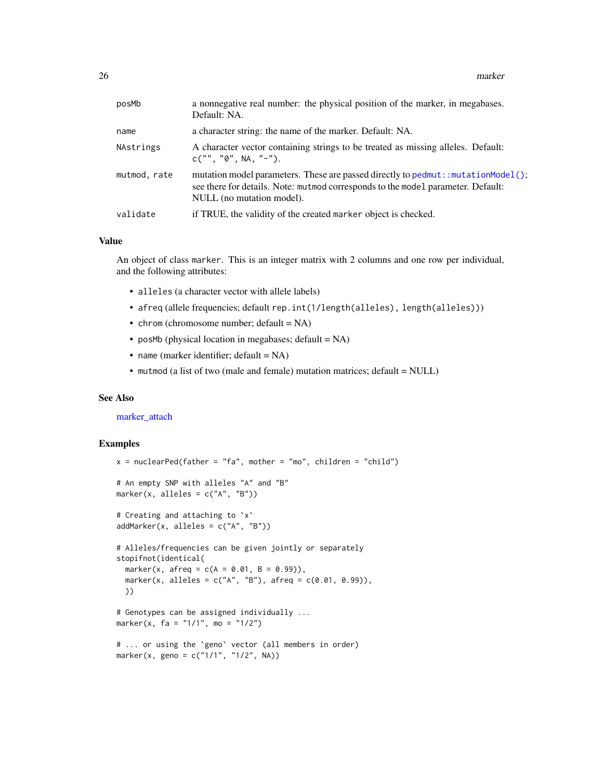| posMb        | a nonnegative real number: the physical position of the marker, in megabases.<br>Default: NA.                                                                                                       |
|--------------|-----------------------------------------------------------------------------------------------------------------------------------------------------------------------------------------------------|
| name         | a character string: the name of the marker. Default: NA.                                                                                                                                            |
| NAstrings    | A character vector containing strings to be treated as missing alleles. Default:<br>$C("", "0", NA, "-").$                                                                                          |
| mutmod, rate | mutation model parameters. These are passed directly to pedmut: : mutationModel();<br>see there for details. Note: mutmod corresponds to the model parameter. Default:<br>NULL (no mutation model). |
| validate     | if TRUE, the validity of the created marker object is checked.                                                                                                                                      |
|              |                                                                                                                                                                                                     |

#### Value

An object of class marker. This is an integer matrix with 2 columns and one row per individual, and the following attributes:

- alleles (a character vector with allele labels)
- afreq (allele frequencies; default rep.int(1/length(alleles), length(alleles)))
- chrom (chromosome number; default = NA)
- posMb (physical location in megabases; default  $= NA$ )
- name (marker identifier; default = NA)
- mutmod (a list of two (male and female) mutation matrices; default = NULL)

#### See Also

[marker\\_attach](#page-26-2)

```
x = nuclearPed(father = "fa", mother = "mo", children = "child")# An empty SNP with alleles "A" and "B"
marker(x, alleles = c("A", "B"))
# Creating and attaching to `x`
addMarker(x, alleles = c("A", "B"))
# Alleles/frequencies can be given jointly or separately
stopifnot(identical(
  marker(x, afreq = c(A = 0.01, B = 0.99)),
  marker(x, alleles = c("A", "B"), afreq = c(0.01, 0.99)),
  ))
# Genotypes can be assigned individually ...
marker(x, fa = "1/1", mo = "1/2")# ... or using the `geno` vector (all members in order)
marker(x, geno = c("1/1", "1/2", NA))
```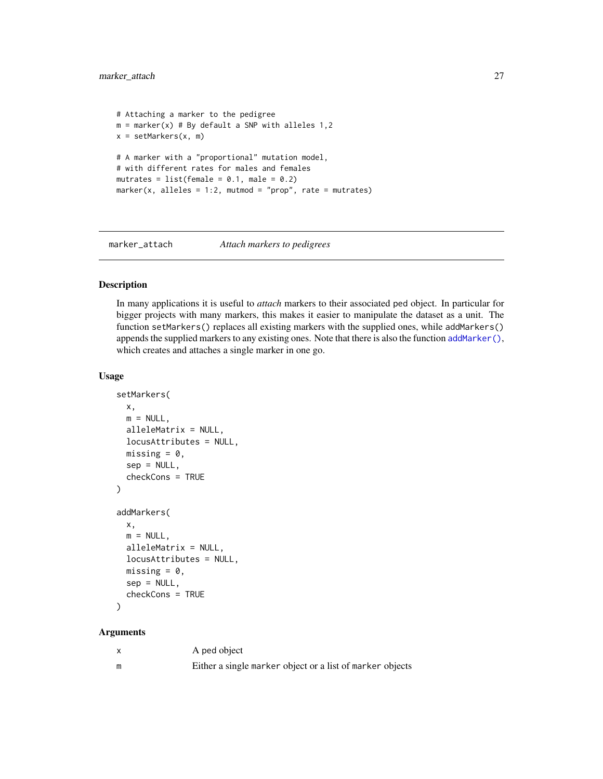```
# Attaching a marker to the pedigree
m = marker(x) # By default a SNP with alleles 1,2
x = setMarkers(x, m)# A marker with a "proportional" mutation model,
# with different rates for males and females
mutrates = list(female = 0.1, male = 0.2)marker(x, alleles = 1:2, mutual = "prop", rate = mutrates)
```
<span id="page-26-2"></span>

# marker\_attach *Attach markers to pedigrees*

#### <span id="page-26-1"></span>Description

In many applications it is useful to *attach* markers to their associated ped object. In particular for bigger projects with many markers, this makes it easier to manipulate the dataset as a unit. The function setMarkers() replaces all existing markers with the supplied ones, while addMarkers() appends the supplied markers to any existing ones. Note that there is also the function [addMarker\(\)](#page-23-2), which creates and attaches a single marker in one go.

#### Usage

```
setMarkers(
  x,
 m = NULL,alleleMatrix = NULL,
  locusAttributes = NULL,
 missing = 0,
 sep = NULL,checkCons = TRUE
)
addMarkers(
 x,
 m = NULL,alleleMatrix = NULL,
 locusAttributes = NULL,
 missing = 0.
  sep = NULL,checkCons = TRUE
)
```
# Arguments

|   | A ped object                                              |
|---|-----------------------------------------------------------|
| m | Either a single marker object or a list of marker objects |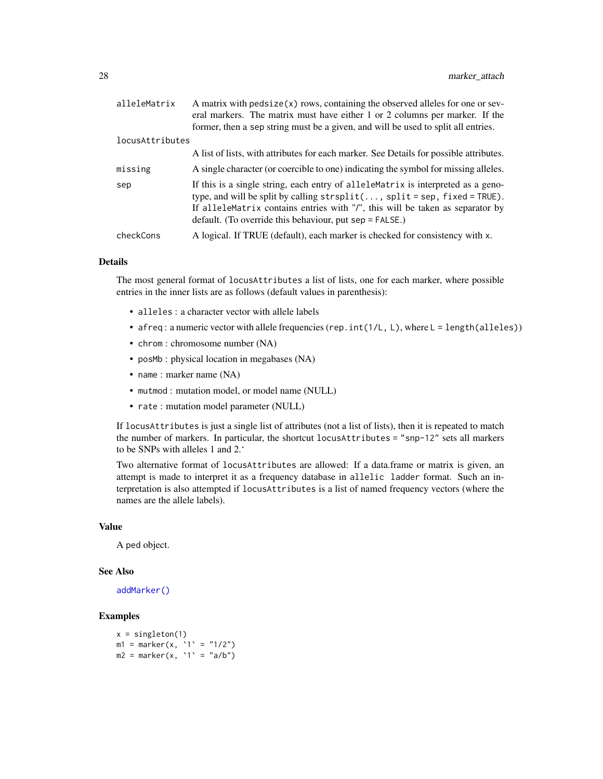| alleleMatrix    | A matrix with $pedsize(x)$ rows, containing the observed alleles for one or sev-<br>eral markers. The matrix must have either 1 or 2 columns per marker. If the                                                                                                                                                      |
|-----------------|----------------------------------------------------------------------------------------------------------------------------------------------------------------------------------------------------------------------------------------------------------------------------------------------------------------------|
|                 | former, then a sep string must be a given, and will be used to split all entries.                                                                                                                                                                                                                                    |
| locusAttributes |                                                                                                                                                                                                                                                                                                                      |
|                 | A list of lists, with attributes for each marker. See Details for possible attributes.                                                                                                                                                                                                                               |
| missing         | A single character (or coercible to one) indicating the symbol for missing alleles.                                                                                                                                                                                                                                  |
| sep             | If this is a single string, each entry of allelementarix is interpreted as a geno-<br>type, and will be split by calling $strsplit($ , $split = sep$ , $fixed = TRUE$ ).<br>If alleleMatrix contains entries with "/", this will be taken as separator by<br>default. (To override this behaviour, put sep = FALSE.) |
| checkCons       | A logical. If TRUE (default), each marker is checked for consistency with x.                                                                                                                                                                                                                                         |

# Details

The most general format of locusAttributes a list of lists, one for each marker, where possible entries in the inner lists are as follows (default values in parenthesis):

- alleles : a character vector with allele labels
- afreq: a numeric vector with allele frequencies (rep. int(1/L, L), where L = length(alleles))
- chrom : chromosome number (NA)
- posMb : physical location in megabases (NA)
- name : marker name (NA)
- mutmod : mutation model, or model name (NULL)
- rate : mutation model parameter (NULL)

If locusAttributes is just a single list of attributes (not a list of lists), then it is repeated to match the number of markers. In particular, the shortcut locusAttributes = "snp-12" sets all markers to be SNPs with alleles 1 and 2.'

Two alternative format of locusAttributes are allowed: If a data.frame or matrix is given, an attempt is made to interpret it as a frequency database in allelic ladder format. Such an interpretation is also attempted if locusAttributes is a list of named frequency vectors (where the names are the allele labels).

# Value

A ped object.

#### See Also

[addMarker\(\)](#page-23-2)

```
x = singleton(1)
m1 = marker(x, '1' = "1/2")m2 = marker(x, '1' = "a/b")
```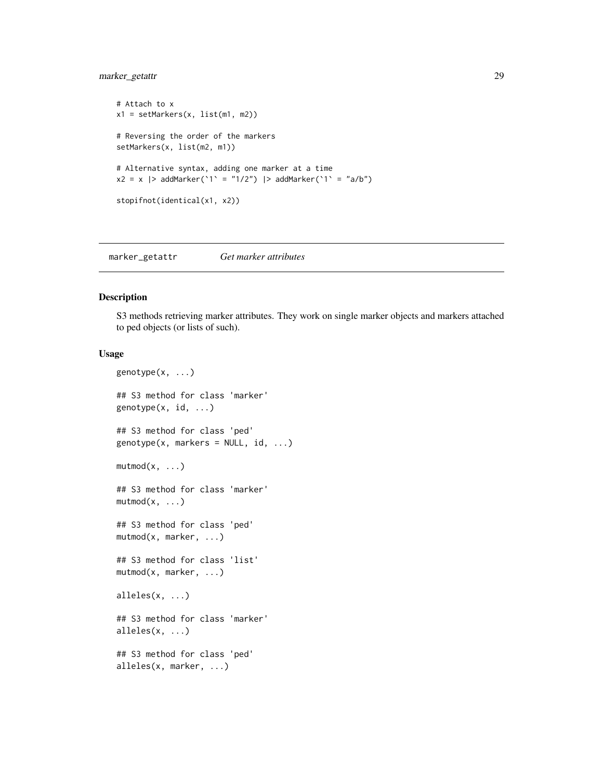# <span id="page-28-0"></span>marker\_getattr 29

```
# Attach to x
x1 = setMarkers(x, list(m1, m2))# Reversing the order of the markers
setMarkers(x, list(m2, m1))
# Alternative syntax, adding one marker at a time
x2 = x |> addMarker('1' = "1/2") |> addMarker('1' = "a/b")
stopifnot(identical(x1, x2))
```
<span id="page-28-1"></span>marker\_getattr *Get marker attributes*

# Description

S3 methods retrieving marker attributes. They work on single marker objects and markers attached to ped objects (or lists of such).

```
genotype(x, ...)
## S3 method for class 'marker'
genotype(x, id, ...)
## S3 method for class 'ped'
genotype(x, markers = NULL, id, ...)mutmod(x, \ldots)## S3 method for class 'marker'
mutmod(x, \ldots)## S3 method for class 'ped'
mutmod(x, marker, ...)
## S3 method for class 'list'
mutmod(x, marker, ...)
alleles(x, ...)
## S3 method for class 'marker'
alleles(x, ...)
## S3 method for class 'ped'
alleles(x, marker, ...)
```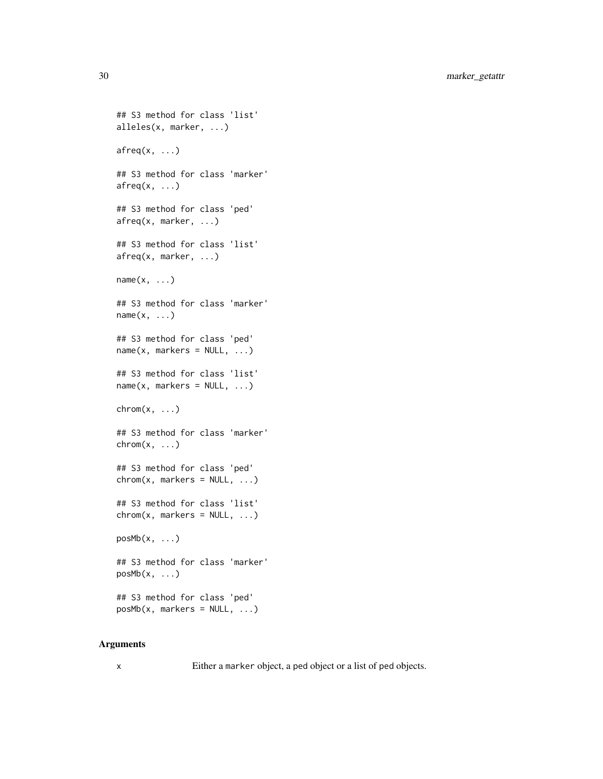```
## S3 method for class 'list'
alleles(x, marker, ...)
afreq(x, \ldots)## S3 method for class 'marker'
afreq(x, \ldots)## S3 method for class 'ped'
afreq(x, marker, ...)
## S3 method for class 'list'
afreq(x, marker, ...)
name(x, \ldots)## S3 method for class 'marker'
name(x, \ldots)## S3 method for class 'ped'
name(x, marks = NULL, ...)## S3 method for class 'list'
name(x, marks = NULL, ...)chrom(x, \ldots)## S3 method for class 'marker'
\text{chrom}(x, \ldots)## S3 method for class 'ped'
chrom(x, marks = NULL, ...)## S3 method for class 'list'
chrom(x, marks = NULL, ...)posMb(x, \ldots)## S3 method for class 'marker'
posMb(x, \ldots)## S3 method for class 'ped'
posMb(x, marks = NULL, ...)
```
# Arguments

x Either a marker object, a ped object or a list of ped objects.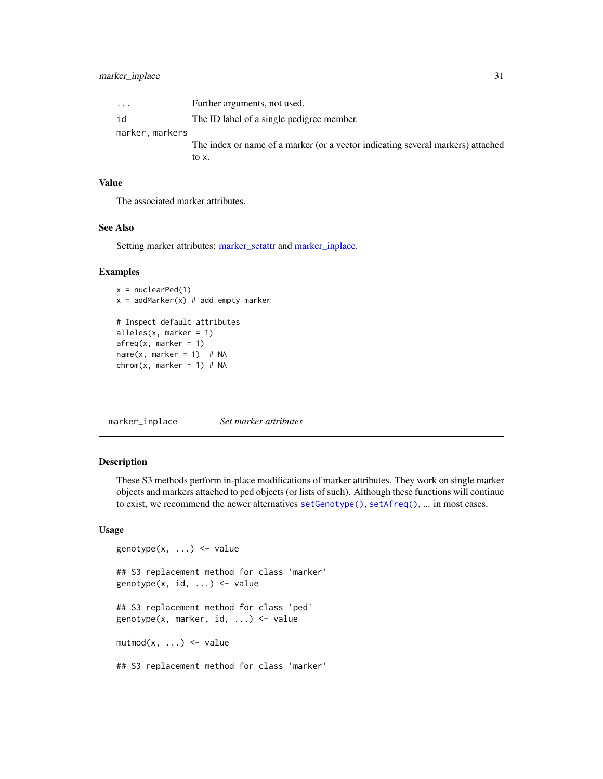<span id="page-30-0"></span>

| $\cdot$         | Further arguments, not used.                                                    |
|-----------------|---------------------------------------------------------------------------------|
| id              | The ID label of a single pedigree member.                                       |
| marker, markers |                                                                                 |
|                 | The index or name of a marker (or a vector indicating several markers) attached |
|                 | to x.                                                                           |

# Value

The associated marker attributes.

#### See Also

Setting marker attributes: [marker\\_setattr](#page-37-1) and [marker\\_inplace.](#page-30-1)

#### Examples

```
x = nuclearPed(1)x = addMarket(x) # add empty marker# Inspect default attributes
alleles(x, marker = 1)
afreq(x, marker = 1)name(x, marker = 1) # NA
chrom(x, marker = 1) # NA
```
<span id="page-30-1"></span>marker\_inplace *Set marker attributes*

#### Description

These S3 methods perform in-place modifications of marker attributes. They work on single marker objects and markers attached to ped objects (or lists of such). Although these functions will continue to exist, we recommend the newer alternatives [setGenotype\(\)](#page-37-2), [setAfreq\(\)](#page-37-2), ... in most cases.

```
genotype(x, ...) <- value
## S3 replacement method for class 'marker'
genotype(x, id, ...) <- value
## S3 replacement method for class 'ped'
genotype(x, marker, id, ...) <- value
mutmod(x, \ldots) \leq value## S3 replacement method for class 'marker'
```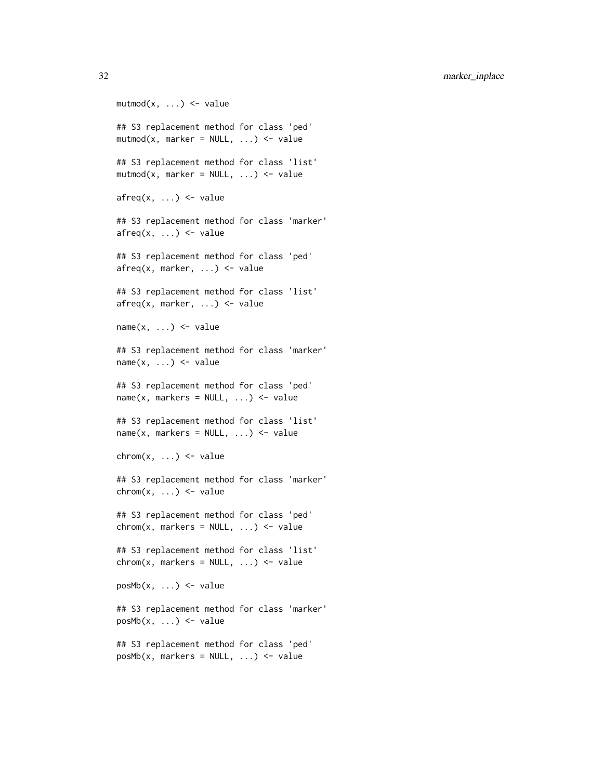32 marker\_inplace

 $mutmod(x, \ldots) \leq value$ ## S3 replacement method for class 'ped'  $mutmod(x, marker = NULL, ...) \le value$ ## S3 replacement method for class 'list'  $mutmod(x, marker = NULL, ...) \le value$  $afreq(x, \ldots) \leq value$ ## S3 replacement method for class 'marker'  $afreq(x, \ldots) \leq value$ ## S3 replacement method for class 'ped' afreq(x, marker, ...) <- value ## S3 replacement method for class 'list'  $afreq(x, marker, ...) \leftarrow value$  $name(x, ...) \leq value$ ## S3 replacement method for class 'marker'  $name(x, ...) \leftarrow value$ ## S3 replacement method for class 'ped'  $name(x, marks = NULL, ...)$  <- value ## S3 replacement method for class 'list'  $name(x, marks = NULL, ...)$  <- value  $chrom(x, \ldots) \leq value$ ## S3 replacement method for class 'marker'  $chrom(x, \ldots) \leq value$ ## S3 replacement method for class 'ped'  $chrom(x, marks = NULL, ...)$  <- value ## S3 replacement method for class 'list'  $chrom(x, marks = NULL, ...)$  <- value  $posMb(x, ...) < - value$ ## S3 replacement method for class 'marker'  $posMb(x, ...) < - value$ ## S3 replacement method for class 'ped'  $posMb(x, markers = NULL, ...) \leftarrow value$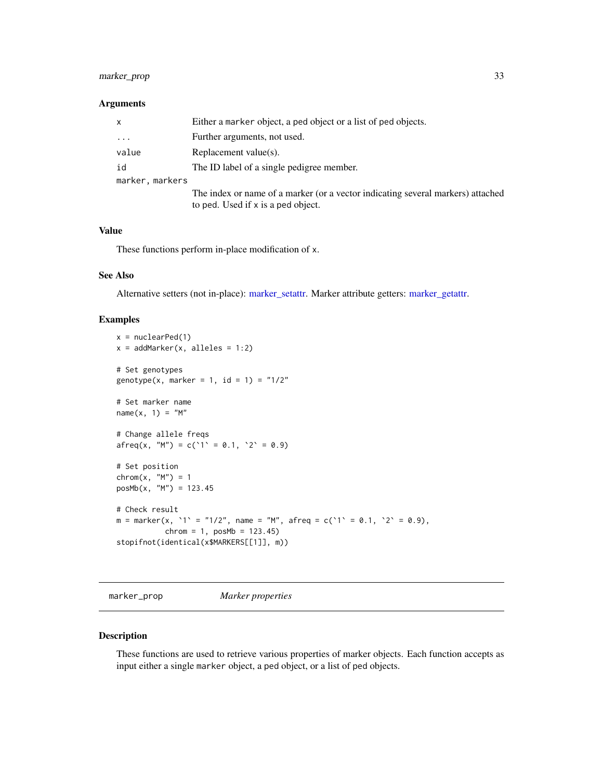# <span id="page-32-0"></span>marker\_prop 33

#### Arguments

| X               | Either a marker object, a ped object or a list of ped objects.                                                        |
|-----------------|-----------------------------------------------------------------------------------------------------------------------|
| $\cdots$        | Further arguments, not used.                                                                                          |
| value           | Replacement value(s).                                                                                                 |
| id              | The ID label of a single pedigree member.                                                                             |
| marker, markers |                                                                                                                       |
|                 | The index or name of a marker (or a vector indicating several markers) attached<br>to ped. Used if x is a ped object. |

#### Value

These functions perform in-place modification of x.

# See Also

Alternative setters (not in-place): [marker\\_setattr.](#page-37-1) Marker attribute getters: [marker\\_getattr.](#page-28-1)

# Examples

```
x = nuclearPed(1)x = addMarket(x, alleles = 1:2)# Set genotypes
genotype(x, marker = 1, id = 1) = "1/2"# Set marker name
name(x, 1) = "M"# Change allele freqs
afreq(x, "M") = c('1' = 0.1, '2' = 0.9)# Set position
\text{chrom}(x, "M") = 1posMb(x, "M") = 123.45
# Check result
m = marker(x, '1' = "1/2", name = "M", after eq = c('1' = 0.1, '2' = 0.9),chrom = 1, posMb = 123.45)stopifnot(identical(x$MARKERS[[1]], m))
```
marker\_prop *Marker properties*

#### Description

These functions are used to retrieve various properties of marker objects. Each function accepts as input either a single marker object, a ped object, or a list of ped objects.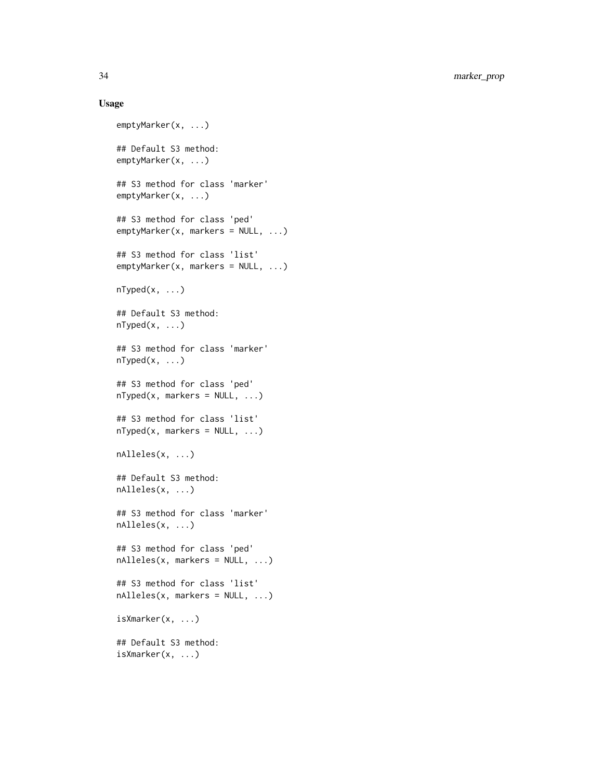```
emptyMarker(x, ...)
## Default S3 method:
emptyMarker(x, ...)
## S3 method for class 'marker'
emptyMarker(x, ...)
## S3 method for class 'ped'
emptyMarker(x, markers = NULL, ...)
## S3 method for class 'list'
emptyMarker(x, markers = NULL, ...)
nTyped(x, \ldots)## Default S3 method:
nTyped(x, \ldots)## S3 method for class 'marker'
nTyped(x, \ldots)## S3 method for class 'ped'
nTyped(x, markers = NULL, ...)## S3 method for class 'list'
nTyped(x, marks = NULL, ...)nAlleles(x, ...)
## Default S3 method:
nAlleles(x, ...)
## S3 method for class 'marker'
nAlleles(x, ...)
## S3 method for class 'ped'
nAlleles(x, markers = NULL, ...)
## S3 method for class 'list'
nAlleles(x, markers = NULL, ...)
isXmarker(x, ...)
## Default S3 method:
isXmarker(x, ...)
```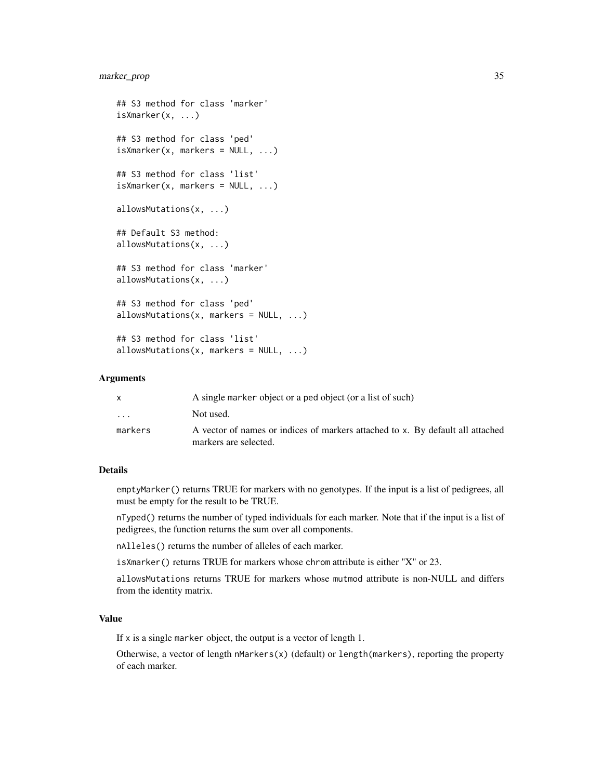# marker\_prop 35

```
## S3 method for class 'marker'
isXmarker(x, ...)
## S3 method for class 'ped'
isX marker(x, markers = NULL, ...)## S3 method for class 'list'
isX marker(x, marks = NULL, ...)allowsMutations(x, ...)
## Default S3 method:
allowsMutations(x, ...)
## S3 method for class 'marker'
allowsMutations(x, ...)
## S3 method for class 'ped'
allowsMutations(x, markers = NULL, ...)## S3 method for class 'list'
allowsMutations(x, markers = NULL, ...)
```
#### Arguments

|          | A single marker object or a ped object (or a list of such)                     |
|----------|--------------------------------------------------------------------------------|
| $\cdots$ | Not used.                                                                      |
| markers  | A vector of names or indices of markers attached to x. By default all attached |
|          | markers are selected.                                                          |

# Details

emptyMarker() returns TRUE for markers with no genotypes. If the input is a list of pedigrees, all must be empty for the result to be TRUE.

nTyped() returns the number of typed individuals for each marker. Note that if the input is a list of pedigrees, the function returns the sum over all components.

nAlleles() returns the number of alleles of each marker.

isXmarker() returns TRUE for markers whose chrom attribute is either "X" or 23.

allowsMutations returns TRUE for markers whose mutmod attribute is non-NULL and differs from the identity matrix.

#### Value

If x is a single marker object, the output is a vector of length 1.

Otherwise, a vector of length nMarkers(x) (default) or length(markers), reporting the property of each marker.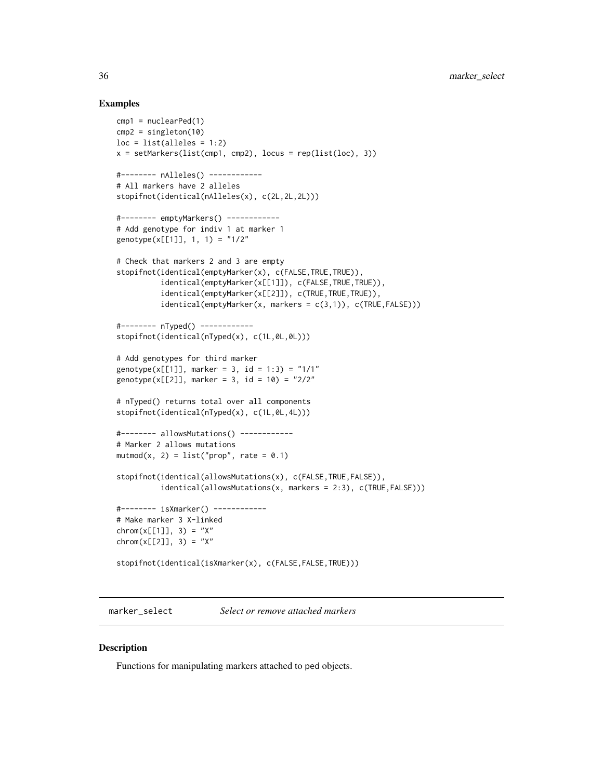# Examples

```
cmp1 = nuclearPed(1)
cmp2 = singleton(10)loc = list(alleles = 1:2)x = setMarkers(list(cmp1, cmp2), locus = rep(list(loc), 3))#-------- nAlleles() ------------
# All markers have 2 alleles
stopifnot(identical(nAlleles(x), c(2L,2L,2L)))
#-------- emptyMarkers() ------------
# Add genotype for indiv 1 at marker 1
genotype(x[[1]], 1, 1) = "1/2"
# Check that markers 2 and 3 are empty
stopifnot(identical(emptyMarker(x), c(FALSE, TRUE, TRUE)),
          identical(emptyMarker(x[[1]]), c(FALSE,TRUE,TRUE)),
          identical(emptyMarker(x[[2]]), c(TRUE,TRUE,TRUE)),
          identical(emptyMarker(x, marks = c(3,1)), c(TRUE, FALSE)))#-------- nTyped() ------------
stopifnot(identical(nTyped(x), c(1L,0L,0L)))
# Add genotypes for third marker
genotype(x[[1]], marker = 3, id = 1:3) = "1/1"
genotype(x[[2]], marker = 3, id = 10) = "2/2"
# nTyped() returns total over all components
stopifnot(identical(nTyped(x), c(1L,0L,4L)))
#-------- allowsMutations() ------------
# Marker 2 allows mutations
mutmod(x, 2) = list("prop", rate = 0.1)stopifnot(identical(allowsMutations(x), c(FALSE,TRUE,FALSE)),
          identical(allowsMutations(x, markers = 2:3), c(TRUE,FALSE)))
#-------- isXmarker() ------------
# Make marker 3 X-linked
chrom(x[[1]], 3) = "X"chrom(x[[2]], 3) = "X"stopifnot(identical(isXmarker(x), c(FALSE,FALSE,TRUE)))
```
marker\_select *Select or remove attached markers*

#### Description

Functions for manipulating markers attached to ped objects.

<span id="page-35-0"></span>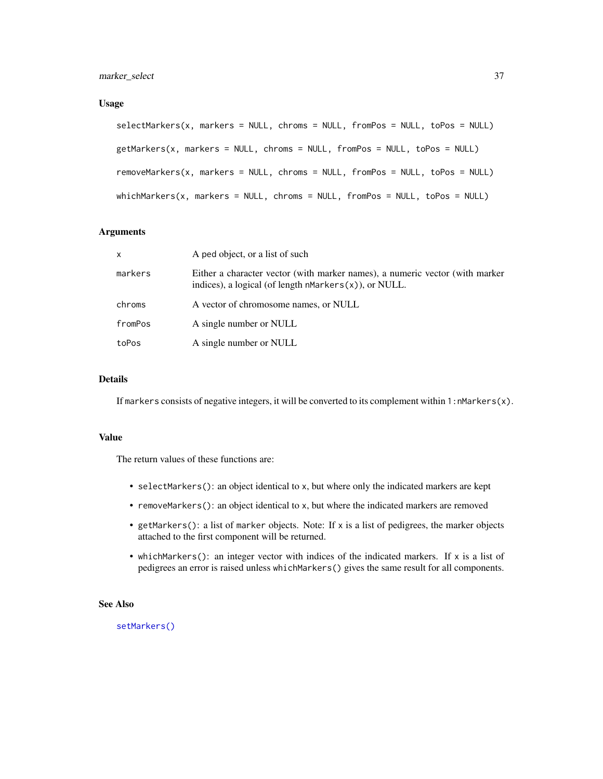### Usage

```
selectMarkers(x, markers = NULL, chroms = NULL, fromPos = NULL, toPos = NULL)
getMarkers(x, markers = NULL, chroms = NULL, fromPos = NULL, toPos = NULL)
removeMarkers(x, markers = NULL, chroms = NULL, fromPos = NULL, toPos = NULL)
whichMarkers(x, markers = NULL, chroms = NULL, fromPos = NULL, toPos = NULL)
```
# Arguments

| $\mathsf{x}$ | A ped object, or a list of such                                                                                                              |
|--------------|----------------------------------------------------------------------------------------------------------------------------------------------|
| markers      | Either a character vector (with marker names), a numeric vector (with marker<br>indices), a logical (of length $n$ Markers $(x)$ ), or NULL. |
| chroms       | A vector of chromosome names, or NULL                                                                                                        |
| fromPos      | A single number or NULL                                                                                                                      |
| toPos        | A single number or NULL                                                                                                                      |

# Details

If markers consists of negative integers, it will be converted to its complement within  $1:$ nMarkers(x).

#### Value

The return values of these functions are:

- selectMarkers(): an object identical to x, but where only the indicated markers are kept
- removeMarkers(): an object identical to x, but where the indicated markers are removed
- getMarkers(): a list of marker objects. Note: If x is a list of pedigrees, the marker objects attached to the first component will be returned.
- whichMarkers(): an integer vector with indices of the indicated markers. If x is a list of pedigrees an error is raised unless whichMarkers() gives the same result for all components.

### See Also

[setMarkers\(\)](#page-26-0)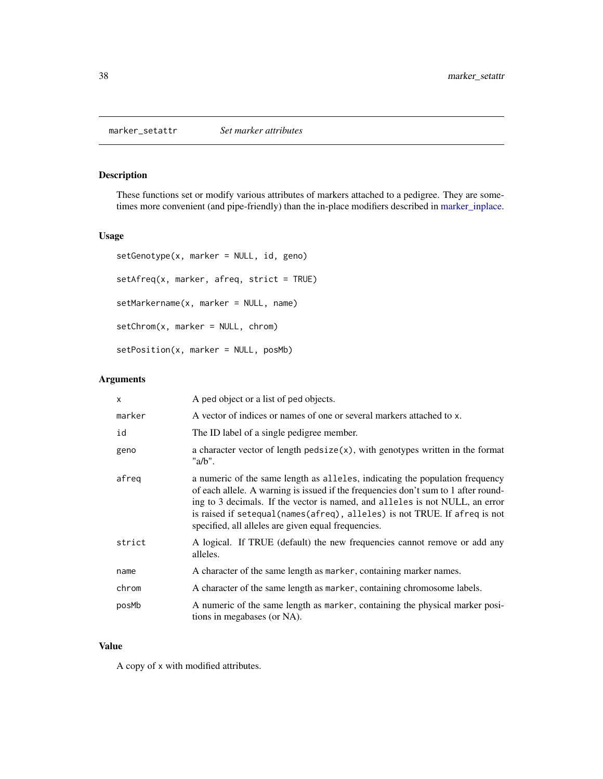marker\_setattr *Set marker attributes*

# Description

These functions set or modify various attributes of markers attached to a pedigree. They are sometimes more convenient (and pipe-friendly) than the in-place modifiers described in [marker\\_inplace.](#page-30-0)

### Usage

```
setGenotype(x, marker = NULL, id, geno)
setAfreq(x, marker, afreq, strict = TRUE)
setMarkername(x, marker = NULL, name)
setChrom(x, marker = NULL, chrom)setPosition(x, marker = NULL, posMb)
```
# Arguments

| $\mathsf{x}$ | A ped object or a list of ped objects.                                                                                                                                                                                                                                                                                                                                                   |
|--------------|------------------------------------------------------------------------------------------------------------------------------------------------------------------------------------------------------------------------------------------------------------------------------------------------------------------------------------------------------------------------------------------|
| marker       | A vector of indices or names of one or several markers attached to x.                                                                                                                                                                                                                                                                                                                    |
| id           | The ID label of a single pedigree member.                                                                                                                                                                                                                                                                                                                                                |
| geno         | a character vector of length $pedsize(x)$ , with genotypes written in the format<br>" $a/b$ ".                                                                                                                                                                                                                                                                                           |
| afreg        | a numeric of the same length as alleles, indicating the population frequency<br>of each allele. A warning is issued if the frequencies don't sum to 1 after round-<br>ing to 3 decimals. If the vector is named, and alleles is not NULL, an error<br>is raised if setequal (names (afreq), alleles) is not TRUE. If afreq is not<br>specified, all alleles are given equal frequencies. |
| strict       | A logical. If TRUE (default) the new frequencies cannot remove or add any<br>alleles.                                                                                                                                                                                                                                                                                                    |
| name         | A character of the same length as marker, containing marker names.                                                                                                                                                                                                                                                                                                                       |
| chrom        | A character of the same length as marker, containing chromosome labels.                                                                                                                                                                                                                                                                                                                  |
| posMb        | A numeric of the same length as marker, containing the physical marker posi-<br>tions in megabases (or NA).                                                                                                                                                                                                                                                                              |

#### Value

A copy of x with modified attributes.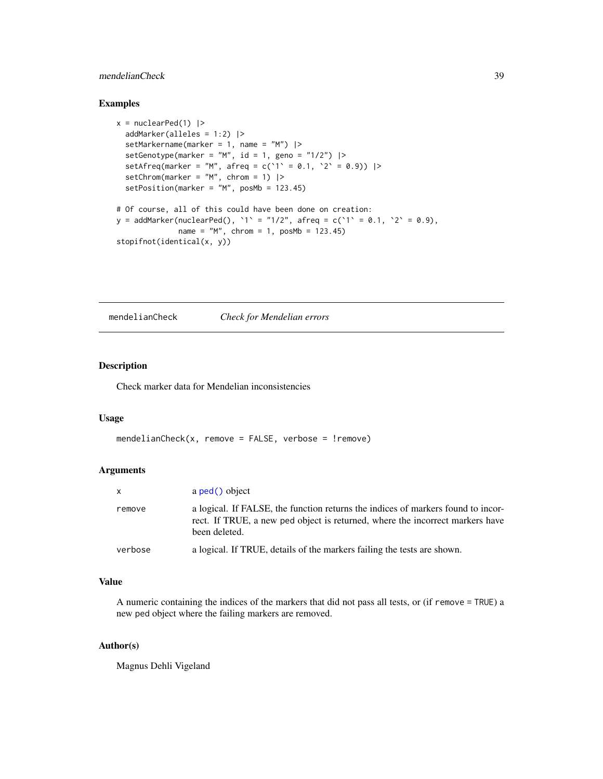# mendelianCheck 39

# Examples

```
x = nuclearPed(1) |>
  addMarker(alleles = 1:2) |>
  setMarkername(marker = 1, name = "M") |>
  setGenotype(marker = "M", id = 1, geno = "1/2") |>
  setAfreq(marker = "M", afreq = c('1' = 0.1, '2' = 0.9) |>
  setChrom(marker = "M", chrom = 1) |>
  setPosition(marker = "M", posMb = 123.45)
# Of course, all of this could have been done on creation:
y = addMarker(nuclearPed(), '1' = "1/2", afreq = c('1' = 0.1, '2' = 0.9),
             name = "M", chrom = 1, posMb = 123.45)stopifnot(identical(x, y))
```
mendelianCheck *Check for Mendelian errors*

#### Description

Check marker data for Mendelian inconsistencies

#### Usage

```
mendelianCheck(x, remove = FALSE, verbose = !remove)
```
# Arguments

| X       | a ped() object                                                                                                                                                                     |
|---------|------------------------------------------------------------------------------------------------------------------------------------------------------------------------------------|
| remove  | a logical. If FALSE, the function returns the indices of markers found to incor-<br>rect. If TRUE, a new ped object is returned, where the incorrect markers have<br>been deleted. |
| verbose | a logical. If TRUE, details of the markers failing the tests are shown.                                                                                                            |

#### Value

A numeric containing the indices of the markers that did not pass all tests, or (if remove = TRUE) a new ped object where the failing markers are removed.

### Author(s)

Magnus Dehli Vigeland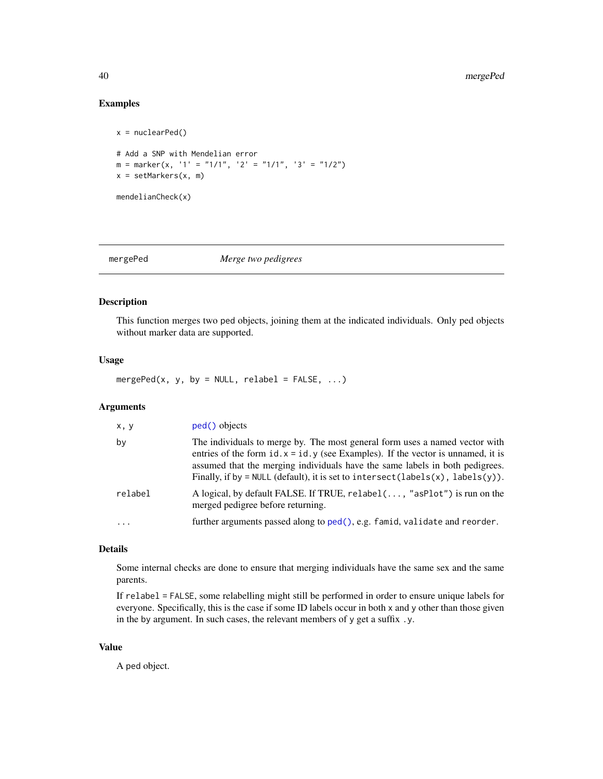# Examples

```
x = nuclearPed()# Add a SNP with Mendelian error
m = marker(x, '1' = "1/1", '2' = "1/1", '3' = "1/2")
x = setMarkers(x, m)mendelianCheck(x)
```
mergePed *Merge two pedigrees*

# Description

This function merges two ped objects, joining them at the indicated individuals. Only ped objects without marker data are supported.

### Usage

mergePed(x, y, by = NULL, relabel = FALSE,  $\ldots$ )

# Arguments

| x, y       | ped() objects                                                                                                                                                                                                                                                                                                                                          |
|------------|--------------------------------------------------------------------------------------------------------------------------------------------------------------------------------------------------------------------------------------------------------------------------------------------------------------------------------------------------------|
| by         | The individuals to merge by. The most general form uses a named vector with<br>entries of the form $id \cdot x = id \cdot y$ (see Examples). If the vector is unnamed, it is<br>assumed that the merging individuals have the same labels in both pedigrees.<br>Finally, if by = NULL (default), it is set to intersect(labels $(x)$ , labels $(y)$ ). |
| relabel    | A logical, by default FALSE. If TRUE, relabel(, "asPlot") is run on the<br>merged pedigree before returning.                                                                                                                                                                                                                                           |
| $\ddots$ . | further arguments passed along to ped(), e.g. famid, validate and reorder.                                                                                                                                                                                                                                                                             |

# Details

Some internal checks are done to ensure that merging individuals have the same sex and the same parents.

If relabel = FALSE, some relabelling might still be performed in order to ensure unique labels for everyone. Specifically, this is the case if some ID labels occur in both x and y other than those given in the by argument. In such cases, the relevant members of y get a suffix .y.

#### Value

A ped object.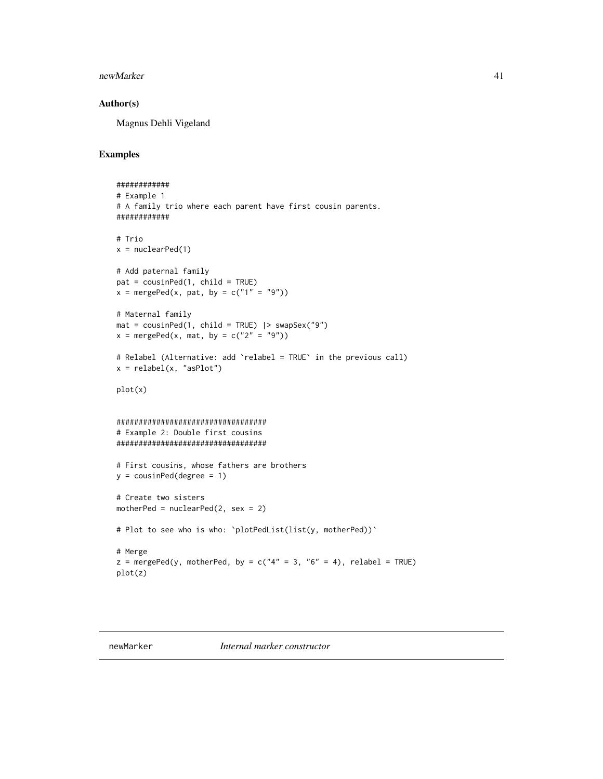#### newMarker 41

### Author(s)

Magnus Dehli Vigeland

### Examples

```
############
# Example 1
# A family trio where each parent have first cousin parents.
############
# Trio
x = nuclearPed(1)# Add paternal family
pat = cousinPed(1, child = TRUE)
x = mergePed(x, pat, by = c("1" = "9")# Maternal family
mat = cousinPed(1, child = TRUE) |> swapSex("9")
x = mergePed(x, mat, by = c("2" = "9")# Relabel (Alternative: add `relabel = TRUE` in the previous call)
x = relabel(x, "asPlot")
plot(x)
##################################
# Example 2: Double first cousins
##################################
# First cousins, whose fathers are brothers
y = \text{cousinPed(degree = 1)}# Create two sisters
motherPed = nuclearPed(2, sex = 2)# Plot to see who is who: `plotPedList(list(y, motherPed))`
# Merge
z = mergePed(y, motherPed, by = c("4" = 3, "6" = 4), relabel = TRUE)plot(z)
```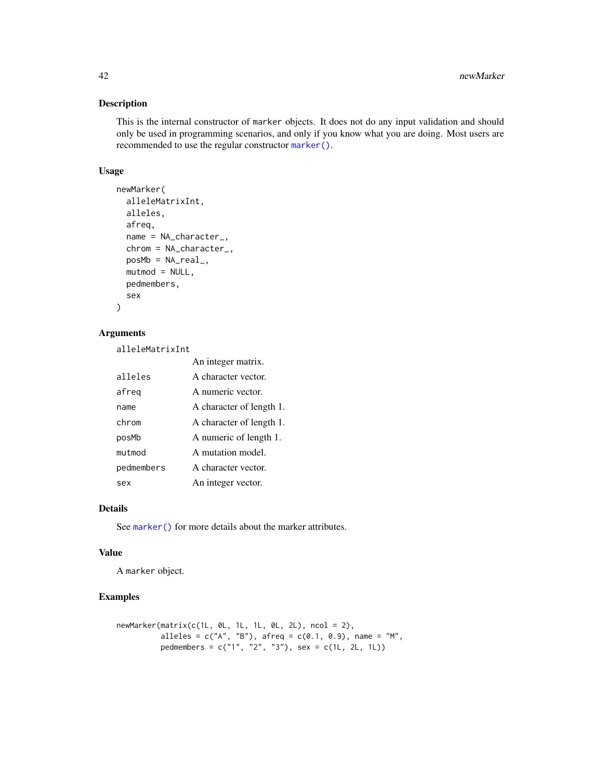This is the internal constructor of marker objects. It does not do any input validation and should only be used in programming scenarios, and only if you know what you are doing. Most users are recommended to use the regular constructor [marker\(\)](#page-23-0).

#### Usage

```
newMarker(
  alleleMatrixInt,
  alleles,
  afreq,
 name = NA_character_,
  chrom = NA_character_,
 posMb = NA\_real_mutmod = NULL,pedmembers,
  sex
)
```
# Arguments

alleleMatrixInt

|            | An integer matrix.       |
|------------|--------------------------|
| alleles    | A character vector.      |
| afreg      | A numeric vector.        |
| name       | A character of length 1. |
| chrom      | A character of length 1. |
| posMb      | A numeric of length 1.   |
| mutmod     | A mutation model.        |
| pedmembers | A character vector.      |
| sex        | An integer vector.       |

# Details

See [marker\(\)](#page-23-0) for more details about the marker attributes.

#### Value

A marker object.

### Examples

```
newMarket(matrix(c(1L, 0L, 1L, 1L, 0L, 2L), ncol = 2),alleles = c("A", "B"), afreq = c(0.1, 0.9), name = "M",
         pedmembers = c("1", "2", "3"), sex = c(1L, 2L, 1L))
```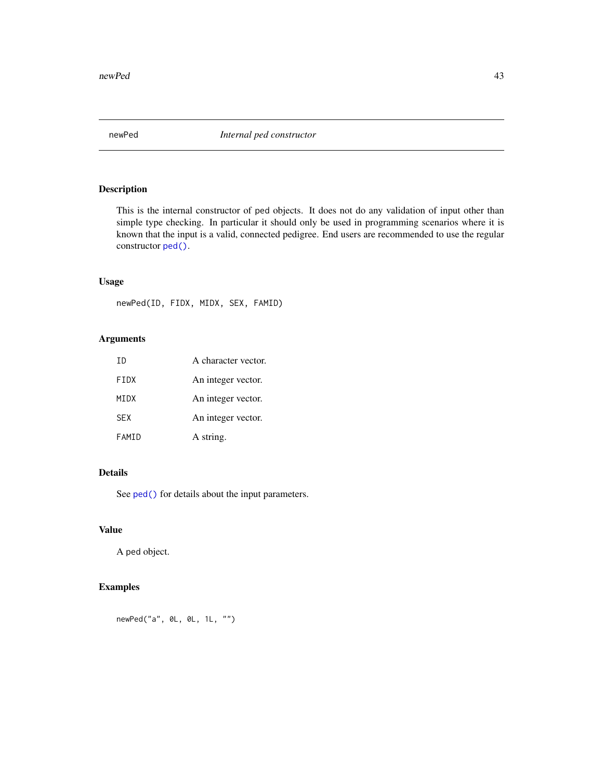This is the internal constructor of ped objects. It does not do any validation of input other than simple type checking. In particular it should only be used in programming scenarios where it is known that the input is a valid, connected pedigree. End users are recommended to use the regular constructor [ped\(\)](#page-43-0).

# Usage

newPed(ID, FIDX, MIDX, SEX, FAMID)

# Arguments

| TD          | A character vector. |
|-------------|---------------------|
| <b>FTDX</b> | An integer vector.  |
| MTDX        | An integer vector.  |
| <b>SFX</b>  | An integer vector.  |
| FAMTD       | A string.           |

# Details

See [ped\(\)](#page-43-0) for details about the input parameters.

# Value

A ped object.

# Examples

newPed("a", 0L, 0L, 1L, "")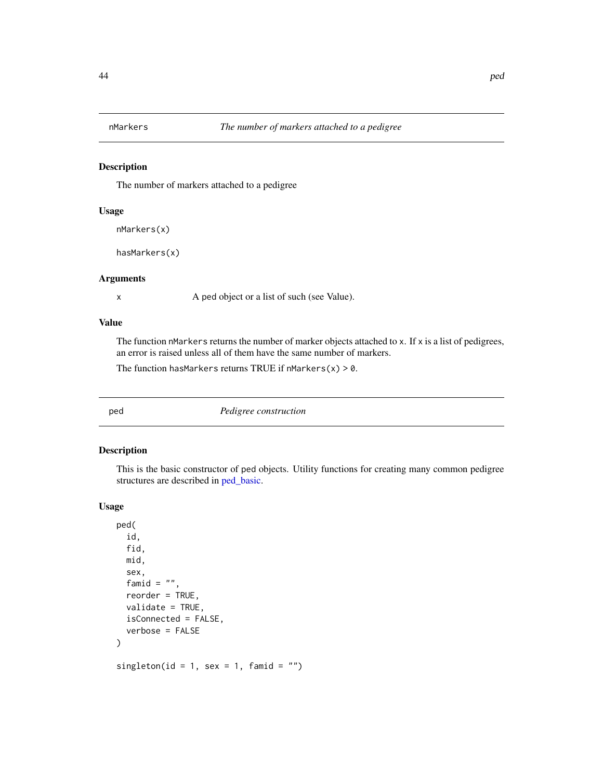The number of markers attached to a pedigree

# Usage

```
nMarkers(x)
```

```
hasMarkers(x)
```
### Arguments

x A ped object or a list of such (see Value).

## Value

The function nMarkers returns the number of marker objects attached to x. If x is a list of pedigrees, an error is raised unless all of them have the same number of markers.

The function hasMarkers returns TRUE if  $n$ Markers(x) > 0.

<span id="page-43-0"></span>ped *Pedigree construction*

# <span id="page-43-1"></span>Description

This is the basic constructor of ped objects. Utility functions for creating many common pedigree structures are described in [ped\\_basic.](#page-45-0)

#### Usage

```
ped(
  id,
  fid,
  mid,
  sex,
  famid = ",
  reorder = TRUE,
  validate = TRUE,
  isConnected = FALSE,
  verbose = FALSE
)
singleton(id = 1, sex = 1, famid = ")
```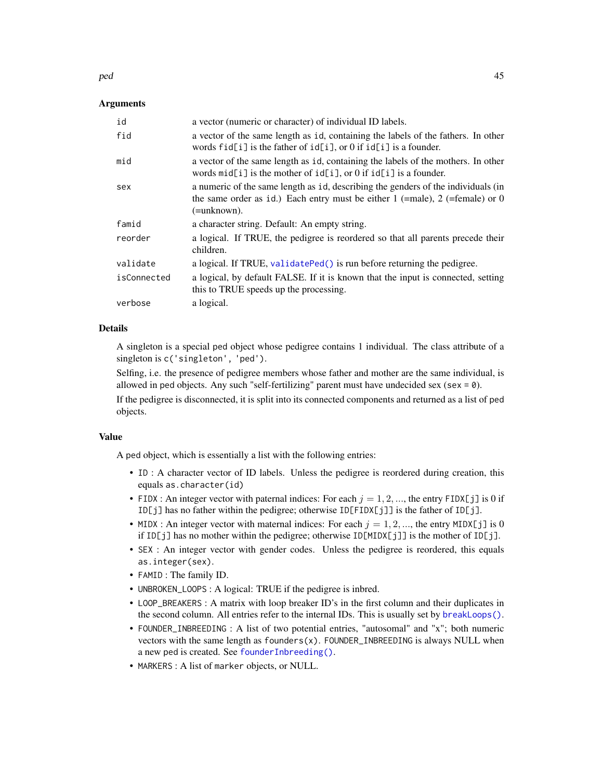#### ped the contract of the contract of the contract of the contract of the contract of the contract of the contract of the contract of the contract of the contract of the contract of the contract of the contract of the contra

### Arguments

| id          | a vector (numeric or character) of individual ID labels.                                                                                                                              |
|-------------|---------------------------------------------------------------------------------------------------------------------------------------------------------------------------------------|
| fid         | a vector of the same length as id, containing the labels of the fathers. In other<br>words fid[i] is the father of $id[i]$ , or 0 if $id[i]$ is a founder.                            |
| mid         | a vector of the same length as id, containing the labels of the mothers. In other<br>words $mid[i]$ is the mother of $id[i]$ , or 0 if $id[i]$ is a founder.                          |
| sex         | a numeric of the same length as id, describing the genders of the individuals (in<br>the same order as id.) Each entry must be either 1 (=male), 2 (=female) or 0<br>$(=\nunknown)$ . |
| famid       | a character string. Default: An empty string.                                                                                                                                         |
| reorder     | a logical. If TRUE, the pedigree is reordered so that all parents precede their<br>children.                                                                                          |
| validate    | a logical. If TRUE, validatePed() is run before returning the pedigree.                                                                                                               |
| isConnected | a logical, by default FALSE. If it is known that the input is connected, setting<br>this to TRUE speeds up the processing.                                                            |
| verbose     | a logical.                                                                                                                                                                            |

### Details

A singleton is a special ped object whose pedigree contains 1 individual. The class attribute of a singleton is c('singleton', 'ped').

Selfing, i.e. the presence of pedigree members whose father and mother are the same individual, is allowed in ped objects. Any such "self-fertilizing" parent must have undecided sex (sex =  $\theta$ ).

If the pedigree is disconnected, it is split into its connected components and returned as a list of ped objects.

#### Value

A ped object, which is essentially a list with the following entries:

- ID : A character vector of ID labels. Unless the pedigree is reordered during creation, this equals as.character(id)
- FIDX : An integer vector with paternal indices: For each  $j = 1, 2, \dots$ , the entry FIDX[j] is 0 if ID[j] has no father within the pedigree; otherwise ID[FIDX[j]] is the father of ID[j].
- MIDX : An integer vector with maternal indices: For each  $j = 1, 2, \dots$ , the entry MIDX[j] is 0 if ID[j] has no mother within the pedigree; otherwise ID[MIDX[j]] is the mother of ID[j].
- SEX : An integer vector with gender codes. Unless the pedigree is reordered, this equals as.integer(sex).
- FAMID : The family ID.
- UNBROKEN\_LOOPS : A logical: TRUE if the pedigree is inbred.
- LOOP\_BREAKERS : A matrix with loop breaker ID's in the first column and their duplicates in the second column. All entries refer to the internal IDs. This is usually set by [breakLoops\(\)](#page-18-0).
- FOUNDER\_INBREEDING : A list of two potential entries, "autosomal" and "x"; both numeric vectors with the same length as  $founders(x)$ . FOUNDER\_INBREEDING is always NULL when a new ped is created. See [founderInbreeding\(\)](#page-9-0).
- MARKERS : A list of marker objects, or NULL.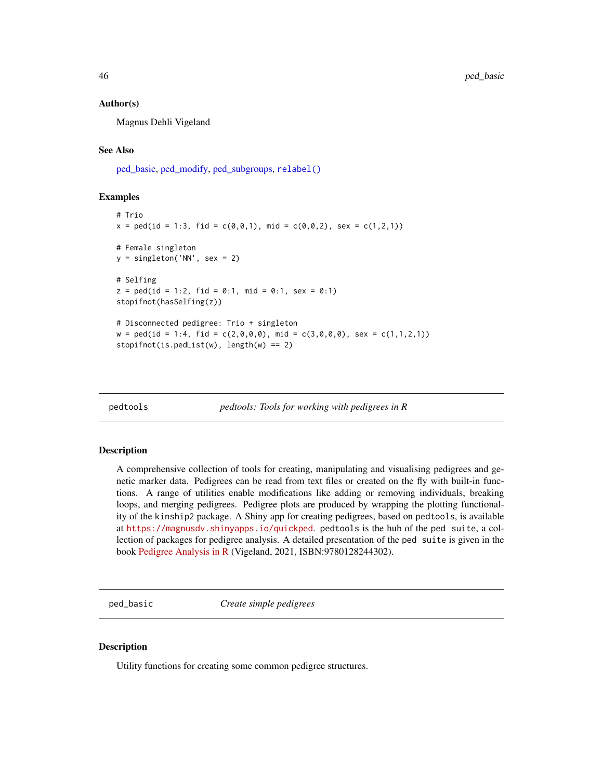### Author(s)

Magnus Dehli Vigeland

### See Also

[ped\\_basic,](#page-45-0) [ped\\_modify,](#page-52-0) [ped\\_subgroups,](#page-54-0) [relabel\(\)](#page-69-0)

#### Examples

```
# Trio
x = \text{ped}(id = 1:3, fid = c(0,0,1), mid = c(0,0,2), sex = c(1,2,1))# Female singleton
y = singleton('NN', sex = 2)
# Selfing
z = \text{ped}(id = 1:2, fid = 0:1, mid = 0:1, sex = 0:1)stopifnot(hasSelfing(z))
# Disconnected pedigree: Trio + singleton
w = \text{ped}(id = 1:4, fid = c(2,0,0,0), mid = c(3,0,0,0), sex = c(1,1,2,1))stopifnot(is.pedList(w), length(w) == 2)
```
pedtools *pedtools: Tools for working with pedigrees in R*

#### Description

A comprehensive collection of tools for creating, manipulating and visualising pedigrees and genetic marker data. Pedigrees can be read from text files or created on the fly with built-in functions. A range of utilities enable modifications like adding or removing individuals, breaking loops, and merging pedigrees. Pedigree plots are produced by wrapping the plotting functionality of the kinship2 package. A Shiny app for creating pedigrees, based on pedtools, is available at <https://magnusdv.shinyapps.io/quickped>. pedtools is the hub of the ped suite, a collection of packages for pedigree analysis. A detailed presentation of the ped suite is given in the book [Pedigree Analysis in R](https://www.elsevier.com/books/pedigree-analysis-in-r/vigeland/978-0-12-824430-2) (Vigeland, 2021, ISBN:9780128244302).

<span id="page-45-0"></span>ped\_basic *Create simple pedigrees*

### Description

Utility functions for creating some common pedigree structures.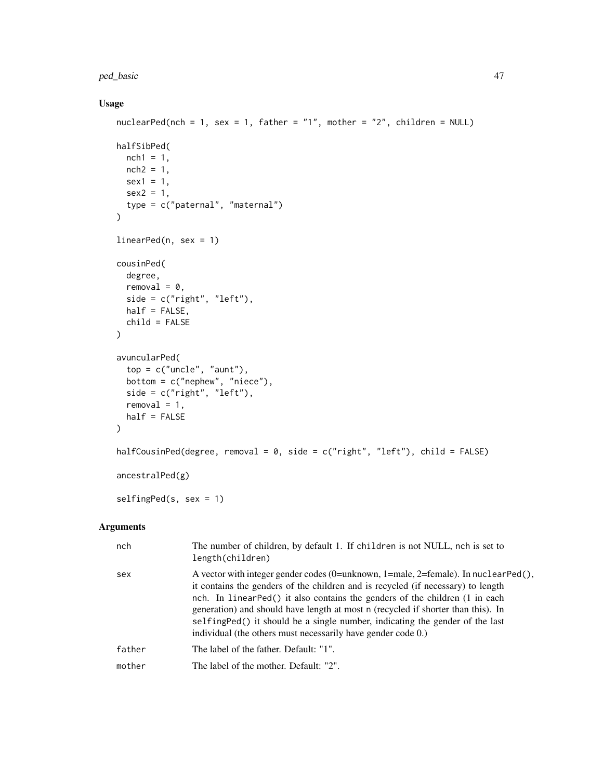### ped\_basic 47

# Usage

```
nuclearPed(nch = 1, sex = 1, father = "1", mother = "2", children = NULL)
halfSibPed(
 nch1 = 1,
  nch2 = 1,
  sex1 = 1,
  sex2 = 1,type = c("paternal", "maternal")
\mathcal{L}linearPed(n, sex = 1)
cousinPed(
  degree,
  removal = 0,
  side = c("right", "left"),
  half = FALSE,child = FALSE)
avuncularPed(
  top = c("uncle", "aunt"),bottom = c("nephew", "niece"),
  side = c("right", "left"),
  removal = 1,
  half = FALSE\mathcal{L}halfCousinPed(degree, removal = 0, side = c("right", "left"), child = FALSE)
ancestralPed(g)
selfingPed(s, sex = 1)
```
# Arguments

| nch    | The number of children, by default 1. If children is not NULL, nch is set to<br>length(children)                                                                                                                                                                                                                                                                                                                                                                                               |
|--------|------------------------------------------------------------------------------------------------------------------------------------------------------------------------------------------------------------------------------------------------------------------------------------------------------------------------------------------------------------------------------------------------------------------------------------------------------------------------------------------------|
| sex    | A vector with integer gender codes (0=unknown, 1=male, 2=female). In nuclear $Ped()$ ,<br>it contains the genders of the children and is recycled (if necessary) to length<br>nch. In linearPed() it also contains the genders of the children (1 in each<br>generation) and should have length at most n (recycled if shorter than this). In<br>selfing Ped() it should be a single number, indicating the gender of the last<br>individual (the others must necessarily have gender code 0.) |
| father | The label of the father. Default: "1".                                                                                                                                                                                                                                                                                                                                                                                                                                                         |
| mother | The label of the mother. Default: "2".                                                                                                                                                                                                                                                                                                                                                                                                                                                         |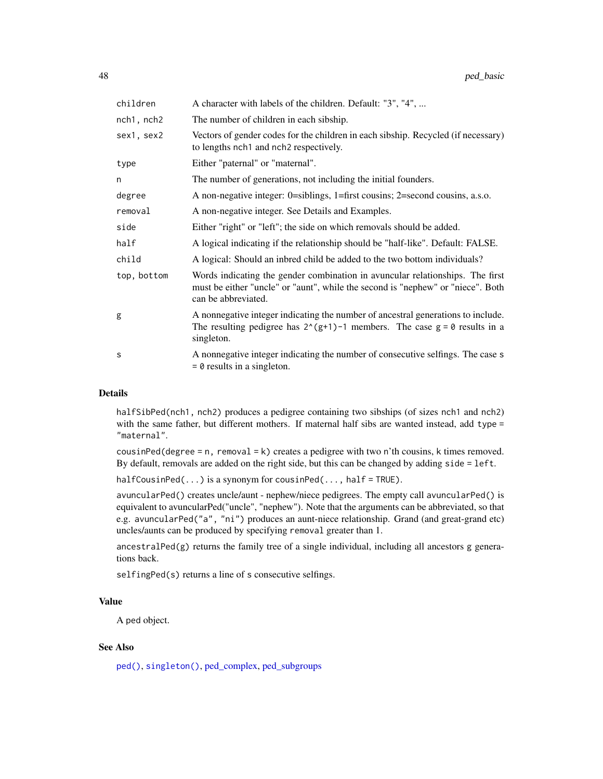| children    | A character with labels of the children. Default: "3", "4",                                                                                                                             |
|-------------|-----------------------------------------------------------------------------------------------------------------------------------------------------------------------------------------|
| nch1, nch2  | The number of children in each sibship.                                                                                                                                                 |
| sex1, sex2  | Vectors of gender codes for the children in each sibship. Recycled (if necessary)<br>to lengths nch1 and nch2 respectively.                                                             |
| type        | Either "paternal" or "maternal".                                                                                                                                                        |
| n           | The number of generations, not including the initial founders.                                                                                                                          |
| degree      | A non-negative integer: 0=siblings, 1=first cousins; 2=second cousins, a.s.o.                                                                                                           |
| removal     | A non-negative integer. See Details and Examples.                                                                                                                                       |
| side        | Either "right" or "left"; the side on which removals should be added.                                                                                                                   |
| half        | A logical indicating if the relationship should be "half-like". Default: FALSE.                                                                                                         |
| child       | A logical: Should an inbred child be added to the two bottom individuals?                                                                                                               |
| top, bottom | Words indicating the gender combination in avuncular relationships. The first<br>must be either "uncle" or "aunt", while the second is "nephew" or "niece". Both<br>can be abbreviated. |
| g           | A nonnegative integer indicating the number of ancestral generations to include.<br>The resulting pedigree has $2^{(g+1)-1}$ members. The case $g = 0$ results in a<br>singleton.       |
| S           | A nonnegative integer indicating the number of consecutive selfings. The case s<br>$= 0$ results in a singleton.                                                                        |

# Details

halfSibPed(nch1, nch2) produces a pedigree containing two sibships (of sizes nch1 and nch2) with the same father, but different mothers. If maternal half sibs are wanted instead, add type = "maternal".

cousinPed(degree = n, removal = k) creates a pedigree with two n'th cousins, k times removed. By default, removals are added on the right side, but this can be changed by adding side = left.

 $halfCousinPed(...)$  is a synonym for cousinPed(..., half = TRUE).

avuncularPed() creates uncle/aunt - nephew/niece pedigrees. The empty call avuncularPed() is equivalent to avuncularPed("uncle", "nephew"). Note that the arguments can be abbreviated, so that e.g. avuncularPed("a", "ni") produces an aunt-niece relationship. Grand (and great-grand etc) uncles/aunts can be produced by specifying removal greater than 1.

ancestralPed(g) returns the family tree of a single individual, including all ancestors g generations back.

selfingPed(s) returns a line of s consecutive selfings.

# Value

A ped object.

# See Also

[ped\(\)](#page-43-0), [singleton\(\)](#page-43-1), [ped\\_complex,](#page-48-0) [ped\\_subgroups](#page-54-0)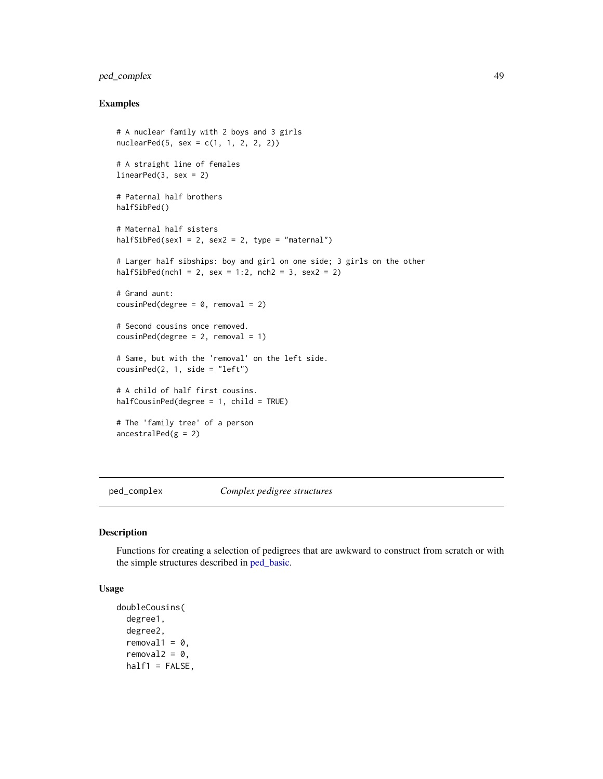# ped\_complex 49

# Examples

```
# A nuclear family with 2 boys and 3 girls
nuclearPed(5, sex = c(1, 1, 2, 2, 2))# A straight line of females
linearPed(3, sex = 2)
# Paternal half brothers
halfSibPed()
# Maternal half sisters
halfSibPed(sex1 = 2, sex2 = 2, type = "maternal")
# Larger half sibships: boy and girl on one side; 3 girls on the other
halfSibPed(nch1 = 2, sex = 1:2, nch2 = 3, sex2 = 2)# Grand aunt:
cousinPed(degree = 0, removal = 2)# Second cousins once removed.
cousinPed(degree = 2, removal = 1)# Same, but with the 'removal' on the left side.
cousinPed(2, 1, side = "left")# A child of half first cousins.
halfCousinPed(degree = 1, child = TRUE)
# The 'family tree' of a person
ancestralPed(g = 2)
```
<span id="page-48-0"></span>ped\_complex *Complex pedigree structures*

#### Description

Functions for creating a selection of pedigrees that are awkward to construct from scratch or with the simple structures described in [ped\\_basic.](#page-45-0)

### Usage

```
doubleCousins(
  degree1,
  degree2,
  removal1 = 0,
  removal2 = 0,
 half1 = FALSE,
```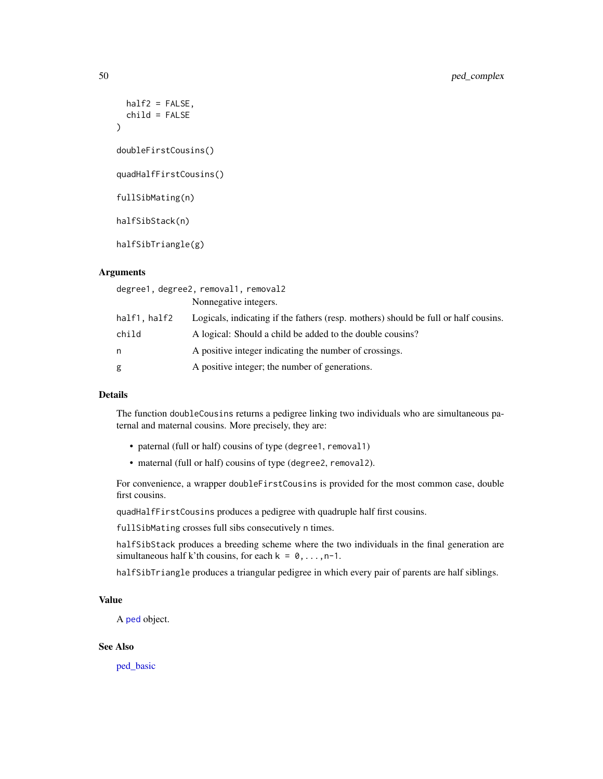```
half2 = FALSE,child = FALSE)
doubleFirstCousins()
quadHalfFirstCousins()
fullSibMating(n)
halfSibStack(n)
halfSibTriangle(g)
```
### **Arguments**

| degree1, degree2, removal1, removal2 |                                                                                     |  |
|--------------------------------------|-------------------------------------------------------------------------------------|--|
|                                      | Nonnegative integers.                                                               |  |
| half1, half2                         | Logicals, indicating if the fathers (resp. mothers) should be full or half cousins. |  |
| child                                | A logical: Should a child be added to the double cousins?                           |  |
| n                                    | A positive integer indicating the number of crossings.                              |  |
| g                                    | A positive integer; the number of generations.                                      |  |

# Details

The function doubleCousins returns a pedigree linking two individuals who are simultaneous paternal and maternal cousins. More precisely, they are:

- paternal (full or half) cousins of type (degree1, removal1)
- maternal (full or half) cousins of type (degree2, removal2).

For convenience, a wrapper doubleFirstCousins is provided for the most common case, double first cousins.

quadHalfFirstCousins produces a pedigree with quadruple half first cousins.

fullSibMating crosses full sibs consecutively n times.

halfSibStack produces a breeding scheme where the two individuals in the final generation are simultaneous half k'th cousins, for each  $k = 0, \ldots, n-1$ .

halfSibTriangle produces a triangular pedigree in which every pair of parents are half siblings.

# Value

A [ped](#page-43-0) object.

### See Also

[ped\\_basic](#page-45-0)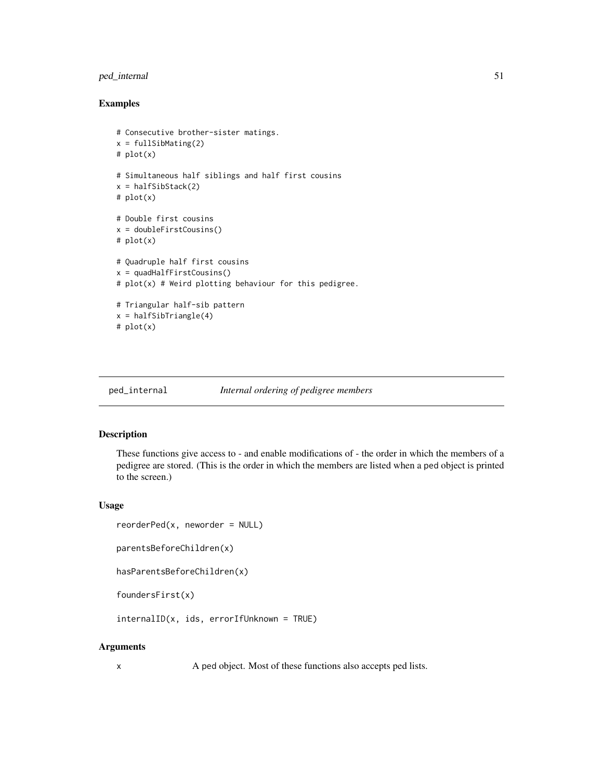# ped\_internal 51

# Examples

```
# Consecutive brother-sister matings.
x = fullSibMating(2)# plot(x)
# Simultaneous half siblings and half first cousins
x = halfSibStack(2)# plot(x)
# Double first cousins
x = doubleFirstCousins()
# plot(x)
# Quadruple half first cousins
x = quadHalfFirstCousins()
# plot(x) # Weird plotting behaviour for this pedigree.
# Triangular half-sib pattern
x = halfSibTriangle(4)
# plot(x)
```
#### ped\_internal *Internal ordering of pedigree members*

### <span id="page-50-0"></span>Description

These functions give access to - and enable modifications of - the order in which the members of a pedigree are stored. (This is the order in which the members are listed when a ped object is printed to the screen.)

### Usage

```
reorderPed(x, neworder = NULL)
```

```
parentsBeforeChildren(x)
```

```
hasParentsBeforeChildren(x)
```

```
foundersFirst(x)
```
internalID(x, ids, errorIfUnknown = TRUE)

### Arguments

x A ped object. Most of these functions also accepts ped lists.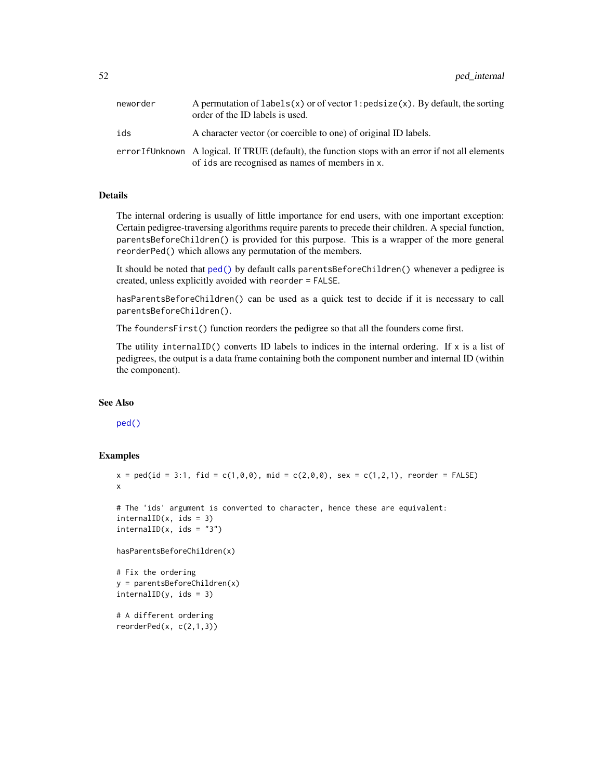| neworder | A permutation of labels(x) or of vector 1: $\text{pedsize}(x)$ . By default, the sorting<br>order of the ID labels is used.                          |
|----------|------------------------------------------------------------------------------------------------------------------------------------------------------|
| ids      | A character vector (or coercible to one) of original ID labels.                                                                                      |
|          | errorIfUnknown A logical. If TRUE (default), the function stops with an error if not all elements<br>of ids are recognised as names of members in x. |

### Details

The internal ordering is usually of little importance for end users, with one important exception: Certain pedigree-traversing algorithms require parents to precede their children. A special function, parentsBeforeChildren() is provided for this purpose. This is a wrapper of the more general reorderPed() which allows any permutation of the members.

It should be noted that [ped\(\)](#page-43-0) by default calls parentsBeforeChildren() whenever a pedigree is created, unless explicitly avoided with reorder = FALSE.

hasParentsBeforeChildren() can be used as a quick test to decide if it is necessary to call parentsBeforeChildren().

The foundersFirst() function reorders the pedigree so that all the founders come first.

The utility internal ID() converts ID labels to indices in the internal ordering. If  $x$  is a list of pedigrees, the output is a data frame containing both the component number and internal ID (within the component).

### See Also

[ped\(\)](#page-43-0)

### Examples

```
x = \text{ped(id} = 3:1, \text{ fid} = \text{c}(1, 0, 0), \text{ mid} = \text{c}(2, 0, 0), \text{ sex} = \text{c}(1, 2, 1), \text{ reorder} = \text{FALSE}x
```

```
# The 'ids' argument is converted to character, hence these are equivalent:
intervalID(x, ids = 3)intervalID(x, ids = "3")
```
hasParentsBeforeChildren(x)

```
# Fix the ordering
y = parentsBeforeChildren(x)
intervalID(y, ids = 3)
```
# A different ordering reorderPed(x, c(2,1,3))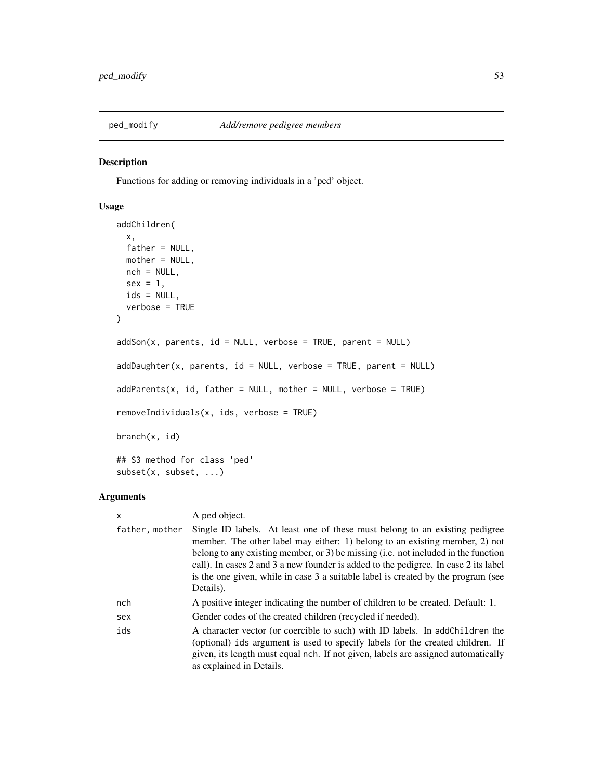<span id="page-52-0"></span>

Functions for adding or removing individuals in a 'ped' object.

# Usage

```
addChildren(
 x,
 father = NULL,mother = NULL,
 nch = NULL,sex = 1,
 ids = NULL,verbose = TRUE
)
addSon(x, parents, id = NULL, verbose = TRUE, parent = NULL)addDaughter(x, parents, id = NULL, verbose = TRUE, parent = NULL)addParents(x, id, father = NULL, mother = NULL, verbose = TRUE)removeIndividuals(x, ids, verbose = TRUE)
branch(x, id)
## S3 method for class 'ped'
subset(x, subset, ...)
```
# Arguments

| x              | A ped object.                                                                                                                                                                                                                                                                                                                                                                                                                             |
|----------------|-------------------------------------------------------------------------------------------------------------------------------------------------------------------------------------------------------------------------------------------------------------------------------------------------------------------------------------------------------------------------------------------------------------------------------------------|
| father, mother | Single ID labels. At least one of these must belong to an existing pedigree<br>member. The other label may either: 1) belong to an existing member, 2) not<br>belong to any existing member, or 3) be missing (i.e. not included in the function<br>call). In cases 2 and 3 a new founder is added to the pedigree. In case 2 its label<br>is the one given, while in case 3 a suitable label is created by the program (see<br>Details). |
| nch            | A positive integer indicating the number of children to be created. Default: 1.                                                                                                                                                                                                                                                                                                                                                           |
| sex            | Gender codes of the created children (recycled if needed).                                                                                                                                                                                                                                                                                                                                                                                |
| ids            | A character vector (or coercible to such) with ID labels. In addChildren the<br>(optional) ids argument is used to specify labels for the created children. If<br>given, its length must equal nch. If not given, labels are assigned automatically<br>as explained in Details.                                                                                                                                                           |
|                |                                                                                                                                                                                                                                                                                                                                                                                                                                           |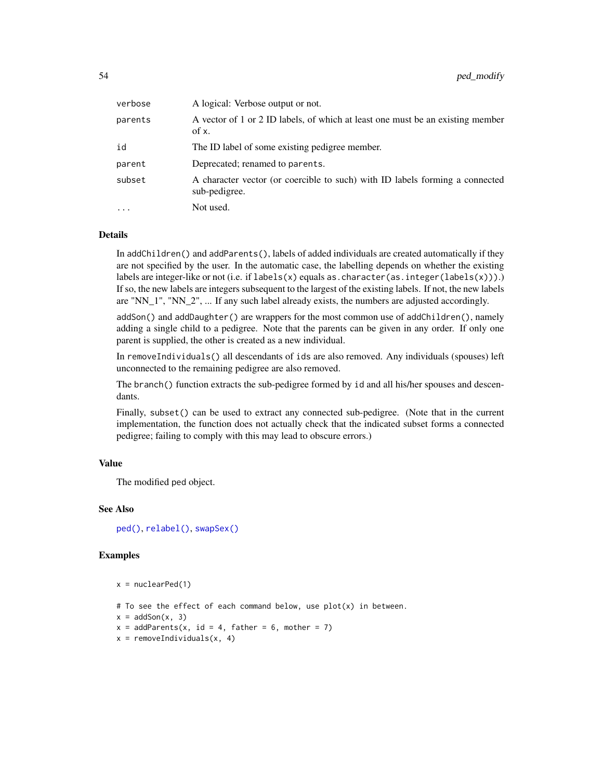| verbose    | A logical: Verbose output or not.                                                             |
|------------|-----------------------------------------------------------------------------------------------|
| parents    | A vector of 1 or 2 ID labels, of which at least one must be an existing member<br>of x.       |
| id         | The ID label of some existing pedigree member.                                                |
| parent     | Deprecated; renamed to parents.                                                               |
| subset     | A character vector (or coercible to such) with ID labels forming a connected<br>sub-pedigree. |
| $\ddots$ . | Not used.                                                                                     |
|            |                                                                                               |

# **Details**

In addChildren() and addParents(), labels of added individuals are created automatically if they are not specified by the user. In the automatic case, the labelling depends on whether the existing labels are integer-like or not (i.e. if  $labels(x)$  equals as.character(as.integer(labels(x))). If so, the new labels are integers subsequent to the largest of the existing labels. If not, the new labels are "NN\_1", "NN\_2", ... If any such label already exists, the numbers are adjusted accordingly.

addSon() and addDaughter() are wrappers for the most common use of addChildren(), namely adding a single child to a pedigree. Note that the parents can be given in any order. If only one parent is supplied, the other is created as a new individual.

In removeIndividuals() all descendants of ids are also removed. Any individuals (spouses) left unconnected to the remaining pedigree are also removed.

The branch() function extracts the sub-pedigree formed by id and all his/her spouses and descendants.

Finally, subset() can be used to extract any connected sub-pedigree. (Note that in the current implementation, the function does not actually check that the indicated subset forms a connected pedigree; failing to comply with this may lead to obscure errors.)

# Value

The modified ped object.

### See Also

[ped\(\)](#page-43-0), [relabel\(\)](#page-69-0), [swapSex\(\)](#page-17-0)

#### Examples

```
x = nuclearPed(1)
```
# To see the effect of each command below, use  $plot(x)$  in between.

```
x = \text{addSon}(x, 3)
```

```
x = addParents(x, id = 4, father = 6, mother = 7)
```
 $x =$  removeIndividuals(x, 4)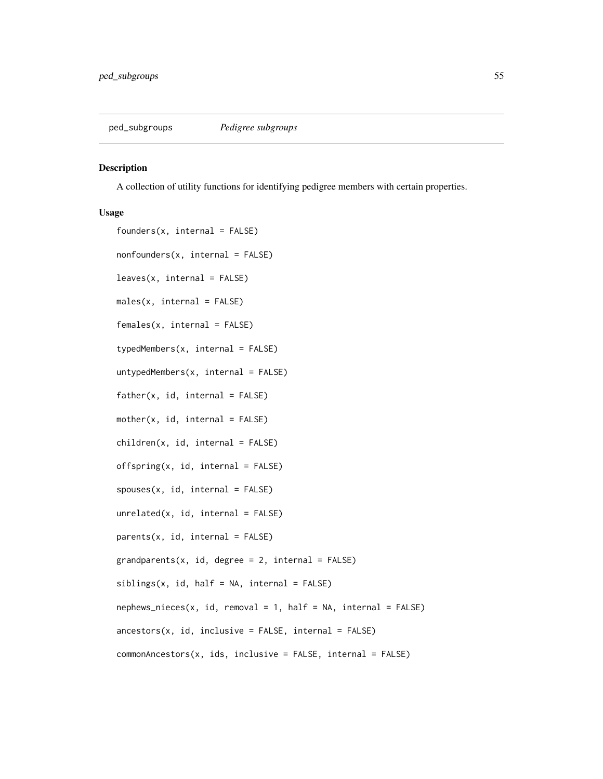<span id="page-54-0"></span>

A collection of utility functions for identifying pedigree members with certain properties.

#### Usage

```
founders(x, internal = FALSE)nonfounders(x, internal = FALSE)
leaves(x, internal = FALSE)males(x, internal = FALSE)females(x, internal = FALSE)
typedMembers(x, internal = FALSE)
untypedMembers(x, internal = FALSE)father(x, id, internal = FALSE)mother(x, id, internal = FALSE)children(x, id, internal = FALSE)offspring(x, id, internal = FALSE)spouses(x, id, internal = FALSE)unrelated(x, id, internal = FALSE)parents(x, id, internal = FALSE)grandparents(x, id, degree = 2, internal = FALSE)sibling(x, id, half = NA, internal = FALSE)nephews\_nieces(x, id, removal = 1, half = NA, internal = FALSE)anceators(x, id, inclusive = FALSE, internal = FALSE)commonAncestors(x, ids, inclusive = FALSE, internal = FALSE)
```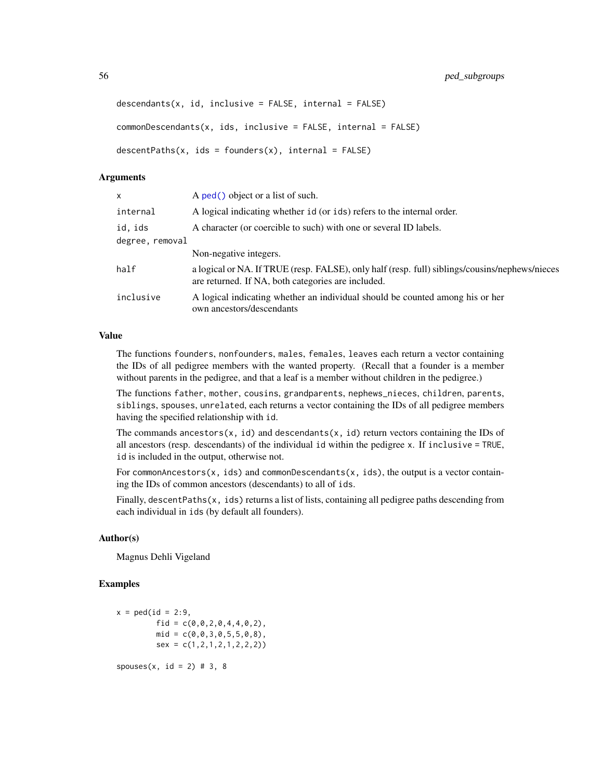```
descendants(x, id, inclusive = FALSE, internal = FALSE)commonDescendants(x, ids, inclusive = FALSE, internal = FALSE)descentPaths(x, ids = founders(x), internal = FALSE)
```
### **Arguments**

| x               | A ped() object or a list of such.                                                                                                                    |
|-----------------|------------------------------------------------------------------------------------------------------------------------------------------------------|
| internal        | A logical indicating whether id (or ids) refers to the internal order.                                                                               |
| id, ids         | A character (or coercible to such) with one or several ID labels.                                                                                    |
| degree, removal |                                                                                                                                                      |
|                 | Non-negative integers.                                                                                                                               |
| half            | a logical or NA. If TRUE (resp. FALSE), only half (resp. full) siblings/cousins/nephews/nieces<br>are returned. If NA, both categories are included. |
| inclusive       | A logical indicating whether an individual should be counted among his or her<br>own ancestors/descendants                                           |

# Value

The functions founders, nonfounders, males, females, leaves each return a vector containing the IDs of all pedigree members with the wanted property. (Recall that a founder is a member without parents in the pedigree, and that a leaf is a member without children in the pedigree.)

The functions father, mother, cousins, grandparents, nephews\_nieces, children, parents, siblings, spouses, unrelated, each returns a vector containing the IDs of all pedigree members having the specified relationship with id.

The commands ancestors(x, id) and descendants(x, id) return vectors containing the IDs of all ancestors (resp. descendants) of the individual id within the pedigree x. If inclusive = TRUE, id is included in the output, otherwise not.

For commonAncestors $(x, ids)$  and commonDescendants $(x, ids)$ , the output is a vector containing the IDs of common ancestors (descendants) to all of ids.

Finally, descentPaths $(x, ids)$  returns a list of lists, containing all pedigree paths descending from each individual in ids (by default all founders).

#### Author(s)

Magnus Dehli Vigeland

### Examples

 $x = \text{ped}(id = 2:9,$ fid =  $c(\emptyset, \emptyset, 2, \emptyset, 4, 4, \emptyset, 2)$ ,  $mid = c(0, 0, 3, 0, 5, 5, 0, 8)$ ,  $sex = c(1, 2, 1, 2, 1, 2, 2, 2))$  $spouses(x, id = 2) # 3, 8$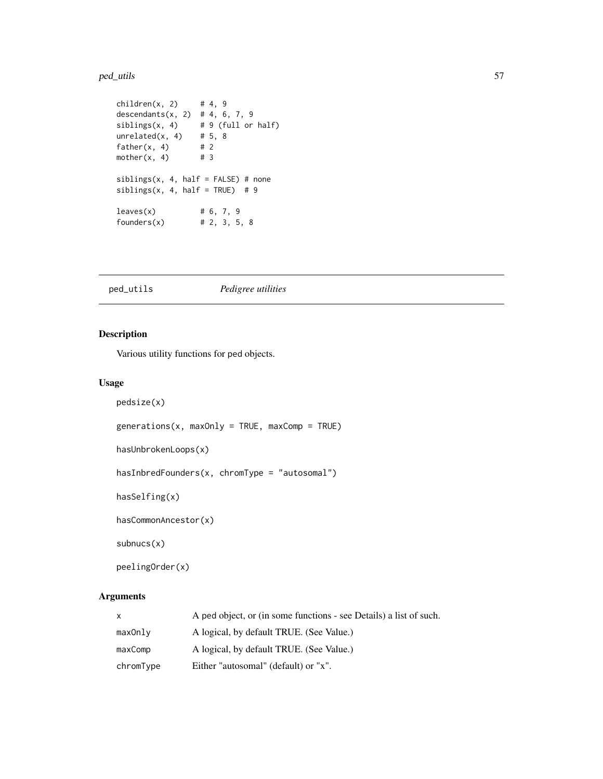#### ped\_utils 57

```
children(x, 2) # 4, 9
descendants(x, 2) # 4, 6, 7, 9
sibling(x, 4) # 9 (full or half)<br>unrelated(x, 4) # 5, 8
unrelated(x, 4)father(x, 4) # 2<br>mother(x, 4) # 3
mother(x, 4)sibling(x, 4, half = FALSE) # none
siblings(x, 4, half = TRUE) # 9
leaves(x) # 6, 7, 9
founders(x) # 2, 3, 5, 8
```
ped\_utils *Pedigree utilities*

# Description

Various utility functions for ped objects.

# Usage

```
pedsize(x)
generations(x, maxOnly = TRUE, maxComp = TRUE)
hasUnbrokenLoops(x)
hasInbredFounders(x, chromType = "autosomal")
hasSelfing(x)
hasCommonAncestor(x)
subnucs(x)
peelingOrder(x)
```
# Arguments

| $\mathsf{x}$ | A ped object, or (in some functions - see Details) a list of such. |
|--------------|--------------------------------------------------------------------|
| maxOnly      | A logical, by default TRUE. (See Value.)                           |
| maxComp      | A logical, by default TRUE. (See Value.)                           |
| chromType    | Either "autosomal" (default) or "x".                               |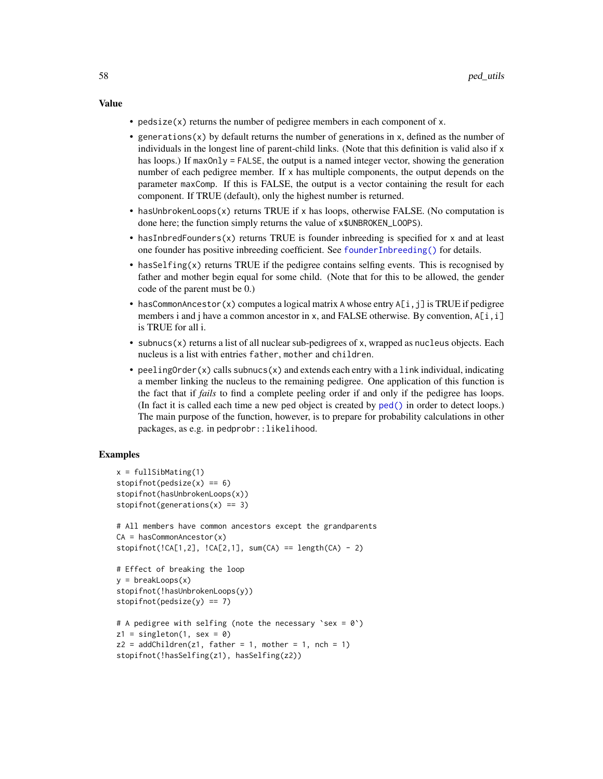#### Value

- pedsize $(x)$  returns the number of pedigree members in each component of x.
- generations(x) by default returns the number of generations in x, defined as the number of individuals in the longest line of parent-child links. (Note that this definition is valid also if x has loops.) If maxOnly = FALSE, the output is a named integer vector, showing the generation number of each pedigree member. If x has multiple components, the output depends on the parameter maxComp. If this is FALSE, the output is a vector containing the result for each component. If TRUE (default), only the highest number is returned.
- hasUnbrokenLoops(x) returns TRUE if x has loops, otherwise FALSE. (No computation is done here; the function simply returns the value of x\$UNBROKEN\_LOOPS).
- hasInbredFounders(x) returns TRUE is founder inbreeding is specified for x and at least one founder has positive inbreeding coefficient. See [founderInbreeding\(\)](#page-9-0) for details.
- hasSelfing(x) returns TRUE if the pedigree contains selfing events. This is recognised by father and mother begin equal for some child. (Note that for this to be allowed, the gender code of the parent must be 0.)
- hasCommonAncestor(x) computes a logical matrix A whose entry  $A[i, j]$  is TRUE if pedigree members i and j have a common ancestor in x, and FALSE otherwise. By convention,  $A[i, i]$ is TRUE for all i.
- subnucs(x) returns a list of all nuclear sub-pedigrees of x, wrapped as nucleus objects. Each nucleus is a list with entries father, mother and children.
- peeling Order $(x)$  calls subhucs $(x)$  and extends each entry with a link individual, indicating a member linking the nucleus to the remaining pedigree. One application of this function is the fact that if *fails* to find a complete peeling order if and only if the pedigree has loops. (In fact it is called each time a new ped object is created by [ped\(\)](#page-43-0) in order to detect loops.) The main purpose of the function, however, is to prepare for probability calculations in other packages, as e.g. in pedprobr::likelihood.

# Examples

```
x = fullSibMatrix(1)stopifnot(pedsize(x) == 6)stopifnot(hasUnbrokenLoops(x))
stopifnot(generations(x) == 3)
# All members have common ancestors except the grandparents
CA = hasCommonAncestor(x)stopifnot(!CA[1,2], !CA[2,1], sum(CA) == length(CA) - 2)# Effect of breaking the loop
y = breakLoops(x)
stopifnot(!hasUnbrokenLoops(y))
stopifnot(pedsize(y) == 7)# A pedigree with selfing (note the necessary `sex = 0`)
z1 = singleton(1, sex = 0)
z2 = addChildren(z1, father = 1, mother = 1, nch = 1)stopifnot(!hasSelfing(z1), hasSelfing(z2))
```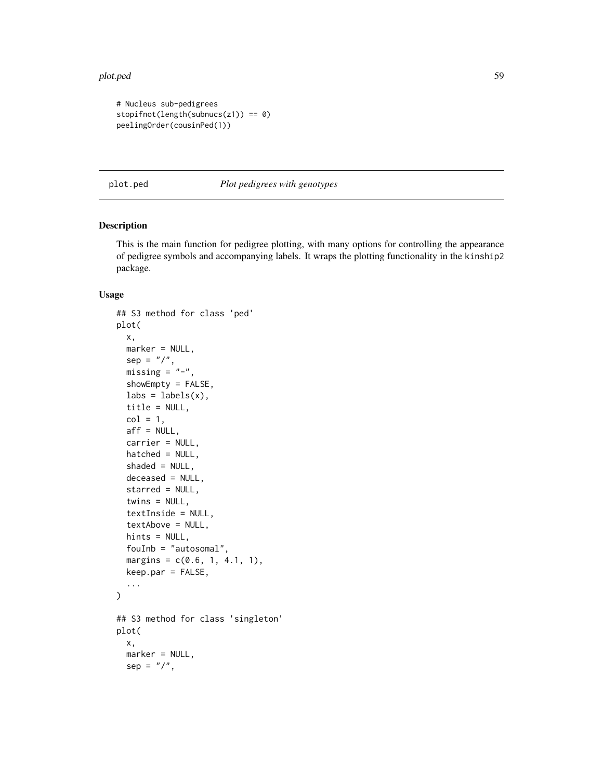#### plot.ped 59

```
# Nucleus sub-pedigrees
stopifnot(length(subnucs(z1)) == 0)
peelingOrder(cousinPed(1))
```
<span id="page-58-0"></span>plot.ped *Plot pedigrees with genotypes*

### Description

This is the main function for pedigree plotting, with many options for controlling the appearance of pedigree symbols and accompanying labels. It wraps the plotting functionality in the kinship2 package.

### Usage

```
## S3 method for class 'ped'
plot(
  x,
 marker = NULL,
  sep = "/",missing = "-",
  showEmpty = FALSE,
  \text{labels} = \text{labels}(x),
  title = NULL,
  col = 1,
  aff = NULL,carrier = NULL,
  hatched = NULL,
  shaded = NULL,deceased = NULL,
  starred = NULL,
  twins = NULL,
  textInside = NULL,
  textAbove = NULL,
  hints = NULL,
  fouInb = "autosomal",
  margins = c(0.6, 1, 4.1, 1),
  keep.par = FALSE,
  ...
\mathcal{L}## S3 method for class 'singleton'
plot(
  x,
  marker = NULL,
  sep = "1",
```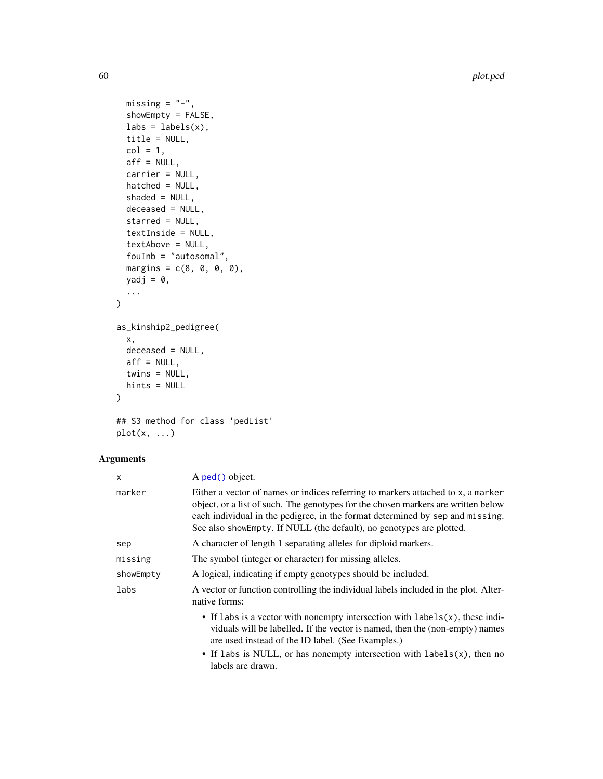60 plot.ped and plot.ped and plot.ped and plot.ped and plot.ped plot.ped and plot.ped plot.ped and plot.ped and plot.ped and plot.ped and plot.ped and plot.ped and plot.ped and plot.ped and plot.ped and plot.ped and plot.p

```
missing = "-",
  showEmpty = FALSE,
 \text{labels} = \text{labels}(x),
 title = NULL,
  col = 1,
 aff = NULL,carrier = NULL,
 hatched = NULL,
  shaded = NULL,
 deceased = NULL,
 starred = NULL,
  textInside = NULL,
  textAbove = NULL,
 fouInb = "autosomal",
 margins = c(8, 0, 0, 0),
 yadj = 0,
  ...
\mathcal{L}as_kinship2_pedigree(
 x,
 deceased = NULL,
 aff = NULL,twins = NULL,
 hints = NULL
)
```

```
## S3 method for class 'pedList'
plot(x, \ldots)
```
# Arguments

| X         | A ped() object.                                                                                                                                                                                                                                                                                                                |  |
|-----------|--------------------------------------------------------------------------------------------------------------------------------------------------------------------------------------------------------------------------------------------------------------------------------------------------------------------------------|--|
| marker    | Either a vector of names or indices referring to markers attached to x, a marker<br>object, or a list of such. The genotypes for the chosen markers are written below<br>each individual in the pedigree, in the format determined by sep and missing.<br>See also showEmpty. If NULL (the default), no genotypes are plotted. |  |
| sep       | A character of length 1 separating alleles for diploid markers.                                                                                                                                                                                                                                                                |  |
| missing   | The symbol (integer or character) for missing alleles.                                                                                                                                                                                                                                                                         |  |
| showEmpty | A logical, indicating if empty genotypes should be included.                                                                                                                                                                                                                                                                   |  |
| labs      | A vector or function controlling the individual labels included in the plot. Alter-<br>native forms:                                                                                                                                                                                                                           |  |
|           | • If labs is a vector with nonempty intersection with $labels(x)$ , these indi-<br>viduals will be labelled. If the vector is named, then the (non-empty) names<br>are used instead of the ID label. (See Examples.)                                                                                                           |  |
|           | • If labs is NULL, or has nonempty intersection with labels $(x)$ , then no<br>labels are drawn.                                                                                                                                                                                                                               |  |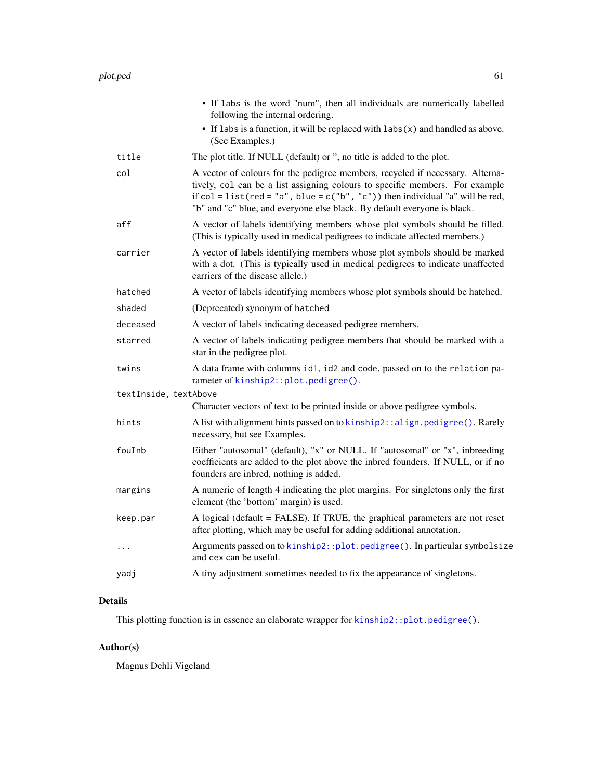|                       | • If labs is the word "num", then all individuals are numerically labelled<br>following the internal ordering.                                                                                                                                                                                                                      |
|-----------------------|-------------------------------------------------------------------------------------------------------------------------------------------------------------------------------------------------------------------------------------------------------------------------------------------------------------------------------------|
|                       | • If labs is a function, it will be replaced with $\text{labs}(x)$ and handled as above.<br>(See Examples.)                                                                                                                                                                                                                         |
| title                 | The plot title. If NULL (default) or ", no title is added to the plot.                                                                                                                                                                                                                                                              |
| col                   | A vector of colours for the pedigree members, recycled if necessary. Alterna-<br>tively, col can be a list assigning colours to specific members. For example<br>if $col = list(\text{red} = "a", blue = c("b", "c"))$ then individual "a" will be red,<br>"b" and "c" blue, and everyone else black. By default everyone is black. |
| aff                   | A vector of labels identifying members whose plot symbols should be filled.<br>(This is typically used in medical pedigrees to indicate affected members.)                                                                                                                                                                          |
| carrier               | A vector of labels identifying members whose plot symbols should be marked<br>with a dot. (This is typically used in medical pedigrees to indicate unaffected<br>carriers of the disease allele.)                                                                                                                                   |
| hatched               | A vector of labels identifying members whose plot symbols should be hatched.                                                                                                                                                                                                                                                        |
| shaded                | (Deprecated) synonym of hatched                                                                                                                                                                                                                                                                                                     |
| deceased              | A vector of labels indicating deceased pedigree members.                                                                                                                                                                                                                                                                            |
| starred               | A vector of labels indicating pedigree members that should be marked with a<br>star in the pedigree plot.                                                                                                                                                                                                                           |
| twins                 | A data frame with columns id1, id2 and code, passed on to the relation pa-<br>rameter of kinship2::plot.pedigree().                                                                                                                                                                                                                 |
| textInside, textAbove |                                                                                                                                                                                                                                                                                                                                     |
|                       | Character vectors of text to be printed inside or above pedigree symbols.                                                                                                                                                                                                                                                           |
| hints                 | A list with alignment hints passed on to kinship2:: align.pedigree(). Rarely<br>necessary, but see Examples.                                                                                                                                                                                                                        |
| fouInb                | Either "autosomal" (default), "x" or NULL. If "autosomal" or "x", inbreeding<br>coefficients are added to the plot above the inbred founders. If NULL, or if no<br>founders are inbred, nothing is added.                                                                                                                           |
| margins               | A numeric of length 4 indicating the plot margins. For singletons only the first<br>element (the 'bottom' margin) is used.                                                                                                                                                                                                          |
| keep.par              | A logical (default = FALSE). If TRUE, the graphical parameters are not reset<br>after plotting, which may be useful for adding additional annotation.                                                                                                                                                                               |
| $\ddots$              | Arguments passed on to kinship2::plot.pedigree(). In particular symbolsize<br>and cex can be useful.                                                                                                                                                                                                                                |
| yadj                  | A tiny adjustment sometimes needed to fix the appearance of singletons.                                                                                                                                                                                                                                                             |
|                       |                                                                                                                                                                                                                                                                                                                                     |

# Details

This plotting function is in essence an elaborate wrapper for [kinship2::plot.pedigree\(\)](#page-0-0).

# Author(s)

Magnus Dehli Vigeland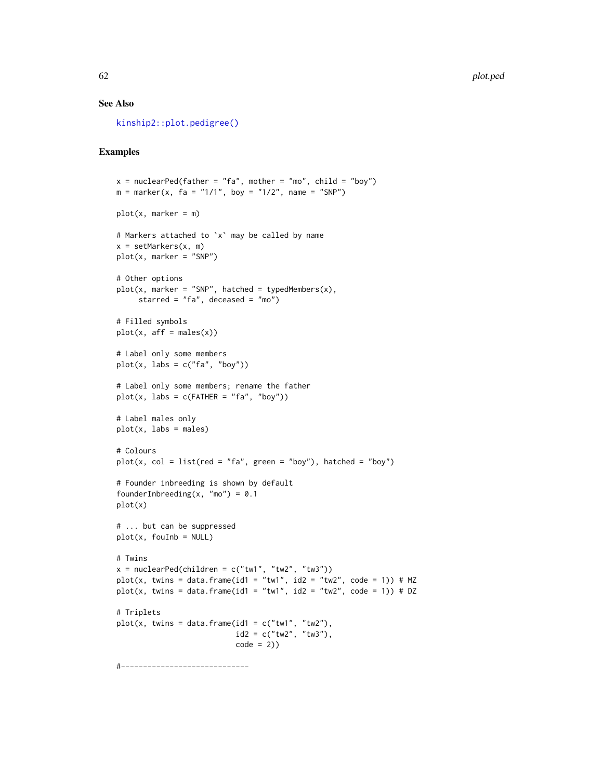### See Also

[kinship2::plot.pedigree\(\)](#page-0-0)

# Examples

```
x = nuclearPed(father = "fa", mother = "mo", child = "boy")m = marker(x, fa = "1/1", boy = "1/2", name = "SNP")
plot(x, marker = m)# Markers attached to `x` may be called by name
x = setMarkers(x, m)plot(x, marker = "SNP")# Other options
plot(x, marker = "SNP", hatched = typedMembers(x),starred = "fa", deceased = "mo")
# Filled symbols
plot(x, aff = males(x))# Label only some members
plot(x, labs = c("fa", "boy"))# Label only some members; rename the father
plot(x, labs = c(FATHER = "fa", "boy"))# Label males only
plot(x, labs = males)
# Colours
plot(x, col = list(red = "fa", green = "boy"), hatched = "boy")
# Founder inbreeding is shown by default
founderInbreeding(x, "mo") = 0.1plot(x)
# ... but can be suppressed
plot(x, foulnb = NULL)# Twins
x = nuclearPed(children = c("tw1", "tw2", "tw3"))plot(x, twins = data.frame(id1 = "tw1", id2 = "tw2", code = 1)) # MZ
plot(x, twins = data.frame(id1 = "tw1", id2 = "tw2", code = 1)) # DZ
# Triplets
plot(x, twins = data.frame(id1 = c("tw1", "tw2"),id2 = c("tw2", "tw3"),code = 2)
```
#-----------------------------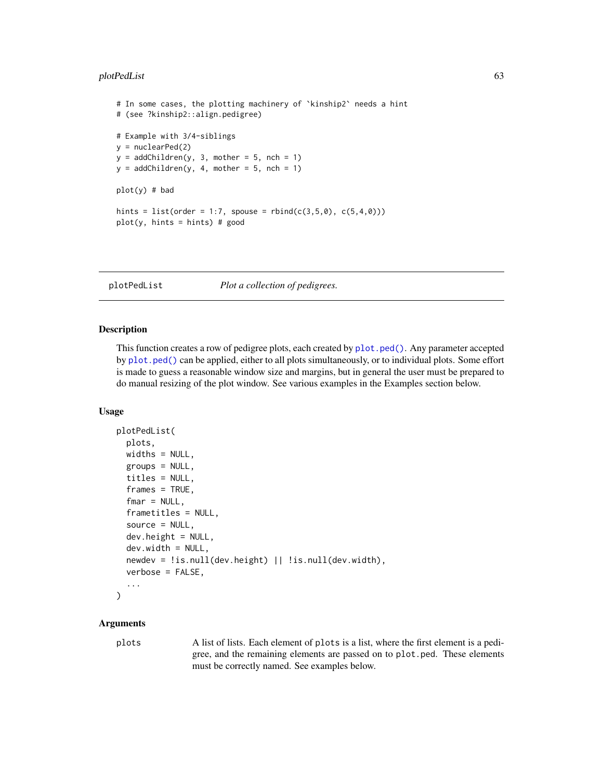# plotPedList 63

```
# In some cases, the plotting machinery of `kinship2` needs a hint
# (see ?kinship2::align.pedigree)
# Example with 3/4-siblings
y = nuclearPed(2)y = addChildren(y, 3, mother = 5, nch = 1)y = addChildren(y, 4, mother = 5, nch = 1)plot(y) # bad
hints = list(order = 1:7, spouse = rbind(c(3,5,0), c(5,4,0)))plot(y, hints = hints) # good
```
plotPedList *Plot a collection of pedigrees.*

#### Description

This function creates a row of pedigree plots, each created by [plot.ped\(\)](#page-58-0). Any parameter accepted by [plot.ped\(\)](#page-58-0) can be applied, either to all plots simultaneously, or to individual plots. Some effort is made to guess a reasonable window size and margins, but in general the user must be prepared to do manual resizing of the plot window. See various examples in the Examples section below.

### Usage

```
plotPedList(
 plots,
 widths = NULL,
  groups = NULL,
  titles = NULL,
  frames = TRUE,
  fmar = NULL,frametitles = NULL,
  source = NULL,dev.height = NULL,dev.util = NULL,
  newdev = !is.null(dev.height) || !is.null(dev.width),
  verbose = FALSE,
  ...
\lambda
```
### Arguments

plots A list of lists. Each element of plots is a list, where the first element is a pedigree, and the remaining elements are passed on to plot.ped. These elements must be correctly named. See examples below.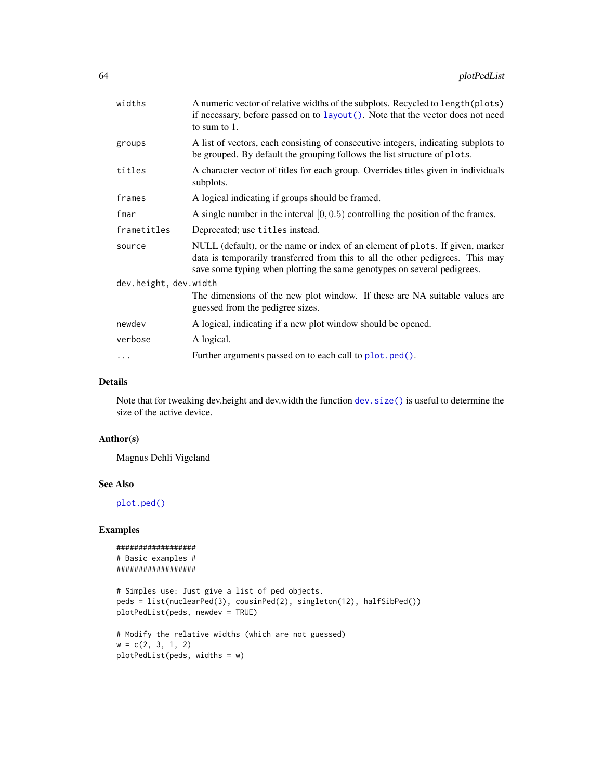| widths                | A numeric vector of relative widths of the subplots. Recycled to length (plots)<br>if necessary, before passed on to layout (). Note that the vector does not need<br>to sum to 1.                                                         |
|-----------------------|--------------------------------------------------------------------------------------------------------------------------------------------------------------------------------------------------------------------------------------------|
| groups                | A list of vectors, each consisting of consecutive integers, indicating subplots to<br>be grouped. By default the grouping follows the list structure of plots.                                                                             |
| titles                | A character vector of titles for each group. Overrides titles given in individuals<br>subplots.                                                                                                                                            |
| frames                | A logical indicating if groups should be framed.                                                                                                                                                                                           |
| fmar                  | A single number in the interval $[0, 0.5)$ controlling the position of the frames.                                                                                                                                                         |
| frametitles           | Deprecated; use titles instead.                                                                                                                                                                                                            |
| source                | NULL (default), or the name or index of an element of plots. If given, marker<br>data is temporarily transferred from this to all the other pedigrees. This may<br>save some typing when plotting the same genotypes on several pedigrees. |
| dev.height, dev.width |                                                                                                                                                                                                                                            |
|                       | The dimensions of the new plot window. If these are NA suitable values are<br>guessed from the pedigree sizes.                                                                                                                             |
| newdev                | A logical, indicating if a new plot window should be opened.                                                                                                                                                                               |
| verbose               | A logical.                                                                                                                                                                                                                                 |
| .                     | Further arguments passed on to each call to plot.ped().                                                                                                                                                                                    |
|                       |                                                                                                                                                                                                                                            |

### Details

Note that for tweaking dev.height and dev.width the function [dev.size\(\)](#page-0-0) is useful to determine the size of the active device.

### Author(s)

Magnus Dehli Vigeland

# See Also

[plot.ped\(\)](#page-58-0)

### Examples

```
##################
# Basic examples #
##################
```

```
# Simples use: Just give a list of ped objects.
peds = list(nuclearPed(3), cousinPed(2), singleton(12), halfSibPed())
plotPedList(peds, newdev = TRUE)
```

```
# Modify the relative widths (which are not guessed)
w = c(2, 3, 1, 2)plotPedList(peds, widths = w)
```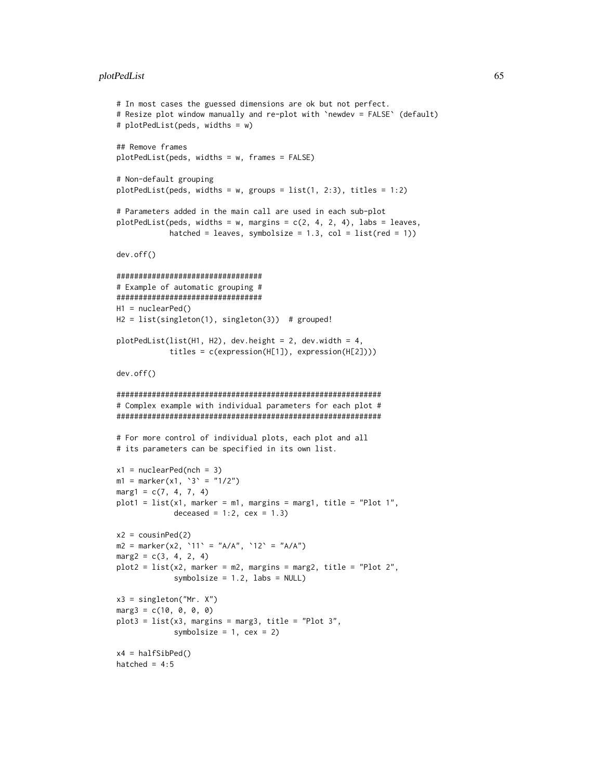#### plotPedList 65

```
# In most cases the guessed dimensions are ok but not perfect.
# Resize plot window manually and re-plot with `newdev = FALSE` (default)
# plotPedList(peds, widths = w)
## Remove frames
plotPedList(peds, widths = w, frames = FALSE)
# Non-default grouping
plotPedList(peds, widths = w, groups = list(1, 2:3), titles = 1:2)
# Parameters added in the main call are used in each sub-plot
plotPedList(peds, widths = w, margins = c(2, 4, 2, 4), labs = leaves,
            hatched = leaves, symbolsize = 1.3, col = list(red = 1))
dev.off()
#################################
# Example of automatic grouping #
#################################
H1 = nuclearPed()
H2 = list(singleton(1), singleton(3)) # grouped!
plotPedList(list(H1, H2), dev.height = 2, dev.width = 4,
            titles = c(expression(H[1]), expression(H[2])))
dev.off()
############################################################
# Complex example with individual parameters for each plot #
############################################################
# For more control of individual plots, each plot and all
# its parameters can be specified in its own list.
x1 = nuclearPed(nch = 3)m1 = marker(x1, '3' = "1/2")
marg1 = c(7, 4, 7, 4)plot1 = list(x1, marker = m1, margins = margin, title = "Plot 1",deceased = 1:2, cex = 1.3)
x2 = \text{cousinPed}(2)m2 = marker(x2, '11' = "A/A", '12' = "A/A")marg2 = c(3, 4, 2, 4)plot2 = list(x2, marker = m2, margins = marg2, title = "Plot 2",symbolsize = 1.2, labs = NULL)
x3 = singleton("Mr. X")
marg3 = c(10, 0, 0, 0)plot3 = list(x3, margins = marg3, title = "Plot 3",
             symbolsize = 1, cex = 2)
x4 = halfSibPed()hatched = 4:5
```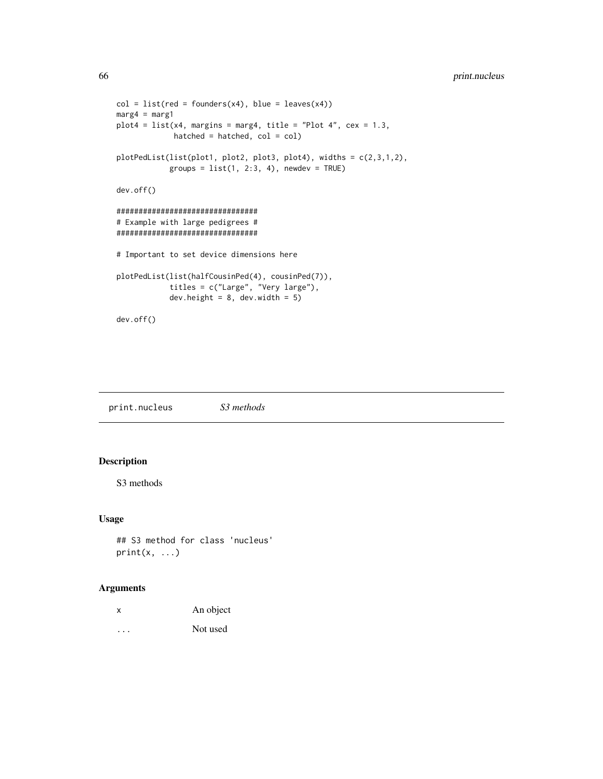```
col = list(\text{red} = founders(x4), blue = leaves(x4))marg4 = marg1
plot4 = list(x4, margins = marg4, title = "Plot 4", cex = 1.3,hatched = hatched, col = col)
plotPedList(list(plot1, plot2, plot3, plot4), widths = c(2,3,1,2),
            groups = list(1, 2:3, 4), newdev = TRUE)
dev.off()
################################
# Example with large pedigrees #
################################
# Important to set device dimensions here
plotPedList(list(halfCousinPed(4), cousinPed(7)),
            titles = c("Large", "Very large"),
            dev.height = 8, dev.width = 5)
dev.off()
```
print.nucleus *S3 methods*

# Description

S3 methods

### Usage

## S3 method for class 'nucleus'  $print(x, \ldots)$ 

# Arguments

| х | An object |
|---|-----------|
| . | Not used  |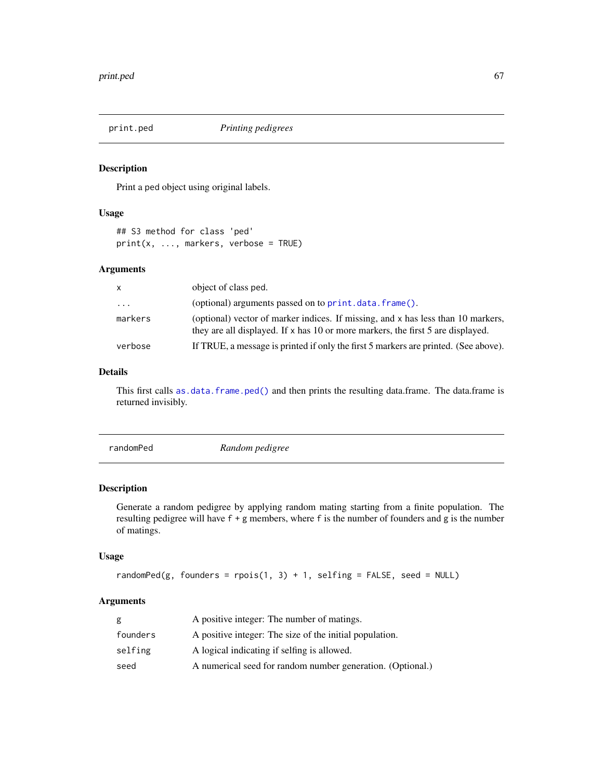Print a ped object using original labels.

### Usage

## S3 method for class 'ped' print(x, ..., markers, verbose = TRUE)

### Arguments

| $\mathsf{X}$ | object of class ped.                                                                                                                                                |
|--------------|---------------------------------------------------------------------------------------------------------------------------------------------------------------------|
| $\ddotsc$    | (optional) arguments passed on to print.data.frame().                                                                                                               |
| markers      | (optional) vector of marker indices. If missing, and x has less than 10 markers,<br>they are all displayed. If x has 10 or more markers, the first 5 are displayed. |
| verbose      | If TRUE, a message is printed if only the first 5 markers are printed. (See above).                                                                                 |
|              |                                                                                                                                                                     |

## Details

This first calls [as.data.frame.ped\(\)](#page-3-0) and then prints the resulting data.frame. The data.frame is returned invisibly.

randomPed *Random pedigree*

### Description

Generate a random pedigree by applying random mating starting from a finite population. The resulting pedigree will have f + g members, where f is the number of founders and g is the number of matings.

# Usage

```
randomPed(g, founders = rpois(1, 3) + 1, selfing = FALSE, seed = NULL)
```
# Arguments

| g        | A positive integer: The number of matings.                 |
|----------|------------------------------------------------------------|
| founders | A positive integer: The size of the initial population.    |
| selfing  | A logical indicating if selfing is allowed.                |
| seed     | A numerical seed for random number generation. (Optional.) |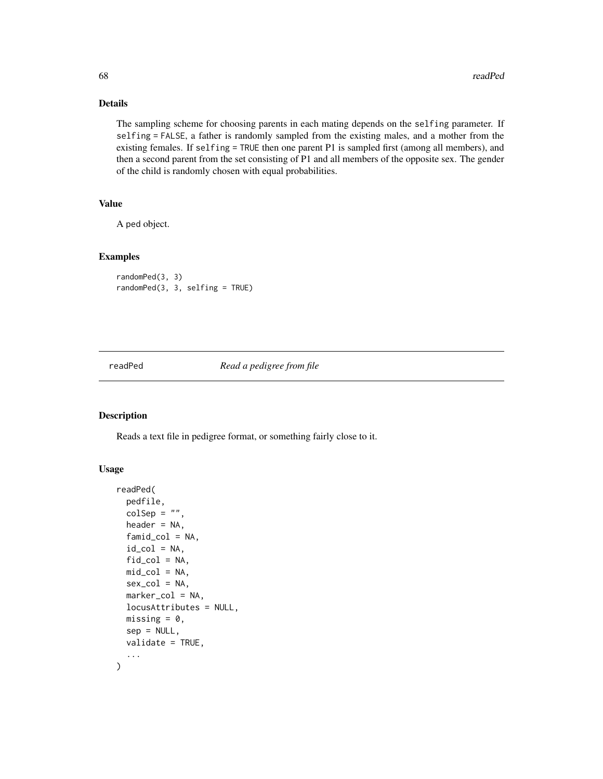# Details

The sampling scheme for choosing parents in each mating depends on the selfing parameter. If selfing = FALSE, a father is randomly sampled from the existing males, and a mother from the existing females. If selfing = TRUE then one parent P1 is sampled first (among all members), and then a second parent from the set consisting of P1 and all members of the opposite sex. The gender of the child is randomly chosen with equal probabilities.

# Value

A ped object.

### Examples

randomPed(3, 3) randomPed(3, 3, selfing = TRUE)

readPed *Read a pedigree from file*

# Description

Reads a text file in pedigree format, or something fairly close to it.

#### Usage

```
readPed(
 pedfile,
  colSep = "",header = NA,
  famid_col = NA,
  id\_col = NA,
  fid\_col = NA,
 mid\_col = NA,
  sex_col = NA,
 marker_col = NA,
  locusAttributes = NULL,
 missing = 0,
  sep = NULL,validate = TRUE,
  ...
)
```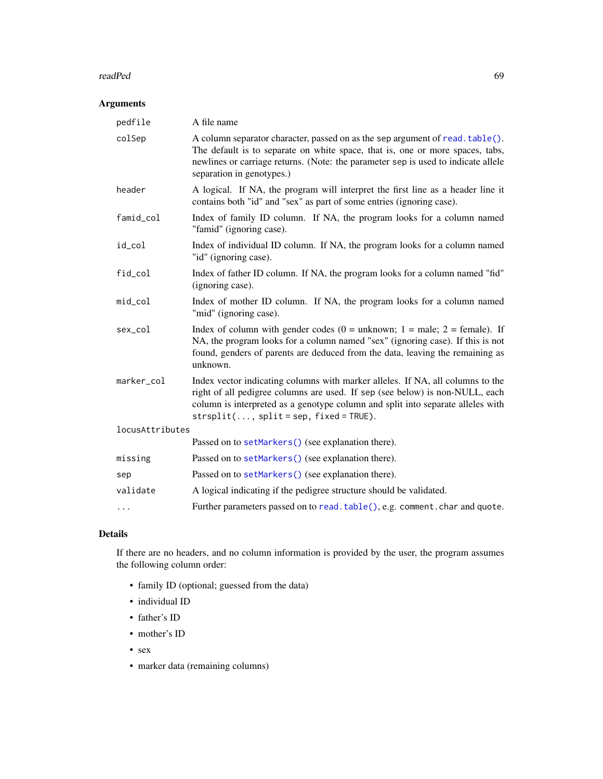#### readPed 69

# Arguments

| pedfile         | A file name                                                                                                                                                                                                                                                                                   |
|-----------------|-----------------------------------------------------------------------------------------------------------------------------------------------------------------------------------------------------------------------------------------------------------------------------------------------|
| colSep          | A column separator character, passed on as the sep argument of read. table().<br>The default is to separate on white space, that is, one or more spaces, tabs,<br>newlines or carriage returns. (Note: the parameter sep is used to indicate allele<br>separation in genotypes.)              |
| header          | A logical. If NA, the program will interpret the first line as a header line it<br>contains both "id" and "sex" as part of some entries (ignoring case).                                                                                                                                      |
| famid_col       | Index of family ID column. If NA, the program looks for a column named<br>"famid" (ignoring case).                                                                                                                                                                                            |
| id_col          | Index of individual ID column. If NA, the program looks for a column named<br>"id" (ignoring case).                                                                                                                                                                                           |
| fid_col         | Index of father ID column. If NA, the program looks for a column named "fid"<br>(ignoring case).                                                                                                                                                                                              |
| $mid\_col$      | Index of mother ID column. If NA, the program looks for a column named<br>"mid" (ignoring case).                                                                                                                                                                                              |
| sex_col         | Index of column with gender codes ( $0 =$ unknown; $1 =$ male; $2 =$ female). If<br>NA, the program looks for a column named "sex" (ignoring case). If this is not<br>found, genders of parents are deduced from the data, leaving the remaining as<br>unknown.                               |
| marker_col      | Index vector indicating columns with marker alleles. If NA, all columns to the<br>right of all pedigree columns are used. If sep (see below) is non-NULL, each<br>column is interpreted as a genotype column and split into separate alleles with<br>$strsplit(, split = sep, fixed = TRUE).$ |
| locusAttributes |                                                                                                                                                                                                                                                                                               |
|                 | Passed on to setMarkers() (see explanation there).                                                                                                                                                                                                                                            |
| missing         | Passed on to setMarkers() (see explanation there).                                                                                                                                                                                                                                            |
| sep             | Passed on to setMarkers() (see explanation there).                                                                                                                                                                                                                                            |
| validate        | A logical indicating if the pedigree structure should be validated.                                                                                                                                                                                                                           |
| .               | Further parameters passed on to read. table(), e.g. comment. char and quote.                                                                                                                                                                                                                  |

# Details

If there are no headers, and no column information is provided by the user, the program assumes the following column order:

- family ID (optional; guessed from the data)
- individual ID
- father's ID
- mother's ID
- sex
- marker data (remaining columns)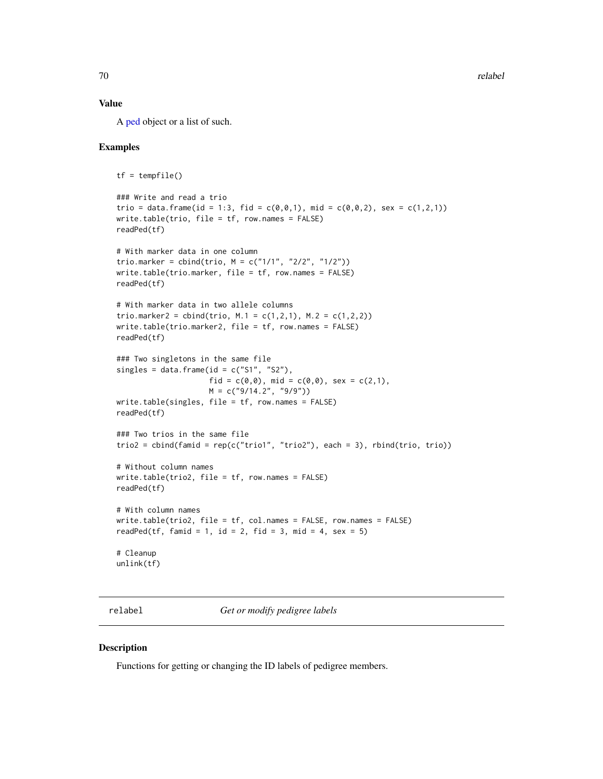### Value

A [ped](#page-43-0) object or a list of such.

# Examples

```
tf = tempfile()### Write and read a trio
trio = data.frame(id = 1:3, fid = c(0,0,1), mid = c(0,0,2), sex = c(1,2,1))
write.table(trio, file = tf, row.names = FALSE)
readPed(tf)
# With marker data in one column
trio.marker = cbind(trio, M = c("1/1", "2/2", "1/2"))write.table(trio.marker, file = tf, row.names = FALSE)
readPed(tf)
# With marker data in two allele columns
trio.marker2 = cbind(trio, M.1 = c(1,2,1), M.2 = c(1,2,2))
write.table(trio.marker2, file = tf, row.names = FALSE)
readPed(tf)
### Two singletons in the same file
singles = data.frame(id = c("S1", "S2"),fid = c(\emptyset, \emptyset), mid = c(\emptyset, \emptyset), sex = c(2,1),
                     M = c("9/14.2", "9/9")write.table(singles, file = tf, row.names = FALSE)
readPed(tf)
### Two trios in the same file
trio2 = chind(famid = rep(c("trio1", "trio2"), each = 3), rhind(trio, trio))# Without column names
write.table(trio2, file = tf, row.names = FALSE)
readPed(tf)
# With column names
write.table(trio2, file = tf, col.names = FALSE, row.names = FALSE)
readPed(tf, famid = 1, id = 2, fid = 3, mid = 4, sex = 5)
# Cleanup
unlink(tf)
```
<span id="page-69-0"></span>relabel *Get or modify pedigree labels*

#### Description

Functions for getting or changing the ID labels of pedigree members.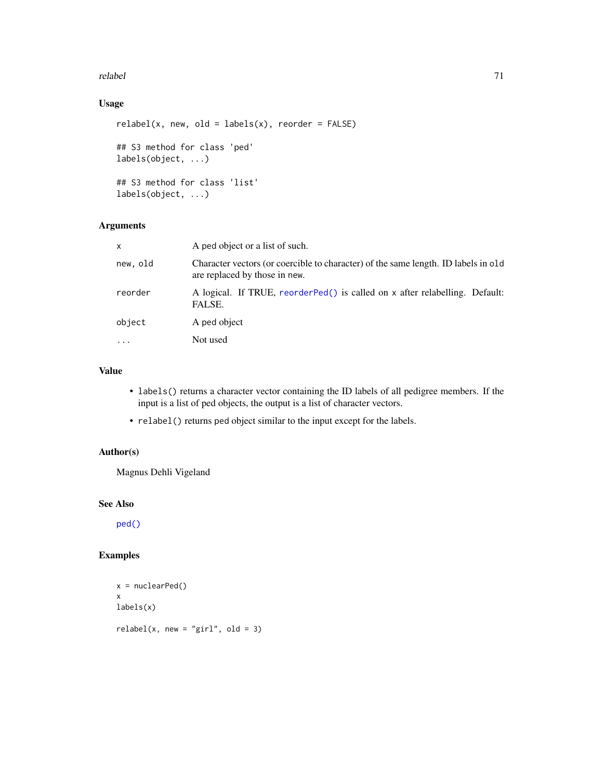#### relabel 71

# Usage

```
relabel(x, new, old = labels(x), reorder = FALSE)## S3 method for class 'ped'
labels(object, ...)
## S3 method for class 'list'
labels(object, ...)
```
# Arguments

| X        | A ped object or a list of such.                                                                                     |  |
|----------|---------------------------------------------------------------------------------------------------------------------|--|
| new, old | Character vectors (or coercible to character) of the same length. ID labels in old<br>are replaced by those in new. |  |
| reorder  | A logical. If TRUE, reorderPed() is called on x after relabelling. Default:<br>FALSE.                               |  |
| object   | A ped object                                                                                                        |  |
| $\cdots$ | Not used                                                                                                            |  |
|          |                                                                                                                     |  |

# Value

- labels() returns a character vector containing the ID labels of all pedigree members. If the input is a list of ped objects, the output is a list of character vectors.
- relabel() returns ped object similar to the input except for the labels.

### Author(s)

Magnus Dehli Vigeland

### See Also

[ped\(\)](#page-43-0)

# Examples

```
x = nuclearPed()x
labels(x)
relabel(x, new = "girl", old = 3)
```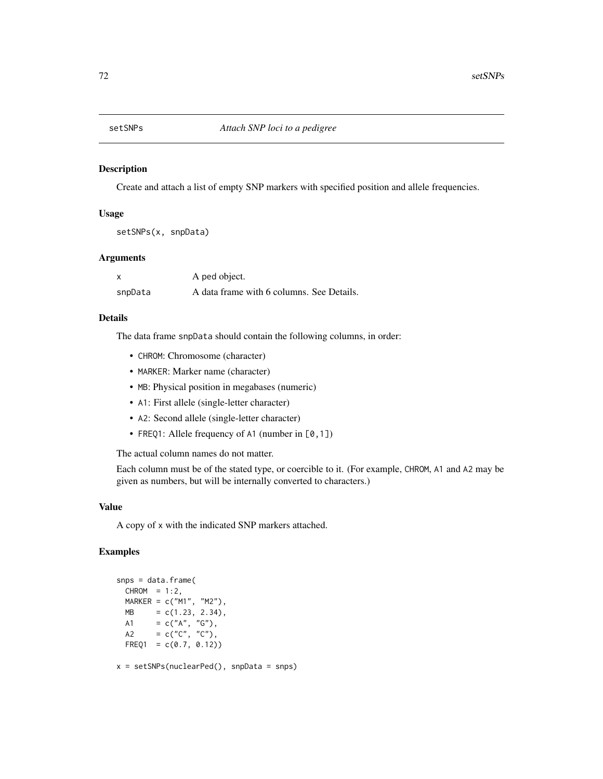Create and attach a list of empty SNP markers with specified position and allele frequencies.

### Usage

setSNPs(x, snpData)

### Arguments

| x       | A ped object.                             |
|---------|-------------------------------------------|
| snpData | A data frame with 6 columns. See Details. |

## Details

The data frame snpData should contain the following columns, in order:

- CHROM: Chromosome (character)
- MARKER: Marker name (character)
- MB: Physical position in megabases (numeric)
- A1: First allele (single-letter character)
- A2: Second allele (single-letter character)
- FREQ1: Allele frequency of A1 (number in [0,1])

The actual column names do not matter.

Each column must be of the stated type, or coercible to it. (For example, CHROM, A1 and A2 may be given as numbers, but will be internally converted to characters.)

### Value

A copy of x with the indicated SNP markers attached.

# Examples

```
snps = data.frame(
 CHROM = 1:2,
 MARKER = c("M1", "M2"),
 MB = c(1.23, 2.34),A1 = c("A", "G"),
  A2 = c("C", "C"),
 FREQ1 = c(0.7, 0.12)x = setSNPs(nuclearPed(), snpData = snps)
```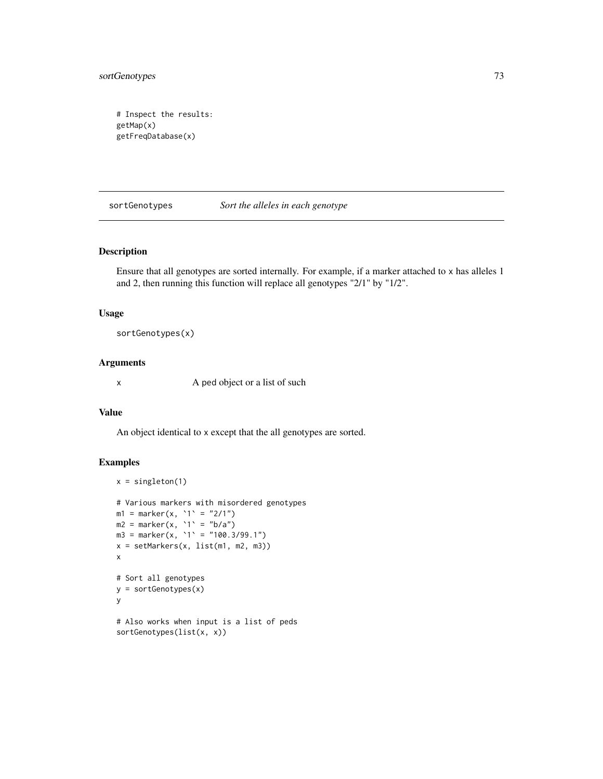<span id="page-72-0"></span>sortGenotypes 73

```
# Inspect the results:
getMap(x)
getFreqDatabase(x)
```
sortGenotypes *Sort the alleles in each genotype*

#### Description

Ensure that all genotypes are sorted internally. For example, if a marker attached to x has alleles 1 and 2, then running this function will replace all genotypes "2/1" by "1/2".

#### Usage

sortGenotypes(x)

#### Arguments

x A ped object or a list of such

#### Value

An object identical to x except that the all genotypes are sorted.

#### Examples

```
x = singleton(1)
# Various markers with misordered genotypes
m1 = marker(x, '1' = "2/1")m2 = marker(x, `1` = "b/a")
m3 = marker(x, '1' = "100.3/99.1")x = setMarkers(x, list(m1, m2, m3))
x
# Sort all genotypes
y = sortGenotypes(x)
y
# Also works when input is a list of peds
sortGenotypes(list(x, x))
```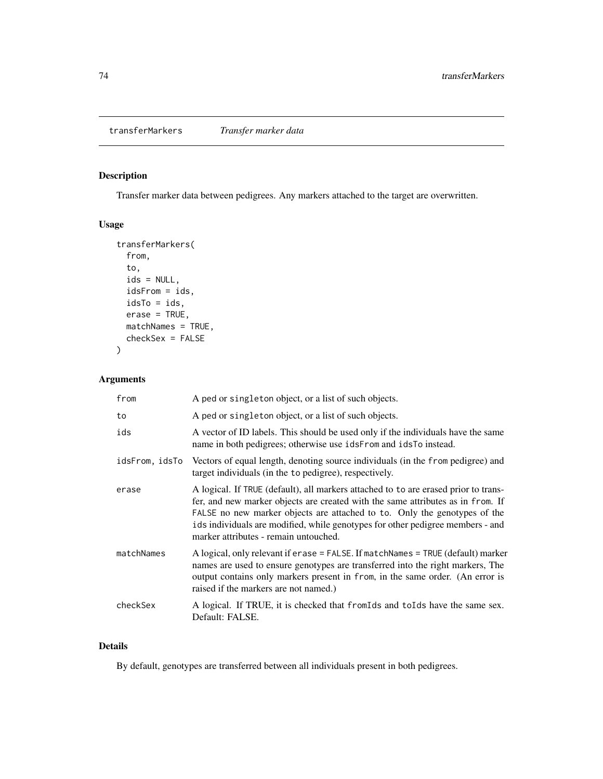<span id="page-73-0"></span>transferMarkers *Transfer marker data*

## Description

Transfer marker data between pedigrees. Any markers attached to the target are overwritten.

# Usage

```
transferMarkers(
  from,
  to,
  ids = NULL,
  idsFrom = ids,
 idsTo = ids,
 erase = TRUE,matchNames = TRUE,
 checkSex = FALSE
)
```
# Arguments

| from           | A ped or singleton object, or a list of such objects.                                                                                                                                                                                                                                                                                                                          |
|----------------|--------------------------------------------------------------------------------------------------------------------------------------------------------------------------------------------------------------------------------------------------------------------------------------------------------------------------------------------------------------------------------|
| to             | A ped or singleton object, or a list of such objects.                                                                                                                                                                                                                                                                                                                          |
| ids            | A vector of ID labels. This should be used only if the individuals have the same<br>name in both pedigrees; otherwise use idsFrom and idsTo instead.                                                                                                                                                                                                                           |
| idsFrom, idsTo | Vectors of equal length, denoting source individuals (in the from pedigree) and<br>target individuals (in the to pedigree), respectively.                                                                                                                                                                                                                                      |
| erase          | A logical. If TRUE (default), all markers attached to to are erased prior to trans-<br>fer, and new marker objects are created with the same attributes as in from. If<br>FALSE no new marker objects are attached to to. Only the genotypes of the<br>ids individuals are modified, while genotypes for other pedigree members - and<br>marker attributes - remain untouched. |
| matchNames     | A logical, only relevant if erase = FALSE. If matchNames = TRUE (default) marker<br>names are used to ensure genotypes are transferred into the right markers, The<br>output contains only markers present in from, in the same order. (An error is<br>raised if the markers are not named.)                                                                                   |
| checkSex       | A logical. If TRUE, it is checked that from Ids and to Ids have the same sex.<br>Default: FALSE.                                                                                                                                                                                                                                                                               |

### Details

By default, genotypes are transferred between all individuals present in both pedigrees.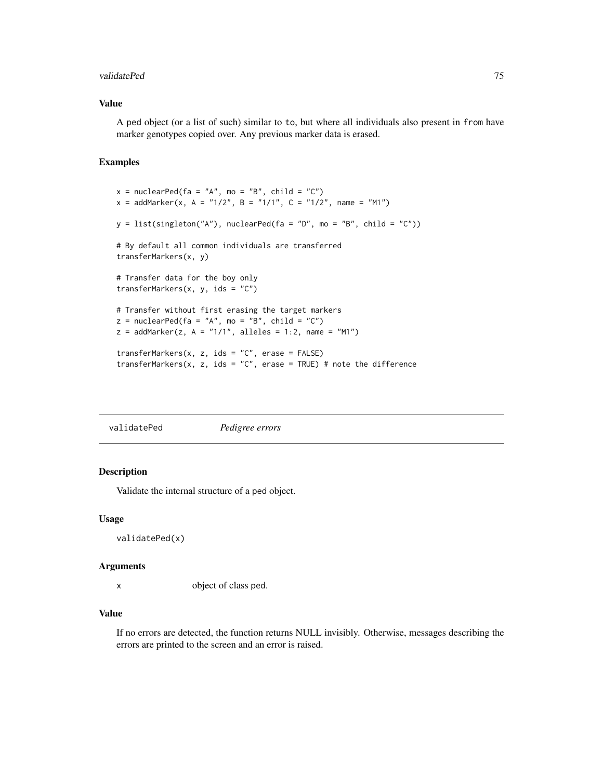#### <span id="page-74-0"></span>validatePed 75

#### Value

A ped object (or a list of such) similar to to, but where all individuals also present in from have marker genotypes copied over. Any previous marker data is erased.

#### Examples

```
x = nuclearPed(fa = "A", mo = "B", child = "C")x = addMarket(x, A = "1/2", B = "1/1", C = "1/2", name = "M1")y = list(singleton("A"), nuclearPed(fa = "D", mo = "B", child = "C"))# By default all common individuals are transferred
transferMarkers(x, y)
# Transfer data for the boy only
transferMarkers(x, y, ids = "C")# Transfer without first erasing the target markers
z = nuclearPed(fa = "A", mo = "B", child = "C")z = addMarket(z, A = "1/1", alleles = 1:2, name = "M1")transferMarkers(x, z, ids = "C", erase = FALSE)
transferMarkers(x, z, ids = "C", erase = TRUE) # note the difference
```
validatePed *Pedigree errors*

#### Description

Validate the internal structure of a ped object.

#### Usage

```
validatePed(x)
```
#### Arguments

x object of class ped.

#### Value

If no errors are detected, the function returns NULL invisibly. Otherwise, messages describing the errors are printed to the screen and an error is raised.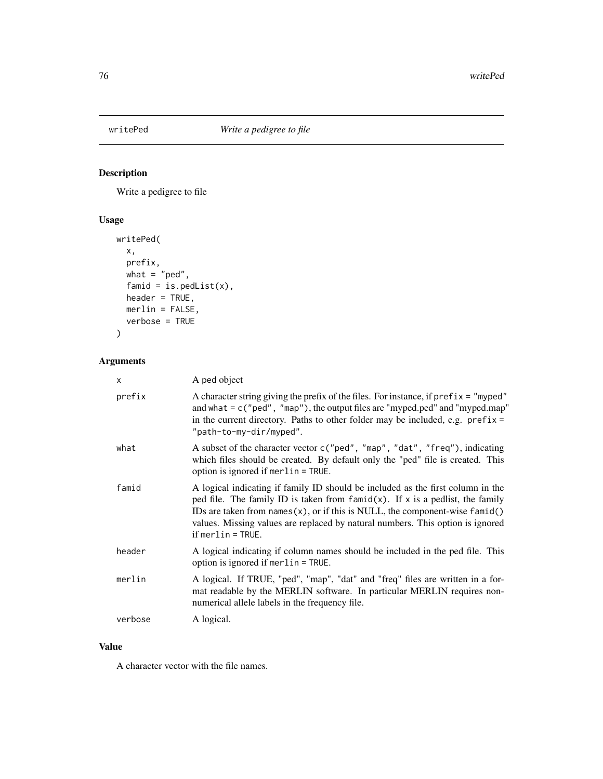<span id="page-75-0"></span>

# Description

Write a pedigree to file

# Usage

```
writePed(
 x,
 prefix,
 what = "ped",famid = is.pedList(x),
 header = TRUE,merlin = FALSE,
 verbose = TRUE
)
```
# Arguments

| x       | A ped object                                                                                                                                                                                                                                                                                                                                                          |
|---------|-----------------------------------------------------------------------------------------------------------------------------------------------------------------------------------------------------------------------------------------------------------------------------------------------------------------------------------------------------------------------|
| prefix  | A character string giving the prefix of the files. For instance, if $prefix = "myped"$<br>and what $= c$ ("ped", "map"), the output files are "myped.ped" and "myped.map"<br>in the current directory. Paths to other folder may be included, e.g. $prefix =$<br>"path-to-my-dir/myped".                                                                              |
| what    | A subset of the character vector c("ped", "map", "dat", "freq"), indicating<br>which files should be created. By default only the "ped" file is created. This<br>option is ignored if merlin = TRUE.                                                                                                                                                                  |
| famid   | A logical indicating if family ID should be included as the first column in the<br>ped file. The family ID is taken from $f$ and $(x)$ . If x is a pedlist, the family<br>IDs are taken from names $(x)$ , or if this is NULL, the component-wise famid $()$<br>values. Missing values are replaced by natural numbers. This option is ignored<br>$if merlin = TRUE.$ |
| header  | A logical indicating if column names should be included in the ped file. This<br>option is ignored if merlin = TRUE.                                                                                                                                                                                                                                                  |
| merlin  | A logical. If TRUE, "ped", "map", "dat" and "freq" files are written in a for-<br>mat readable by the MERLIN software. In particular MERLIN requires non-<br>numerical allele labels in the frequency file.                                                                                                                                                           |
| verbose | A logical.                                                                                                                                                                                                                                                                                                                                                            |

### Value

A character vector with the file names.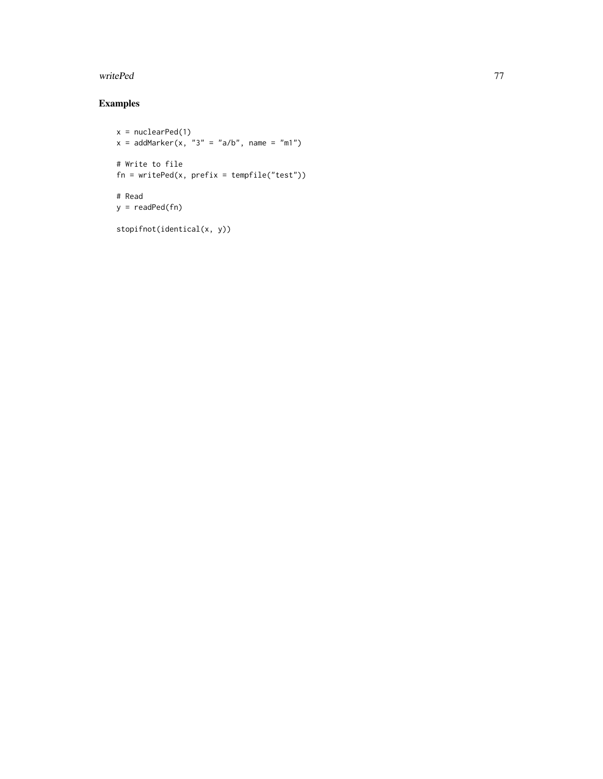#### writePed 277 November 2014 and 2014 and 2014 and 2014 and 2014 and 2014 and 2014 and 2014 and 2014 and 2014 and 2014 and 2014 and 2014 and 2014 and 2014 and 2014 and 2014 and 2014 and 2014 and 2014 and 2014 and 2014 and 20

# Examples

```
x = nuclearPed(1)
x = addMarket(x, "3" = "a/b", name = "m1")# Write to file
fn = writePed(x, prefix = tempfile("test"))
# Read
y = readPed(fn)
stopifnot(identical(x, y))
```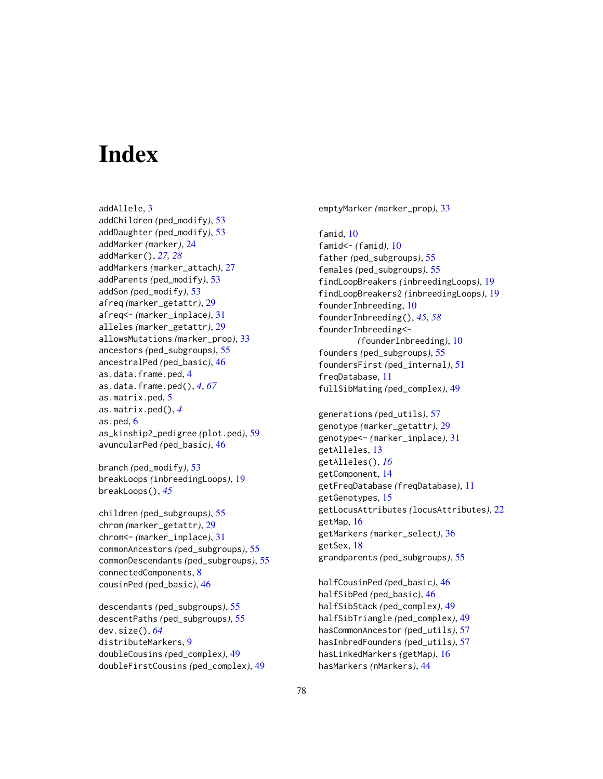# **Index**

addAllele, [3](#page-2-0) addChildren *(*ped\_modify*)*, [53](#page-52-0) addDaughter *(*ped\_modify*)*, [53](#page-52-0) addMarker *(*marker*)*, [24](#page-23-0) addMarker(), *[27,](#page-26-0) [28](#page-27-0)* addMarkers *(*marker\_attach*)*, [27](#page-26-0) addParents *(*ped\_modify*)*, [53](#page-52-0) addSon *(*ped\_modify*)*, [53](#page-52-0) afreq *(*marker\_getattr*)*, [29](#page-28-0) afreq<- *(*marker\_inplace*)*, [31](#page-30-0) alleles *(*marker\_getattr*)*, [29](#page-28-0) allowsMutations *(*marker\_prop*)*, [33](#page-32-0) ancestors *(*ped\_subgroups*)*, [55](#page-54-0) ancestralPed *(*ped\_basic*)*, [46](#page-45-0) as.data.frame.ped, [4](#page-3-0) as.data.frame.ped(), *[4](#page-3-0)*, *[67](#page-66-0)* as.matrix.ped, [5](#page-4-0) as.matrix.ped(), *[4](#page-3-0)* as.ped, [6](#page-5-0) as\_kinship2\_pedigree *(*plot.ped*)*, [59](#page-58-0) avuncularPed *(*ped\_basic*)*, [46](#page-45-0)

branch *(*ped\_modify*)*, [53](#page-52-0) breakLoops *(*inbreedingLoops*)*, [19](#page-18-0) breakLoops(), *[45](#page-44-0)*

children *(*ped\_subgroups*)*, [55](#page-54-0) chrom *(*marker\_getattr*)*, [29](#page-28-0) chrom<- *(*marker\_inplace*)*, [31](#page-30-0) commonAncestors *(*ped\_subgroups*)*, [55](#page-54-0) commonDescendants *(*ped\_subgroups*)*, [55](#page-54-0) connectedComponents, [8](#page-7-0) cousinPed *(*ped\_basic*)*, [46](#page-45-0)

descendants *(*ped\_subgroups*)*, [55](#page-54-0) descentPaths *(*ped\_subgroups*)*, [55](#page-54-0) dev.size(), *[64](#page-63-0)* distributeMarkers, [9](#page-8-0) doubleCousins *(*ped\_complex*)*, [49](#page-48-0) doubleFirstCousins *(*ped\_complex*)*, [49](#page-48-0) emptyMarker *(*marker\_prop*)*, [33](#page-32-0)

famid, [10](#page-9-0) famid<- *(*famid*)*, [10](#page-9-0) father *(*ped\_subgroups*)*, [55](#page-54-0) females *(*ped\_subgroups*)*, [55](#page-54-0) findLoopBreakers *(*inbreedingLoops*)*, [19](#page-18-0) findLoopBreakers2 *(*inbreedingLoops*)*, [19](#page-18-0) founderInbreeding, [10](#page-9-0) founderInbreeding(), *[45](#page-44-0)*, *[58](#page-57-0)* founderInbreeding<- *(*founderInbreeding*)*, [10](#page-9-0) founders *(*ped\_subgroups*)*, [55](#page-54-0) foundersFirst *(*ped\_internal*)*, [51](#page-50-0) freqDatabase, [11](#page-10-0) fullSibMating *(*ped\_complex*)*, [49](#page-48-0)

generations *(*ped\_utils*)*, [57](#page-56-0) genotype *(*marker\_getattr*)*, [29](#page-28-0) genotype<- *(*marker\_inplace*)*, [31](#page-30-0) getAlleles, [13](#page-12-0) getAlleles(), *[16](#page-15-0)* getComponent, [14](#page-13-0) getFreqDatabase *(*freqDatabase*)*, [11](#page-10-0) getGenotypes, [15](#page-14-0) getLocusAttributes *(*locusAttributes*)*, [22](#page-21-0) getMap, [16](#page-15-0) getMarkers *(*marker\_select*)*, [36](#page-35-0) getSex, [18](#page-17-0) grandparents *(*ped\_subgroups*)*, [55](#page-54-0)

halfCousinPed *(*ped\_basic*)*, [46](#page-45-0) halfSibPed *(*ped\_basic*)*, [46](#page-45-0) halfSibStack *(*ped\_complex*)*, [49](#page-48-0) halfSibTriangle *(*ped\_complex*)*, [49](#page-48-0) hasCommonAncestor *(*ped\_utils*)*, [57](#page-56-0) hasInbredFounders *(*ped\_utils*)*, [57](#page-56-0) hasLinkedMarkers *(*getMap*)*, [16](#page-15-0) hasMarkers *(*nMarkers*)*, [44](#page-43-0)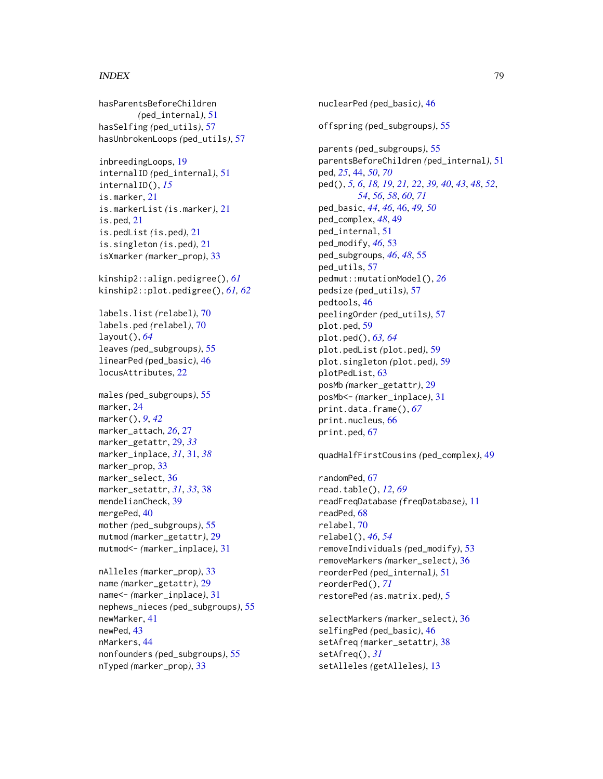#### INDEX 29

hasParentsBeforeChildren *(*ped\_internal*)*, [51](#page-50-0) hasSelfing *(*ped\_utils*)*, [57](#page-56-0) hasUnbrokenLoops *(*ped\_utils*)*, [57](#page-56-0)

inbreedingLoops, [19](#page-18-0) internalID *(*ped\_internal*)*, [51](#page-50-0) internalID(), *[15](#page-14-0)* is.marker, [21](#page-20-0) is.markerList *(*is.marker*)*, [21](#page-20-0) is.ped, [21](#page-20-0) is.pedList *(*is.ped*)*, [21](#page-20-0) is.singleton *(*is.ped*)*, [21](#page-20-0) isXmarker *(*marker\_prop*)*, [33](#page-32-0)

kinship2::align.pedigree(), *[61](#page-60-0)* kinship2::plot.pedigree(), *[61,](#page-60-0) [62](#page-61-0)*

labels.list *(*relabel*)*, [70](#page-69-0) labels.ped *(*relabel*)*, [70](#page-69-0) layout(), *[64](#page-63-0)* leaves *(*ped\_subgroups*)*, [55](#page-54-0) linearPed *(*ped\_basic*)*, [46](#page-45-0) locusAttributes, [22](#page-21-0)

males *(*ped\_subgroups*)*, [55](#page-54-0) marker, [24](#page-23-0) marker(), *[9](#page-8-0)*, *[42](#page-41-0)* marker\_attach, *[26](#page-25-0)*, [27](#page-26-0) marker\_getattr, [29,](#page-28-0) *[33](#page-32-0)* marker\_inplace, *[31](#page-30-0)*, [31,](#page-30-0) *[38](#page-37-0)* marker\_prop, [33](#page-32-0) marker\_select. [36](#page-35-0) marker\_setattr, *[31](#page-30-0)*, *[33](#page-32-0)*, [38](#page-37-0) mendelianCheck, [39](#page-38-0) mergePed, [40](#page-39-0) mother *(*ped\_subgroups*)*, [55](#page-54-0) mutmod *(*marker\_getattr*)*, [29](#page-28-0) mutmod<- *(*marker\_inplace*)*, [31](#page-30-0)

nAlleles *(*marker\_prop*)*, [33](#page-32-0) name *(*marker\_getattr*)*, [29](#page-28-0) name<- *(*marker\_inplace*)*, [31](#page-30-0) nephews\_nieces *(*ped\_subgroups*)*, [55](#page-54-0) newMarker, [41](#page-40-0) newPed, [43](#page-42-0) nMarkers, [44](#page-43-0) nonfounders *(*ped\_subgroups*)*, [55](#page-54-0) nTyped *(*marker\_prop*)*, [33](#page-32-0)

nuclearPed *(*ped\_basic*)*, [46](#page-45-0) offspring *(*ped\_subgroups*)*, [55](#page-54-0) parents *(*ped\_subgroups*)*, [55](#page-54-0) parentsBeforeChildren *(*ped\_internal*)*, [51](#page-50-0) ped, *[25](#page-24-0)*, [44,](#page-43-0) *[50](#page-49-0)*, *[70](#page-69-0)* ped(), *[5,](#page-4-0) [6](#page-5-0)*, *[18,](#page-17-0) [19](#page-18-0)*, *[21,](#page-20-0) [22](#page-21-0)*, *[39,](#page-38-0) [40](#page-39-0)*, *[43](#page-42-0)*, *[48](#page-47-0)*, *[52](#page-51-0)*, *[54](#page-53-0)*, *[56](#page-55-0)*, *[58](#page-57-0)*, *[60](#page-59-0)*, *[71](#page-70-0)* ped\_basic, *[44](#page-43-0)*, *[46](#page-45-0)*, [46,](#page-45-0) *[49,](#page-48-0) [50](#page-49-0)* ped\_complex, *[48](#page-47-0)*, [49](#page-48-0) ped\_internal, [51](#page-50-0) ped\_modify, *[46](#page-45-0)*, [53](#page-52-0) ped\_subgroups, *[46](#page-45-0)*, *[48](#page-47-0)*, [55](#page-54-0) ped\_utils, [57](#page-56-0) pedmut::mutationModel(), *[26](#page-25-0)* pedsize *(*ped\_utils*)*, [57](#page-56-0) pedtools, [46](#page-45-0) peelingOrder *(*ped\_utils*)*, [57](#page-56-0) plot.ped, [59](#page-58-0) plot.ped(), *[63,](#page-62-0) [64](#page-63-0)* plot.pedList *(*plot.ped*)*, [59](#page-58-0) plot.singleton *(*plot.ped*)*, [59](#page-58-0) plotPedList, [63](#page-62-0) posMb *(*marker\_getattr*)*, [29](#page-28-0) posMb<- *(*marker\_inplace*)*, [31](#page-30-0) print.data.frame(), *[67](#page-66-0)* print.nucleus, [66](#page-65-0) print.ped, [67](#page-66-0)

quadHalfFirstCousins *(*ped\_complex*)*, [49](#page-48-0)

randomPed, [67](#page-66-0) read.table(), *[12](#page-11-0)*, *[69](#page-68-0)* readFreqDatabase *(*freqDatabase*)*, [11](#page-10-0) readPed, [68](#page-67-0) relabel, [70](#page-69-0) relabel(), *[46](#page-45-0)*, *[54](#page-53-0)* removeIndividuals *(*ped\_modify*)*, [53](#page-52-0) removeMarkers *(*marker\_select*)*, [36](#page-35-0) reorderPed *(*ped\_internal*)*, [51](#page-50-0) reorderPed(), *[71](#page-70-0)* restorePed *(*as.matrix.ped*)*, [5](#page-4-0)

selectMarkers *(*marker\_select*)*, [36](#page-35-0) selfingPed *(*ped\_basic*)*, [46](#page-45-0) setAfreq *(*marker\_setattr*)*, [38](#page-37-0) setAfreq(), *[31](#page-30-0)* setAlleles *(*getAlleles*)*, [13](#page-12-0)